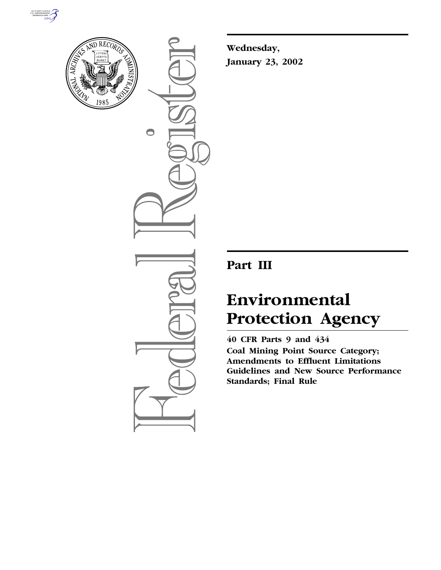



 $\bigcirc$ 

**Wednesday, January 23, 2002**

# **Part III**

# **Environmental Protection Agency**

**40 CFR Parts 9 and 434 Coal Mining Point Source Category; Amendments to Effluent Limitations Guidelines and New Source Performance Standards; Final Rule**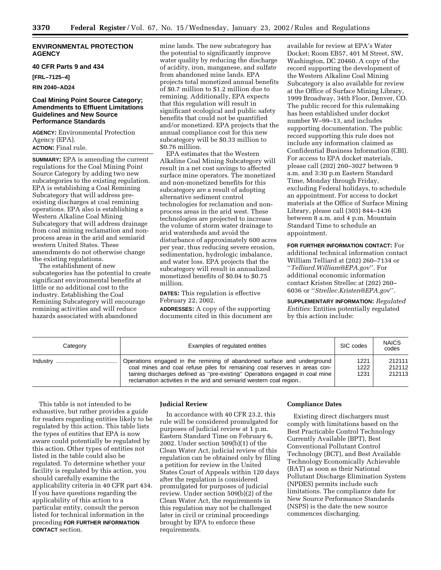# **ENVIRONMENTAL PROTECTION AGENCY**

# **40 CFR Parts 9 and 434**

**[FRL–7125–4]**

# **RIN 2040–AD24**

# **Coal Mining Point Source Category; Amendments to Effluent Limitations Guidelines and New Source Performance Standards**

**AGENCY:** Environmental Protection Agency (EPA). **ACTION:** Final rule.

**SUMMARY:** EPA is amending the current regulations for the Coal Mining Point Source Category by adding two new subcategories to the existing regulation. EPA is establishing a Coal Remining Subcategory that will address preexisting discharges at coal remining operations. EPA also is establishing a Western Alkaline Coal Mining Subcategory that will address drainage from coal mining reclamation and nonprocess areas in the arid and semiarid western United States. These amendments do not otherwise change the existing regulations.

The establishment of new subcategories has the potential to create significant environmental benefits at little or no additional cost to the industry. Establishing the Coal Remining Subcategory will encourage remining activities and will reduce hazards associated with abandoned

mine lands. The new subcategory has the potential to significantly improve water quality by reducing the discharge of acidity, iron, manganese, and sulfate from abandoned mine lands. EPA projects total monetized annual benefits of \$0.7 million to \$1.2 million due to remining. Additionally, EPA expects that this regulation will result in significant ecological and public safety benefits that could not be quantified and/or monetized. EPA projects that the annual compliance cost for this new subcategory will be \$0.33 million to \$0.76 million.

EPA estimates that the Western Alkaline Coal Mining Subcategory will result in a net cost savings to affected surface mine operators. The monetized and non-monetized benefits for this subcategory are a result of adopting alternative sediment control technologies for reclamation and nonprocess areas in the arid west. These technologies are projected to increase the volume of storm water drainage to arid watersheds and avoid the disturbance of approximately 600 acres per year, thus reducing severe erosion, sedimentation, hydrologic imbalance, and water loss. EPA projects that the subcategory will result in annualized monetized benefits of \$0.04 to \$0.75 million.

**DATES:** This regulation is effective February 22, 2002.

**ADDRESSES:** A copy of the supporting documents cited in this document are

available for review at EPA's Water Docket; Room EB57, 401 M Street, SW, Washington, DC 20460. A copy of the record supporting the development of the Western Alkaline Coal Mining Subcategory is also available for review at the Office of Surface Mining Library, 1999 Broadway, 34th Floor, Denver, CO. The public record for this rulemaking has been established under docket number W–99–13, and includes supporting documentation. The public record supporting this rule does not include any information claimed as Confidential Business Information (CBI). For access to EPA docket materials, please call (202) 260–3027 between 9 a.m. and 3:30 p.m Eastern Standard Time, Monday through Friday, excluding Federal holidays, to schedule an appointment. For access to docket materials at the Office of Surface Mining Library, please call (303) 844–1436 between 8 a.m. and 4 p.m. Mountain Standard Time to schedule an appointment.

**FOR FURTHER INFORMATION CONTACT:** For additional technical information contact William Telliard at (202) 260–7134 or ''*Telliard.William@EPA.gov*''. For additional economic information contact Kristen Strellec at (202) 260– 6036 or ''*Strellec.Kristen@EPA.gov*''.

**SUPPLEMENTARY INFORMATION:** *Regulated Entities:* Entities potentially regulated by this action include:

| Category | Examples of regulated entities                                                                                                                                                                                                                                                                               | SIC codes            | <b>NAICS</b><br>codes      |
|----------|--------------------------------------------------------------------------------------------------------------------------------------------------------------------------------------------------------------------------------------------------------------------------------------------------------------|----------------------|----------------------------|
| Industry | Operations engaged in the remining of abandoned surface and underground<br>coal mines and coal refuse piles for remaining coal reserves in areas con-<br>taining discharges defined as "pre-existing" Operations engaged in coal mine<br>reclamation activities in the arid and semiarid western coal region | 1221<br>1222<br>1231 | 212111<br>212112<br>212113 |

This table is not intended to be exhaustive, but rather provides a guide for readers regarding entities likely to be regulated by this action. This table lists the types of entities that EPA is now aware could potentially be regulated by this action. Other types of entities not listed in the table could also be regulated. To determine whether your facility is regulated by this action, you should carefully examine the applicability criteria in 40 CFR part 434. If you have questions regarding the applicability of this action to a particular entity, consult the person listed for technical information in the preceding **FOR FURTHER INFORMATION CONTACT** section.

#### **Judicial Review**

In accordance with 40 CFR 23.2, this rule will be considered promulgated for purposes of judicial review at 1 p.m. Eastern Standard Time on February 6, 2002. Under section 509(b)(1) of the Clean Water Act, judicial review of this regulation can be obtained only by filing a petition for review in the United States Court of Appeals within 120 days after the regulation is considered promulgated for purposes of judicial review. Under section 509(b)(2) of the Clean Water Act, the requirements in this regulation may not be challenged later in civil or criminal proceedings brought by EPA to enforce these requirements.

# **Compliance Dates**

Existing direct dischargers must comply with limitations based on the Best Practicable Control Technology Currently Available (BPT), Best Conventional Pollutant Control Technology (BCT), and Best Available Technology Economically Achievable (BAT) as soon as their National Pollutant Discharge Elimination System (NPDES) permits include such limitations. The compliance date for New Source Performance Standards (NSPS) is the date the new source commences discharging.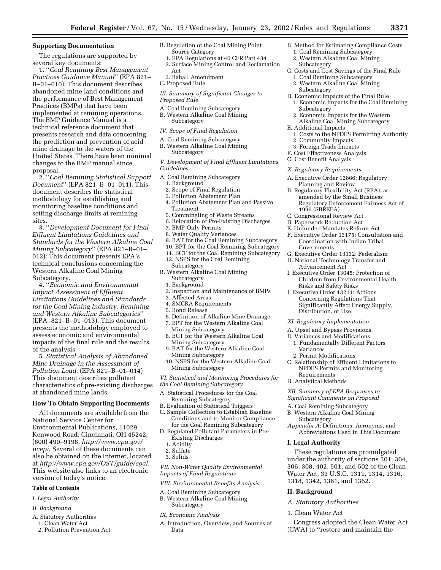# **Supporting Documentation**

The regulations are supported by several key documents:

1. ''*Coal Remining Best Management Practices Guidance Manual*'' (EPA 821– B–01–010). This document describes abandoned mine land conditions and the performance of Best Management Practices (BMPs) that have been implemented at remining operations. The BMP Guidance Manual is a technical reference document that presents research and data concerning the prediction and prevention of acid mine drainage to the waters of the United States. There have been minimal changes to the BMP manual since proposal.

2. ''*Coal Remining Statistical Support Document*'' (EPA 821–B–01–011). This document describes the statistical methodology for establishing and monitoring baseline conditions and setting discharge limits at remining sites.

3. ''*Development Document for Final Effluent Limitations Guidelines and Standards for the Western Alkaline Coal Mining Subcategory*'' (EPA 821–B–01– 012): This document presents EPA's technical conclusions concerning the Western Alkaline Coal Mining Subcategory.

4. ''*Economic and Environmental Impact Assessment of Effluent Limitations Guidelines and Standards for the Coal Mining Industry: Remining and Western Alkaline Subcategories*'' (EPA–821–B–01–013): This document presents the methodology employed to assess economic and environmental impacts of the final rule and the results of the analysis.

5. *Statistical Analysis of Abandoned Mine Drainage in the Assessment of Pollution Load.* (EPA 821–B–01–014) This document describes pollutant characteristics of pre-existing discharges at abandoned mine lands.

# **How To Obtain Supporting Documents**

All documents are available from the National Service Center for Environmental Publications, 11029 Kenwood Road, Cincinnati, OH 45242, (800) 490–9198, *http://www.epa.gov/ ncepi.* Several of these documents can also be obtained on the Internet, located at *http://www.epa.gov/OST/guide/coal.* This website also links to an electronic version of today's notice.

# **Table of Contents**

*I. Legal Authority*

#### *II. Background*

- A. Statutory Authorities
	- 1. Clean Water Act
	- 2. Pollution Prevention Act
- B. Regulation of the Coal Mining Point Source Category
- 1. EPA Regulations at 40 CFR Part 434
- 2. Surface Mining Control and Reclamation Act
- 3. Rahall Amendment
- C. Proposed Rule
- *III. Summary of Significant Changes to Proposed Rule*
- A. Coal Remining Subcategory B. Western Alkaline Coal Mining Subcategory
- *IV. Scope of Final Regulation*
- A. Coal Remining Subcategory B. Western Alkaline Coal Mining Subcategory

*V. Development of Final Effluent Limitations Guidelines*

- A. Coal Remining Subcategory 1. Background
	- 2. Scope of Final Regulation
	- 3. Pollution Abatement Plan
	- 4. Pollution Abatement Plan and Passive Treatment
	-
	- 5. Commingling of Waste Streams 6. Relocation of Pre-Existing Discharges
	-
	- 7. BMP-Only Permits 8. Water Quality Variances
- 
- 9. BAT for the Coal Remining Subcategory
- 10. BPT for the Coal Remining Subcategory 11. BCT for the Coal Remining Subcategory
- 
- 12. NSPS for the Coal Remining
- Subcategory B. Western Alkaline Coal Mining Subcategory
	- 1. Background
	- 2. Inspection and Maintenance of BMPs
	- 3. Affected Areas
	- 4. SMCRA Requirements
	- 5. Bond Release
	- 6. Definition of Alkaline Mine Drainage 7. BPT for the Western Alkaline Coal
	- Mining Subcategory 8. BCT for the Western Alkaline Coal
	- Mining Subcategory 9. BAT for the Western Alkaline Coal
	- Mining Subcategory 10. NSPS for the Western Alkaline Coal Mining Subcategory
- *VI. Statistical and Monitoring Procedures for*
- *the Coal Remining Subcategory* A. Statistical Procedures for the Coal
- Remining Subcategory
- B. Evaluation of Statistical Triggers
- C. Sample Collection to Establish Baseline Conditions and to Monitor Compliance for the Coal Remining Subcategory
- D. Regulated Pollutant Parameters in Pre-Existing Discharges
- 1. Acidity
- 2. Sulfate
- 3. Solids

*VII. Non-Water Quality Environmental Impacts of Final Regulations*

- *VIII. Environmental Benefits Analysis*
- A. Coal Remining Subcategory
- B. Western Alkaline Coal Mining Subcategory
- *IX. Economic Analysis*
- A. Introduction, Overview, and Sources of Data
- B. Method for Estimating Compliance Costs
	- 1. Coal Remining Subcategory 2. Western Alkaline Coal Mining Subcategory
- C. Costs and Cost Savings of the Final Rule 1. Coal Remining Subcategory
	- 2. Western Alkaline Coal Mining Subcategory
- D. Economic Impacts of the Final Rule 1. Economic Impacts for the Coal Remining Subcategory
- 2. Economic Impacts for the Western Alkaline Coal Mining Subcategory
- E. Additional Impacts
- 1. Costs to the NPDES Permitting Authority 2. Community Impacts
- 3. Foreign Trade Impacts
- F. Cost Effectiveness Analysis
- G. Cost Benefit Analysis
- *X. Regulatory Requirements*
- A. Executive Order 12866: Regulatory Planning and Review
- B. Regulatory Flexibility Act (RFA), as amended by the Small Business Regulatory Enforcement Fairness Act of 1996 (SBREFA)
- C. Congressional Review Act
- D. Paperwork Reduction Act
- E. Unfunded Mandates Reform Act
- F. Executive Order 13175: Consultation and Coordination with Indian Tribal Governments
- G. Executive Order 13132: Federalism
- H. National Technology Transfer and Advancement Act
- I. Executive Order 13045: Protection of Children from Environmental Health Risks and Safety Risks
- J. Executive Order 13211: Actions Concerning Regulations That Significantly Affect Energy Supply, Distribution, or Use
- *XI. Regulatory Implementation*
- A. Upset and Bypass Provisions
- B. Variances and Modifications
	- 1. Fundamentally Different Factors Variances
- 2. Permit Modifications
- C. Relationship of Effluent Limitations to NPDES Permits and Monitoring Requirements
- D. Analytical Methods

*XII. Summary of EPA Responses to Significant Comments on Proposal*

- A. Coal Remining Subcategory
- B. Western Alkaline Coal Mining Subcategory
- *Appendix A:* Definitions, Acronyms, and Abbreviations Used in This Document

#### **I. Legal Authority**

These regulations are promulgated under the authority of sections 301, 304, 306, 308, 402, 501, and 502 of the Clean Water Act, 33 U.S.C. 1311, 1314, 1316, 1318, 1342, 1361, and 1362.

Congress adopted the Clean Water Act (CWA) to ''restore and maintain the

### **II. Background**

*A. Statutory Authorities* 1. Clean Water Act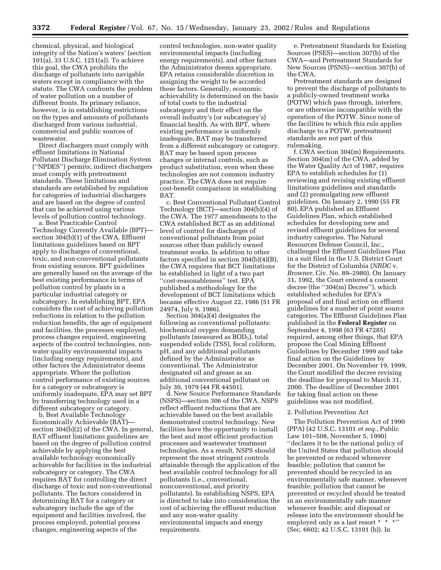chemical, physical, and biological integrity of the Nation's waters' (section 101(a), 33 U.S.C. 1251(a)). To achieve this goal, the CWA prohibits the discharge of pollutants into navigable waters except in compliance with the statute. The CWA confronts the problem of water pollution on a number of different fronts. Its primary reliance, however, is in establishing restrictions on the types and amounts of pollutants discharged from various industrial, commercial and public sources of wastewater.

Direct dischargers must comply with effluent limitations in National Pollutant Discharge Elimination System (''NPDES'') permits; indirect dischargers must comply with pretreatment standards. These limitations and standards are established by regulation for categories of industrial dischargers and are based on the degree of control that can be achieved using various levels of pollution control technology.

a. Best Practicable Control Technology Currently Available (BPT) section 304(b)(1) of the CWA. Effluent limitations guidelines based on BPT apply to discharges of conventional, toxic, and non-conventional pollutants from existing sources. BPT guidelines are generally based on the average of the best existing performance in terms of pollution control by plants in a particular industrial category or subcategory. In establishing BPT, EPA considers the cost of achieving pollution reductions in relation to the pollution reduction benefits, the age of equipment and facilities, the processes employed, process changes required, engineering aspects of the control technologies, nonwater quality environmental impacts (including energy requirements), and other factors the Administrator deems appropriate. Where the pollution control performance of existing sources for a category or subcategory is uniformly inadequate, EPA may set BPT by transferring technology used in a different subcategory or category.

b. Best Available Technology Economically Achievable (BAT) section 304(b)(2) of the CWA. In general, BAT effluent limitations guidelines are based on the degree of pollution control achievable by applying the best available technology economically achievable for facilities in the industrial subcategory or category. The CWA requires BAT for controlling the direct discharge of toxic and non-conventional pollutants. The factors considered in determining BAT for a category or subcategory include the age of the equipment and facilities involved, the process employed, potential process changes, engineering aspects of the

control technologies, non-water quality environmental impacts (including energy requirements), and other factors the Administrator deems appropriate. EPA retains considerable discretion in assigning the weight to be accorded these factors. Generally, economic achievability is determined on the basis of total costs to the industrial subcategory and their effect on the overall industry's (or subcategory's) financial health. As with BPT, where existing performance is uniformly inadequate, BAT may be transferred from a different subcategory or category. BAT may be based upon process changes or internal controls, such as product substitution, even when these technologies are not common industry practice. The CWA does not require cost-benefit comparison in establishing BAT.

c. Best Conventional Pollutant Control Technology (BCT)—section 304(b)(4) of the CWA. The 1977 amendments to the CWA established BCT as an additional level of control for discharges of conventional pollutants from point sources other than publicly owned treatment works. In addition to other factors specified in section 304(b)(4)(B), the CWA requires that BCT limitations be established in light of a two part ''cost-reasonableness'' test. EPA published a methodology for the development of BCT limitations which became effective August 22, 1986 (51 FR 24974, July 9, 1986).

Section 304(a)(4) designates the following as conventional pollutants: biochemical oxygen demanding pollutants (measured as  $BOD<sub>5</sub>$ ), total suspended solids (TSS), fecal coliform, pH, and any additional pollutants defined by the Administrator as conventional. The Administrator designated oil and grease as an additional conventional pollutant on July 30, 1979 (44 FR 44501).

d. New Source Performance Standards (NSPS)—section 306 of the CWA. NSPS reflect effluent reductions that are achievable based on the best available demonstrated control technology. New facilities have the opportunity to install the best and most efficient production processes and wastewater treatment technologies. As a result, NSPS should represent the most stringent controls attainable through the application of the best available control technology for all pollutants (i.e., conventional, nonconventional, and priority pollutants). In establishing NSPS, EPA is directed to take into consideration the cost of achieving the effluent reduction and any non-water quality environmental impacts and energy requirements.

e. Pretreatment Standards for Existing Sources (PSES)—section 307(b) of the CWA—and Pretreatment Standards for New Sources (PSNS)—section 307(b) of the CWA.

Pretreatment standards are designed to prevent the discharge of pollutants to a publicly-owned treatment works (POTW) which pass through, interfere, or are otherwise incompatible with the operation of the POTW. Since none of the facilities to which this rule applies discharge to a POTW, pretreatment standards are not part of this rulemaking.

f. CWA section 304(m) Requirements. Section 304(m) of the CWA, added by the Water Quality Act of 1987, requires EPA to establish schedules for (1) reviewing and revising existing effluent limitations guidelines and standards and (2) promulgating new effluent guidelines. On January 2, 1990 (55 FR 80), EPA published an Effluent Guidelines Plan, which established schedules for developing new and revised effluent guidelines for several industry categories. The Natural Resources Defense Council, Inc., challenged the Effluent Guidelines Plan in a suit filed in the U.S. District Court for the District of Columbia (*NRDC* v. *Browner*, Civ. No. 89–2980). On January 31, 1992, the Court entered a consent decree (the ''304(m) Decree''), which established schedules for EPA's proposal of and final action on effluent guidelines for a number of point source categories. The Effluent Guidelines Plan published in the **Federal Register** on September 4, 1998 (63 FR 47285) required, among other things, that EPA propose the Coal Mining Effluent Guidelines by December 1999 and take final action on the Guidelines by December 2001. On November 19, 1999, the Court modified the decree revising the deadline for proposal to March 31, 2000. The deadline of December 2001 for taking final action on these guidelines was not modified.

#### 2. Pollution Prevention Act

The Pollution Prevention Act of 1990 (PPA) (42 U.S.C. 13101 *et seq.*, Public Law 101–508, November 5, 1990) ''declares it to be the national policy of the United States that pollution should be prevented or reduced whenever feasible; pollution that cannot be prevented should be recycled in an environmentally safe manner, whenever feasible; pollution that cannot be prevented or recycled should be treated in an environmentally safe manner whenever feasible; and disposal or release into the environment should be employed only as a last resort \* \* \*'' (Sec. 6602; 42 U.S.C. 13101 (b)). In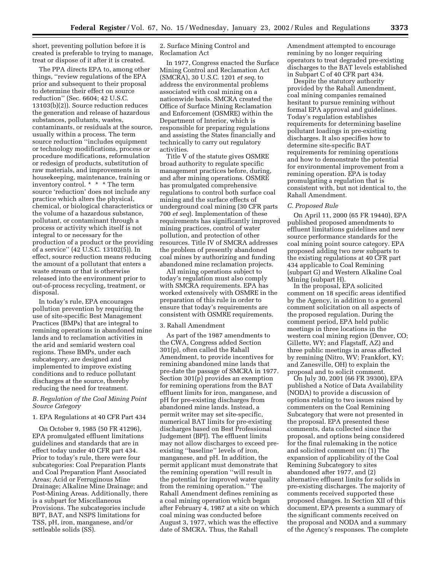short, preventing pollution before it is created is preferable to trying to manage, treat or dispose of it after it is created.

The PPA directs EPA to, among other things, ''review regulations of the EPA prior and subsequent to their proposal to determine their effect on source reduction'' (Sec. 6604; 42 U.S.C. 13103(b)(2)). Source reduction reduces the generation and release of hazardous substances, pollutants, wastes, contaminants, or residuals at the source, usually within a process. The term source reduction ''includes equipment or technology modifications, process or procedure modifications, reformulation or redesign of products, substitution of raw materials, and improvements in housekeeping, maintenance, training or inventory control. \* \* \* The term source 'reduction' does not include any practice which alters the physical, chemical, or biological characteristics or the volume of a hazardous substance, pollutant, or contaminant through a process or activity which itself is not integral to or necessary for the production of a product or the providing of a service'' (42 U.S.C. 13102(5)). In effect, source reduction means reducing the amount of a pollutant that enters a waste stream or that is otherwise released into the environment prior to out-of-process recycling, treatment, or disposal.

In today's rule, EPA encourages pollution prevention by requiring the use of site-specific Best Management Practices (BMPs) that are integral to remining operations in abandoned mine lands and to reclamation activities in the arid and semiarid western coal regions. These BMPs, under each subcategory, are designed and implemented to improve existing conditions and to reduce pollutant discharges at the source, thereby reducing the need for treatment.

# *B. Regulation of the Coal Mining Point Source Category*

#### 1. EPA Regulations at 40 CFR Part 434

On October 9, 1985 (50 FR 41296), EPA promulgated effluent limitations guidelines and standards that are in effect today under 40 CFR part 434. Prior to today's rule, there were four subcategories: Coal Preparation Plants and Coal Preparation Plant Associated Areas; Acid or Ferruginous Mine Drainage; Alkaline Mine Drainage; and Post-Mining Areas. Additionally, there is a subpart for Miscellaneous Provisions. The subcategories include BPT, BAT, and NSPS limitations for TSS, pH, iron, manganese, and/or settleable solids (SS).

# 2. Surface Mining Control and Reclamation Act

In 1977, Congress enacted the Surface Mining Control and Reclamation Act (SMCRA), 30 U.S.C. 1201 *et seq*, to address the environmental problems associated with coal mining on a nationwide basis. SMCRA created the Office of Surface Mining Reclamation and Enforcement (OSMRE) within the Department of Interior, which is responsible for preparing regulations and assisting the States financially and technically to carry out regulatory activities.

Title V of the statute gives OSMRE broad authority to regulate specific management practices before, during, and after mining operations. OSMRE has promulgated comprehensive regulations to control both surface coal mining and the surface effects of underground coal mining (30 CFR parts 700 *et seq*). Implementation of these requirements has significantly improved mining practices, control of water pollution, and protection of other resources. Title IV of SMCRA addresses the problem of presently abandoned coal mines by authorizing and funding abandoned mine reclamation projects.

All mining operations subject to today's regulation must also comply with SMCRA requirements. EPA has worked extensively with OSMRE in the preparation of this rule in order to ensure that today's requirements are consistent with OSMRE requirements.

#### 3. Rahall Amendment

As part of the 1987 amendments to the CWA, Congress added Section 301(p), often called the Rahall Amendment, to provide incentives for remining abandoned mine lands that pre-date the passage of SMCRA in 1977. Section 301(p) provides an exemption for remining operations from the BAT effluent limits for iron, manganese, and pH for pre-existing discharges from abandoned mine lands. Instead, a permit writer may set site-specific, numerical BAT limits for pre-existing discharges based on Best Professional Judgement (BPJ). The effluent limits may not allow discharges to exceed preexisting ''baseline'' levels of iron, manganese, and pH. In addition, the permit applicant must demonstrate that the remining operation ''will result in the potential for improved water quality from the remining operation.'' The Rahall Amendment defines remining as a coal mining operation which began after February 4, 1987 at a site on which coal mining was conducted before August 3, 1977, which was the effective date of SMCRA. Thus, the Rahall

Amendment attempted to encourage remining by no longer requiring operators to treat degraded pre-existing discharges to the BAT levels established in Subpart C of 40 CFR part 434.

Despite the statutory authority provided by the Rahall Amendment, coal mining companies remained hesitant to pursue remining without formal EPA approval and guidelines. Today's regulation establishes requirements for determining baseline pollutant loadings in pre-existing discharges. It also specifies how to determine site-specific BAT requirements for remining operations and how to demonstrate the potential for environmental improvement from a remining operation. EPA is today promulgating a regulation that is consistent with, but not identical to, the Rahall Amendment.

#### *C. Proposed Rule*

On April 11, 2000 (65 FR 19440), EPA published proposed amendments to effluent limitations guidelines and new source performance standards for the coal mining point source category. EPA proposed adding two new subparts to the existing regulations at 40 CFR part 434 applicable to Coal Remining (subpart G) and Western Alkaline Coal Mining (subpart H).

In the proposal, EPA solicited comment on 18 specific areas identified by the Agency, in addition to a general comment solicitation on all aspects of the proposed regulation. During the comment period, EPA held public meetings in three locations in the western coal mining region (Denver, CO; Gillette, WY; and Flagstaff, AZ) and three public meetings in areas affected by remining (Nitro, WV; Frankfort, KY; and Zanesville, OH) to explain the proposal and to solicit comment.

On July 30, 2001 (66 FR 39300), EPA published a Notice of Data Availability (NODA) to provide a discussion of options relating to two issues raised by commenters on the Coal Remining Subcategory that were not presented in the proposal. EPA presented these comments, data collected since the proposal, and options being considered for the final rulemaking in the notice and solicited comment on: (1) The expansion of applicability of the Coal Remining Subcategory to sites abandoned after 1977, and (2) alternative effluent limits for solids in pre-existing discharges. The majority of comments received supported these proposed changes. In Section XII of this document, EPA presents a summary of the significant comments received on the proposal and NODA and a summary of the Agency's responses. The complete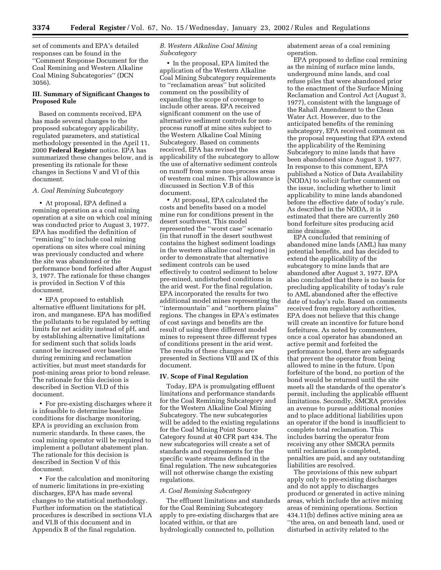set of comments and EPA's detailed responses can be found in the ''Comment Response Document for the Coal Remining and Western Alkaline Coal Mining Subcategories'' (DCN 3056).

# **III. Summary of Significant Changes to Proposed Rule**

Based on comments received, EPA has made several changes to the proposed subcategory applicability, regulated parameters, and statistical methodology presented in the April 11, 2000 **Federal Register** notice. EPA has summarized these changes below, and is presenting its rationale for these changes in Sections V and VI of this document.

# *A. Coal Remining Subcategory*

• At proposal, EPA defined a remining operation as a coal mining operation at a site on which coal mining was conducted prior to August 3, 1977. EPA has modified the definition of ''remining'' to include coal mining operations on sites where coal mining was previously conducted and where the site was abandoned or the performance bond forfeited after August 3, 1977. The rationale for these changes is provided in Section V of this document.

• EPA proposed to establish alternative effluent limitations for pH, iron, and manganese. EPA has modified the pollutants to be regulated by setting limits for net acidity instead of pH, and by establishing alternative limitations for sediment such that solids loads cannot be increased over baseline during remining and reclamation activities, but must meet standards for post-mining areas prior to bond release. The rationale for this decision is described in Section VI.D of this document.

• For pre-existing discharges where it is infeasible to determine baseline conditions for discharge monitoring, EPA is providing an exclusion from numeric standards. In these cases, the coal mining operator will be required to implement a pollutant abatement plan. The rationale for this decision is described in Section V of this document.

• For the calculation and monitoring of numeric limitations in pre-existing discharges, EPA has made several changes to the statistical methodology. Further information on the statistical procedures is described in sections VI.A and VI.B of this document and in Appendix B of the final regulation.

# *B. Western Alkaline Coal Mining Subcategory*

• In the proposal, EPA limited the application of the Western Alkaline Coal Mining Subcategory requirements to ''reclamation areas'' but solicited comment on the possibility of expanding the scope of coverage to include other areas. EPA received significant comment on the use of alternative sediment controls for nonprocess runoff at mine sites subject to the Western Alkaline Coal Mining Subcategory. Based on comments received, EPA has revised the applicability of the subcategory to allow the use of alternative sediment controls on runoff from some non-process areas of western coal mines. This allowance is discussed in Section V.B of this document.

• At proposal, EPA calculated the costs and benefits based on a model mine run for conditions present in the desert southwest. This model represented the ''worst case'' scenario (in that runoff in the desert southwest contains the highest sediment loadings in the western alkaline coal regions) in order to demonstrate that alternative sediment controls can be used effectively to control sediment to below pre-mined, undisturbed conditions in the arid west. For the final regulation, EPA incorporated the results for two additional model mines representing the ''intermountain'' and ''northern plains'' regions. The changes in EPA's estimates of cost savings and benefits are the result of using three different model mines to represent three different types of conditions present in the arid west. The results of these changes are presented in Sections VIII and IX of this document.

### **IV. Scope of Final Regulation**

Today, EPA is promulgating effluent limitations and performance standards for the Coal Remining Subcategory and for the Western Alkaline Coal Mining Subcategory. The new subcategories will be added to the existing regulations for the Coal Mining Point Source Category found at 40 CFR part 434. The new subcategories will create a set of standards and requirements for the specific waste streams defined in the final regulation. The new subcategories will not otherwise change the existing regulations.

#### *A. Coal Remining Subcategory*

The effluent limitations and standards for the Coal Remining Subcategory apply to pre-existing discharges that are located within, or that are hydrologically connected to, pollution

abatement areas of a coal remining operation.

EPA proposed to define coal remining as the mining of surface mine lands, underground mine lands, and coal refuse piles that were abandoned prior to the enactment of the Surface Mining Reclamation and Control Act (August 3, 1977), consistent with the language of the Rahall Amendment to the Clean Water Act. However, due to the anticipated benefits of the remining subcategory, EPA received comment on the proposal requesting that EPA extend the applicability of the Remining Subcategory to mine lands that have been abandoned since August 3, 1977. In response to this comment, EPA published a Notice of Data Availability (NODA) to solicit further comment on the issue, including whether to limit applicability to mine lands abandoned before the effective date of today's rule. As described in the NODA, it is estimated that there are currently 260 bond forfeiture sites producing acid mine drainage.

EPA concluded that remining of abandoned mine lands (AML) has many potential benefits, and has decided to extend the applicability of the subcategory to mine lands that are abandoned after August 3, 1977. EPA also concluded that there is no basis for precluding applicability of today's rule to AML abandoned after the effective date of today's rule. Based on comments received from regulatory authorities, EPA does not believe that this change will create an incentive for future bond forfeitures. As noted by commenters, once a coal operator has abandoned an active permit and forfeited the performance bond, there are safeguards that prevent the operator from being allowed to mine in the future. Upon forfeiture of the bond, no portion of the bond would be returned until the site meets all the standards of the operator's permit, including the applicable effluent limitations. Secondly, SMCRA provides an avenue to pursue additional monies and to place additional liabilities upon an operator if the bond is insufficient to complete total reclamation. This includes barring the operator from receiving any other SMCRA permits until reclamation is completed, penalties are paid, and any outstanding liabilities are resolved.

The provisions of this new subpart apply only to pre-existing discharges and do not apply to discharges produced or generated in active mining areas, which include the active mining areas of remining operations. Section 434.11(b) defines active mining area as ''the area, on and beneath land, used or disturbed in activity related to the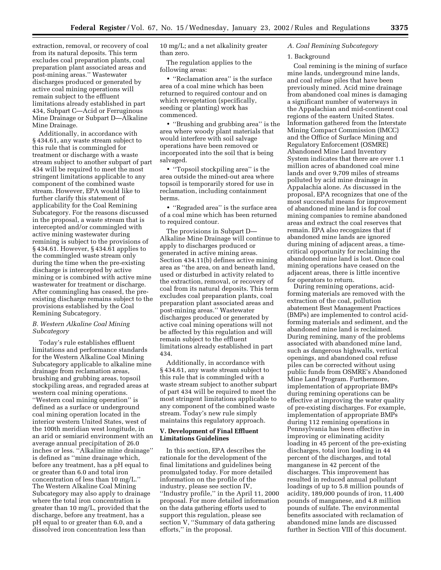extraction, removal, or recovery of coal from its natural deposits. This term excludes coal preparation plants, coal preparation plant associated areas and post-mining areas.'' Wastewater discharges produced or generated by active coal mining operations will remain subject to the effluent limitations already established in part 434, Subpart C—Acid or Ferruginous Mine Drainage or Subpart D—Alkaline Mine Drainage.

Additionally, in accordance with § 434.61, any waste stream subject to this rule that is commingled for treatment or discharge with a waste stream subject to another subpart of part 434 will be required to meet the most stringent limitations applicable to any component of the combined waste stream. However, EPA would like to further clarify this statement of applicability for the Coal Remining Subcategory. For the reasons discussed in the proposal, a waste stream that is intercepted and/or commingled with active mining wastewater during remining is subject to the provisions of § 434.61. However, § 434.61 applies to the commingled waste stream only during the time when the pre-existing discharge is intercepted by active mining or is combined with active mine wastewater for treatment or discharge. After commingling has ceased, the preexisting discharge remains subject to the provisions established by the Coal Remining Subcategory.

# *B. Western Alkaline Coal Mining Subcategory*

Today's rule establishes effluent limitations and performance standards for the Western Alkaline Coal Mining Subcategory applicable to alkaline mine drainage from reclamation areas, brushing and grubbing areas, topsoil stockpiling areas, and regraded areas at western coal mining operations. ''Western coal mining operation'' is defined as a surface or underground coal mining operation located in the interior western United States, west of the 100th meridian west longitude, in an arid or semiarid environment with an average annual precipitation of 26.0 inches or less. ''Alkaline mine drainage'' is defined as ''mine drainage which, before any treatment, has a pH equal to or greater than 6.0 and total iron concentration of less than 10 mg/L.'' The Western Alkaline Coal Mining Subcategory may also apply to drainage where the total iron concentration is greater than 10 mg/L, provided that the discharge, before any treatment, has a pH equal to or greater than 6.0, and a dissolved iron concentration less than

10 mg/L; and a net alkalinity greater than zero.

The regulation applies to the following areas:

• ''Reclamation area'' is the surface area of a coal mine which has been returned to required contour and on which revegetation (specifically, seeding or planting) work has commenced.

• ''Brushing and grubbing area'' is the area where woody plant materials that would interfere with soil salvage operations have been removed or incorporated into the soil that is being salvaged.

• ''Topsoil stockpiling area'' is the area outside the mined-out area where topsoil is temporarily stored for use in reclamation, including containment berms.

• ''Regraded area'' is the surface area of a coal mine which has been returned to required contour.

The provisions in Subpart D— Alkaline Mine Drainage will continue to apply to discharges produced or generated in active mining areas. Section 434.11(b) defines active mining area as ''the area, on and beneath land, used or disturbed in activity related to the extraction, removal, or recovery of coal from its natural deposits. This term excludes coal preparation plants, coal preparation plant associated areas and post-mining areas.'' Wastewater discharges produced or generated by active coal mining operations will not be affected by this regulation and will remain subject to the effluent limitations already established in part 434.

Additionally, in accordance with § 434.61, any waste stream subject to this rule that is commingled with a waste stream subject to another subpart of part 434 will be required to meet the most stringent limitations applicable to any component of the combined waste stream. Today's new rule simply maintains this regulatory approach.

# **V. Development of Final Effluent Limitations Guidelines**

In this section, EPA describes the rationale for the development of the final limitations and guidelines being promulgated today. For more detailed information on the profile of the industry, please see section IV, ''Industry profile,'' in the April 11, 2000 proposal. For more detailed information on the data gathering efforts used to support this regulation, please see section V, ''Summary of data gathering efforts,'' in the proposal.

# *A. Coal Remining Subcategory*

#### 1. Background

Coal remining is the mining of surface mine lands, underground mine lands, and coal refuse piles that have been previously mined. Acid mine drainage from abandoned coal mines is damaging a significant number of waterways in the Appalachian and mid-continent coal regions of the eastern United States. Information gathered from the Interstate Mining Compact Commission (IMCC) and the Office of Surface Mining and Regulatory Enforcement (OSMRE) Abandoned Mine Land Inventory System indicates that there are over 1.1 million acres of abandoned coal mine lands and over 9,709 miles of streams polluted by acid mine drainage in Appalachia alone. As discussed in the proposal, EPA recognizes that one of the most successful means for improvement of abandoned mine land is for coal mining companies to remine abandoned areas and extract the coal reserves that remain. EPA also recognizes that if abandoned mine lands are ignored during mining of adjacent areas, a timecritical opportunity for reclaiming the abandoned mine land is lost. Once coal mining operations have ceased on the adjacent areas, there is little incentive for operators to return.

During remining operations, acidforming materials are removed with the extraction of the coal, pollution abatement Best Management Practices (BMPs) are implemented to control acidforming materials and sediment, and the abandoned mine land is reclaimed. During remining, many of the problems associated with abandoned mine land, such as dangerous highwalls, vertical openings, and abandoned coal refuse piles can be corrected without using public funds from OSMRE's Abandoned Mine Land Program. Furthermore, implementation of appropriate BMPs during remining operations can be effective at improving the water quality of pre-existing discharges. For example, implementation of appropriate BMPs during 112 remining operations in Pennsylvania has been effective in improving or eliminating acidity loading in 45 percent of the pre-existing discharges, total iron loading in 44 percent of the discharges, and total manganese in 42 percent of the discharges. This improvement has resulted in reduced annual pollutant loadings of up to 5.8 million pounds of acidity, 189,000 pounds of iron, 11,400 pounds of manganese, and 4.8 million pounds of sulfate. The environmental benefits associated with reclamation of abandoned mine lands are discussed further in Section VIII of this document.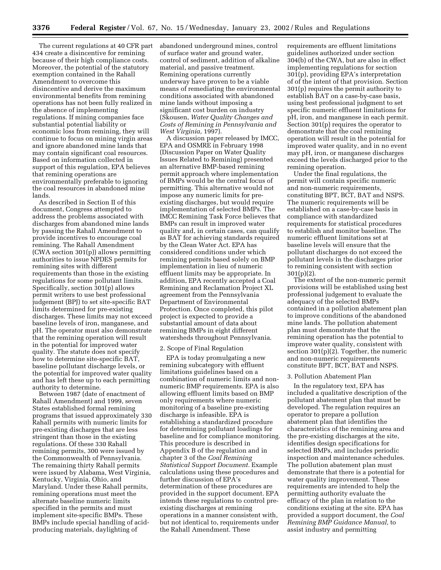The current regulations at 40 CFR part 434 create a disincentive for remining because of their high compliance costs. Moreover, the potential of the statutory exemption contained in the Rahall Amendment to overcome this disincentive and derive the maximum environmental benefits from remining operations has not been fully realized in the absence of implementing regulations. If mining companies face substantial potential liability or economic loss from remining, they will continue to focus on mining virgin areas and ignore abandoned mine lands that may contain significant coal resources. Based on information collected in support of this regulation, EPA believes that remining operations are environmentally preferable to ignoring the coal resources in abandoned mine lands.

As described in Section II of this document, Congress attempted to address the problems associated with discharges from abandoned mine lands by passing the Rahall Amendment to provide incentives to encourage coal remining. The Rahall Amendment (CWA section 301(p)) allows permitting authorities to issue NPDES permits for remining sites with different requirements than those in the existing regulations for some pollutant limits. Specifically, section 301(p) allows permit writers to use best professional judgement (BPJ) to set site-specific BAT limits determined for pre-existing discharges. These limits may not exceed baseline levels of iron, manganese, and pH. The operator must also demonstrate that the remining operation will result in the potential for improved water quality. The statute does not specify how to determine site-specific BAT, baseline pollutant discharge levels, or the potential for improved water quality and has left these up to each permitting authority to determine.

Between 1987 (date of enactment of Rahall Amendment) and 1999, seven States established formal remining programs that issued approximately 330 Rahall permits with numeric limits for pre-existing discharges that are less stringent than those in the existing regulations. Of these 330 Rahall remining permits, 300 were issued by the Commonwealth of Pennsylvania. The remaining thirty Rahall permits were issued by Alabama, West Virginia, Kentucky, Virginia, Ohio, and Maryland. Under these Rahall permits, remining operations must meet the alternate baseline numeric limits specified in the permits and must implement site-specific BMPs. These BMPs include special handling of acidproducing materials, daylighting of

abandoned underground mines, control of surface water and ground water, control of sediment, addition of alkaline material, and passive treatment. Remining operations currently underway have proven to be a viable means of remediating the environmental conditions associated with abandoned mine lands without imposing a significant cost burden on industry (Skousen, *Water Quality Changes and Costs of Remining in Pennsylvania and West Virginia,* 1997).

A discussion paper released by IMCC, EPA and OSMRE in February 1998 (Discussion Paper on Water Quality Issues Related to Remining) presented an alternative BMP-based remining permit approach where implementation of BMPs would be the central focus of permitting. This alternative would not impose any numeric limits for preexisting discharges, but would require implementation of selected BMPs. The IMCC Remining Task Force believes that BMPs can result in improved water quality and, in certain cases, can qualify as BAT for achieving standards required by the Clean Water Act. EPA has considered conditions under which remining permits based solely on BMP implementation in lieu of numeric effluent limits may be appropriate. In addition, EPA recently accepted a Coal Remining and Reclamation Project XL agreement from the Pennsylvania Department of Environmental Protection. Once completed, this pilot project is expected to provide a substantial amount of data about remining BMPs in eight different watersheds throughout Pennsylvania.

# 2. Scope of Final Regulation

EPA is today promulgating a new remining subcategory with effluent limitations guidelines based on a combination of numeric limits and nonnumeric BMP requirements. EPA is also allowing effluent limits based on BMP only requirements where numeric monitoring of a baseline pre-existing discharge is infeasible. EPA is establishing a standardized procedure for determining pollutant loadings for baseline and for compliance monitoring. This procedure is described in Appendix B of the regulation and in chapter 3 of the *Coal Remining Statistical Support Document.* Example calculations using these procedures and further discussion of EPA's determination of these procedures are provided in the support document. EPA intends these regulations to control preexisting discharges at remining operations in a manner consistent with, but not identical to, requirements under the Rahall Amendment. These

requirements are effluent limitations guidelines authorized under section 304(b) of the CWA, but are also in effect implementing regulations for section 301(p), providing EPA's interpretation of of the intent of that provision. Section 301(p) requires the permit authority to establish BAT on a case-by-case basis, using best professional judgment to set specific numeric effluent limitations for pH, iron, and manganese in each permit. Section 301(p) requires the operator to demonstrate that the coal remining operation will result in the potential for improved water quality, and in no event may pH, iron, or manganese discharges exceed the levels discharged prior to the remining operation.

Under the final regulations, the permit will contain specific numeric and non-numeric requirements, constituting BPT, BCT, BAT and NSPS. The numeric requirements will be established on a case-by-case basis in compliance with standardized requirements for statistical procedures to establish and monitor baseline. The numeric effluent limitations set at baseline levels will ensure that the pollutant discharges do not exceed the pollutant levels in the discharges prior to remining consistent with section 301(p)(2).

The extent of the non-numeric permit provisions will be established using best professional judgement to evaluate the adequacy of the selected BMPs contained in a pollution abatement plan to improve conditions of the abandoned mine lands. The pollution abatement plan must demonstrate that the remining operation has the potential to improve water quality, consistent with section 301(p)(2). Together, the numeric and non-numeric requirements constitute BPT, BCT, BAT and NSPS.

### 3. Pollution Abatement Plan

In the regulatory text, EPA has included a qualitative description of the pollutant abatement plan that must be developed. The regulation requires an operator to prepare a pollution abatement plan that identifies the characteristics of the remining area and the pre-existing discharges at the site, identifies design specifications for selected BMPs, and includes periodic inspection and maintenance schedules. The pollution abatement plan must demonstrate that there is a potential for water quality improvement. These requirements are intended to help the permitting authority evaluate the efficacy of the plan in relation to the conditions existing at the site. EPA has provided a support document, the *Coal Remining BMP Guidance Manual,* to assist industry and permitting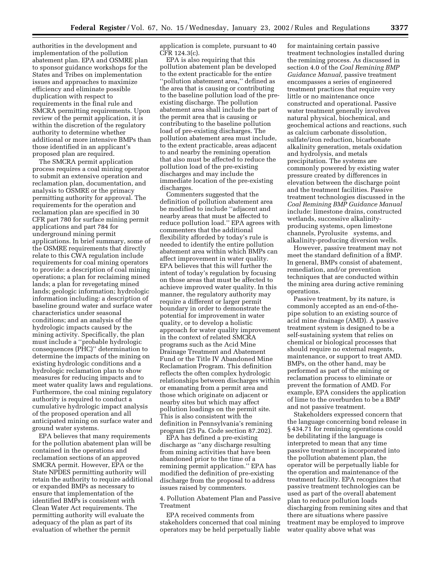authorities in the development and implementation of the pollution abatement plan. EPA and OSMRE plan to sponsor guidance workshops for the States and Tribes on implementation issues and approaches to maximize efficiency and eliminate possible duplication with respect to requirements in the final rule and SMCRA permitting requirements. Upon review of the permit application, it is within the discretion of the regulatory authority to determine whether additional or more intensive BMPs than those identified in an applicant's proposed plan are required.

The SMCRA permit application process requires a coal mining operator to submit an extensive operation and reclamation plan, documentation, and analysis to OSMRE or the primacy permitting authority for approval. The requirements for the operation and reclamation plan are specified in 30 CFR part 780 for surface mining permit applications and part 784 for underground mining permit applications. In brief summary, some of the OSMRE requirements that directly relate to this CWA regulation include requirements for coal mining operators to provide: a description of coal mining operations; a plan for reclaiming mined lands; a plan for revegetating mined lands; geologic information; hydrologic information including: a description of baseline ground water and surface water characteristics under seasonal conditions; and an analysis of the hydrologic impacts caused by the mining activity. Specifically, the plan must include a ''probable hydrologic consequences (PHC)'' determination to determine the impacts of the mining on existing hydrologic conditions and a hydrologic reclamation plan to show measures for reducing impacts and to meet water quality laws and regulations. Furthermore, the coal mining regulatory authority is required to conduct a cumulative hydrologic impact analysis of the proposed operation and all anticipated mining on surface water and ground water systems.

EPA believes that many requirements for the pollution abatement plan will be contained in the operations and reclamation sections of an approved SMCRA permit. However, EPA or the State NPDES permitting authority will retain the authority to require additional or expanded BMPs as necessary to ensure that implementation of the identified BMPs is consistent with Clean Water Act requirements. The permitting authority will evaluate the adequacy of the plan as part of its evaluation of whether the permit

application is complete, pursuant to 40 CFR 124.3(c).

EPA is also requiring that this pollution abatement plan be developed to the extent practicable for the entire ''pollution abatement area,'' defined as the area that is causing or contributing to the baseline pollution load of the preexisting discharge. The pollution abatement area shall include the part of the permit area that is causing or contributing to the baseline pollution load of pre-existing discharges. The pollution abatement area must include, to the extent practicable, areas adjacent to and nearby the remining operation that also must be affected to reduce the pollution load of the pre-existing discharges and may include the immediate location of the pre-existing discharges.

Commenters suggested that the definition of pollution abatement area be modified to include ''adjacent and nearby areas that must be affected to reduce pollution load.'' EPA agrees with commenters that the additional flexibility afforded by today's rule is needed to identify the entire pollution abatement area within which BMPs can affect improvement in water quality. EPA believes that this will further the intent of today's regulation by focusing on those areas that must be affected to achieve improved water quality. In this manner, the regulatory authority may require a different or larger permit boundary in order to demonstrate the potential for improvement in water quality, or to develop a holistic approach for water quality improvement in the context of related SMCRA programs such as the Acid Mine Drainage Treatment and Abatement Fund or the Title IV Abandoned Mine Reclamation Program. This definition reflects the often complex hydrologic relationships between discharges within or emanating from a permit area and those which originate on adjacent or nearby sites but which may affect pollution loadings on the permit site. This is also consistent with the definition in Pennsylvania's remining program (25 Pa. Code section 87.202).

EPA has defined a pre-existing discharge as ''any discharge resulting from mining activities that have been abandoned prior to the time of a remining permit application.'' EPA has modified the definition of pre-existing discharge from the proposal to address issues raised by commenters.

4. Pollution Abatement Plan and Passive Treatment

EPA received comments from stakeholders concerned that coal mining operators may be held perpetually liable

for maintaining certain passive treatment technologies installed during the remining process. As discussed in section 4.0 of the *Coal Remining BMP Guidance Manual,* passive treatment encompasses a series of engineered treatment practices that require very little or no maintenance once constructed and operational. Passive water treatment generally involves natural physical, biochemical, and geochemical actions and reactions, such as calcium carbonate dissolution, sulfate/iron reduction, bicarbonate alkalinity generation, metals oxidation and hydrolysis, and metals precipitation. The systems are commonly powered by existing water pressure created by differences in elevation between the discharge point and the treatment facilities. Passive treatment technologies discussed in the *Coal Remining BMP Guidance Manual* include: limestone drains, constructed wetlands, successive alkalinityproducing systems, open limestone channels, Pyrolusite® systems, and alkalinity-producing diversion wells.

However, passive treatment may not meet the standard definition of a BMP. In general, BMPs consist of abatement, remediation, and/or prevention techniques that are conducted within the mining area during active remining operations.

Passive treatment, by its nature, is commonly accepted as an end-of-thepipe solution to an existing source of acid mine drainage (AMD). A passive treatment system is designed to be a self-sustaining system that relies on chemical or biological processes that should require no external reagents, maintenance, or support to treat AMD. BMPs, on the other hand, may be performed as part of the mining or reclamation process to eliminate or prevent the formation of AMD. For example, EPA considers the application of lime to the overburden to be a BMP and not passive treatment.

Stakeholders expressed concern that the language concerning bond release in § 434.71 for remining operations could be debilitating if the language is interpreted to mean that any time passive treatment is incorporated into the pollution abatement plan, the operator will be perpetually liable for the operation and maintenance of the treatment facility. EPA recognizes that passive treatment technologies can be used as part of the overall abatement plan to reduce pollution loads discharging from remining sites and that there are situations where passive treatment may be employed to improve water quality above what was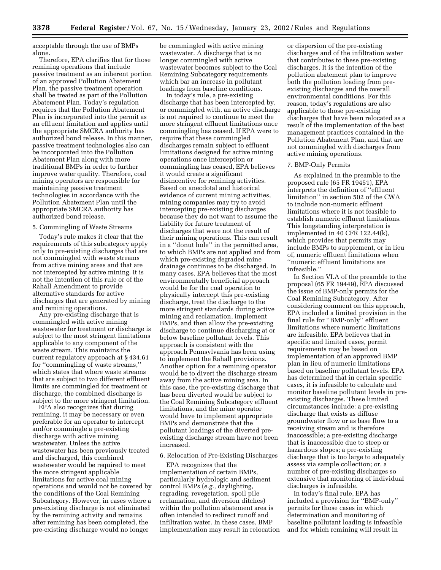acceptable through the use of BMPs alone.

Therefore, EPA clarifies that for those remining operations that include passive treatment as an inherent portion of an approved Pollution Abatement Plan, the passive treatment operation shall be treated as part of the Pollution Abatement Plan. Today's regulation requires that the Pollution Abatement Plan is incorporated into the permit as an effluent limitation and applies until the appropriate SMCRA authority has authorized bond release. In this manner, passive treatment technologies also can be incorporated into the Pollution Abatement Plan along with more traditional BMPs in order to further improve water quality. Therefore, coal mining operators are responsible for maintaining passive treatment technologies in accordance with the Pollution Abatement Plan until the appropriate SMCRA authority has authorized bond release.

#### 5. Commingling of Waste Streams

Today's rule makes it clear that the requirements of this subcategory apply only to pre-existing discharges that are not commingled with waste streams from active mining areas and that are not intercepted by active mining. It is not the intention of this rule or of the Rahall Amendment to provide alternative standards for active discharges that are generated by mining and remining operations.

Any pre-existing discharge that is commingled with active mining wastewater for treatment or discharge is subject to the most stringent limitations applicable to any component of the waste stream. This maintains the current regulatory approach at § 434.61 for ''commingling of waste streams,'' which states that where waste streams that are subject to two different effluent limits are commingled for treatment or discharge, the combined discharge is subject to the more stringent limitation.

EPA also recognizes that during remining, it may be necessary or even preferable for an operator to intercept and/or commingle a pre-existing discharge with active mining wastewater. Unless the active wastewater has been previously treated and discharged, this combined wastewater would be required to meet the more stringent applicable limitations for active coal mining operations and would not be covered by the conditions of the Coal Remining Subcategory. However, in cases where a pre-existing discharge is not eliminated by the remining activity and remains after remining has been completed, the pre-existing discharge would no longer

be commingled with active mining wastewater. A discharge that is no longer commingled with active wastewater becomes subject to the Coal Remining Subcategory requirements which bar an increase in pollutant loadings from baseline conditions.

In today's rule, a pre-existing discharge that has been intercepted by, or commingled with, an active discharge is not required to continue to meet the more stringent effluent limitations once commingling has ceased. If EPA were to require that these commingled discharges remain subject to effluent limitations designed for active mining operations once interception or commingling has ceased, EPA believes it would create a significant disincentive for remining activities. Based on anecdotal and historical evidence of current mining activities, mining companies may try to avoid intercepting pre-existing discharges because they do not want to assume the liability for future treatment of discharges that were not the result of their mining operations. This can result in a ''donut hole'' in the permitted area, to which BMPs are not applied and from which pre-existing degraded mine drainage continues to be discharged. In many cases, EPA believes that the most environmentally beneficial approach would be for the coal operation to physically intercept this pre-existing discharge, treat the discharge to the more stringent standards during active mining and reclamation, implement BMPs, and then allow the pre-existing discharge to continue discharging at or below baseline pollutant levels. This approach is consistent with the approach Pennsylvania has been using to implement the Rahall provisions. Another option for a remining operator would be to divert the discharge stream away from the active mining area. In this case, the pre-existing discharge that has been diverted would be subject to the Coal Remining Subcategory effluent limitations, and the mine operator would have to implement appropriate BMPs and demonstrate that the pollutant loadings of the diverted preexisting discharge stream have not been increased.

#### 6. Relocation of Pre-Existing Discharges

EPA recognizes that the implementation of certain BMPs, particularly hydrologic and sediment control BMPs (*e.g.,* daylighting, regrading, revegetation, spoil pile reclamation, and diversion ditches) within the pollution abatement area is often intended to redirect runoff and infiltration water. In these cases, BMP implementation may result in relocation

or dispersion of the pre-existing discharges and of the infiltration water that contributes to these pre-existing discharges. It is the intention of the pollution abatement plan to improve both the pollution loading from preexisting discharges and the overall environmental conditions. For this reason, today's regulations are also applicable to those pre-existing discharges that have been relocated as a result of the implementation of the best management practices contained in the Pollution Abatement Plan, and that are not commingled with discharges from active mining operations.

#### 7. BMP-Only Permits

As explained in the preamble to the proposed rule (65 FR 19451), EPA interprets the definition of ''effluent limitation'' in section 502 of the CWA to include non-numeric effluent limitations where it is not feasible to establish numeric effluent limitations. This longstanding interpretation is implemented in 40 CFR 122.44(k), which provides that permits may include BMPs to supplement, or in lieu of, numeric effluent limitations when ''numeric effluent limitations are infeasible.''

In Section VI.A of the preamble to the proposal (65 FR 19449), EPA discussed the issue of BMP-only permits for the Coal Remining Subcategory. After considering comment on this approach, EPA included a limited provision in the final rule for ''BMP-only'' effluent limitations where numeric limitations are infeasible. EPA believes that in specific and limited cases, permit requirements may be based on implementation of an approved BMP plan in lieu of numeric limitations based on baseline pollutant levels. EPA has determined that in certain specific cases, it is infeasible to calculate and monitor baseline pollutant levels in preexisting discharges. These limited circumstances include: a pre-existing discharge that exists as diffuse groundwater flow or as base flow to a receiving stream and is therefore inaccessible; a pre-existing discharge that is inaccessible due to steep or hazardous slopes; a pre-existing discharge that is too large to adequately assess via sample collection; or, a number of pre-existing discharges so extensive that monitoring of individual discharges is infeasible.

In today's final rule, EPA has included a provision for ''BMP-only'' permits for those cases in which determination and monitoring of baseline pollutant loading is infeasible and for which remining will result in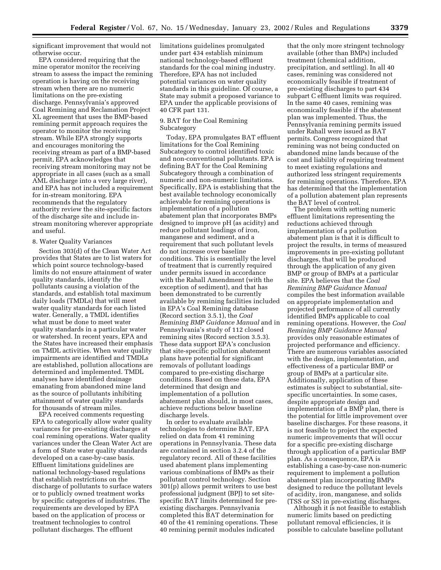significant improvement that would not otherwise occur.

EPA considered requiring that the mine operator monitor the receiving stream to assess the impact the remining operation is having on the receiving stream when there are no numeric limitations on the pre-existing discharge. Pennsylvania's approved Coal Remining and Reclamation Project XL agreement that uses the BMP-based remining permit approach requires the operator to monitor the receiving stream. While EPA strongly supports and encourages monitoring the receiving stream as part of a BMP-based permit, EPA acknowledges that receiving stream monitoring may not be appropriate in all cases (such as a small AML discharge into a very large river), and EPA has not included a requirement for in-stream monitoring. EPA recommends that the regulatory authority review the site-specific factors of the discharge site and include instream monitoring wherever appropriate and useful.

# 8. Water Quality Variances

Section 303(d) of the Clean Water Act provides that States are to list waters for which point source technology-based limits do not ensure attainment of water quality standards, identify the pollutants causing a violation of the standards, and establish total maximum daily loads (TMDLs) that will meet water quality standards for each listed water. Generally, a TMDL identifies what must be done to meet water quality standards in a particular water or watershed. In recent years, EPA and the States have increased their emphasis on TMDL activities. When water quality impairments are identified and TMDLs are established, pollution allocations are determined and implemented. TMDL analyses have identified drainage emanating from abandoned mine land as the source of pollutants inhibiting attainment of water quality standards for thousands of stream miles.

EPA received comments requesting EPA to categorically allow water quality variances for pre-existing discharges at coal remining operations. Water quality variances under the Clean Water Act are a form of State water quality standards developed on a case-by-case basis. Effluent limitations guidelines are national technology-based regulations that establish restrictions on the discharge of pollutants to surface waters or to publicly owned treatment works by specific categories of industries. The requirements are developed by EPA based on the application of process or treatment technologies to control pollutant discharges. The effluent

limitations guidelines promulgated under part 434 establish minimum national technology-based effluent standards for the coal mining industry. Therefore, EPA has not included potential variances on water quality standards in this guideline. Of course, a State may submit a proposed variance to EPA under the applicable provisions of 40 CFR part 131.

#### 9. BAT for the Coal Remining Subcategory

Today, EPA promulgates BAT effluent limitations for the Coal Remining Subcategory to control identified toxic and non-conventional pollutants. EPA is defining BAT for the Coal Remining Subcategory through a combination of numeric and non-numeric limitations. Specifically, EPA is establishing that the best available technology economically achievable for remining operations is implementation of a pollution abatement plan that incorporates BMPs designed to improve pH (as acidity) and reduce pollutant loadings of iron, manganese and sediment, and a requirement that such pollutant levels do not increase over baseline conditions. This is essentially the level of treatment that is currently required under permits issued in accordance with the Rahall Amendment (with the exception of sediment), and that has been demonstrated to be currently available by remining facilities included in EPA's Coal Remining database (Record section 3.5.1), the *Coal Remining BMP Guidance Manual* and in Pennsylvania's study of 112 closed remining sites (Record section 3.5.3). These data support EPA's conclusion that site-specific pollution abatement plans have potential for significant removals of pollutant loadings compared to pre-existing discharge conditions. Based on these data, EPA determined that design and implementation of a pollution abatement plan should, in most cases, achieve reductions below baseline discharge levels.

In order to evaluate available technologies to determine BAT, EPA relied on data from 41 remining operations in Pennsylvania. These data are contained in section 3.2.4 of the regulatory record. All of these facilities used abatement plans implementing various combinations of BMPs as their pollutant control technology. Section 301(p) allows permit writers to use best professional judgment (BPJ) to set sitespecific BAT limits determined for preexisting discharges. Pennsylvania completed this BAT determination for 40 of the 41 remining operations. These 40 remining permit modules indicated

that the only more stringent technology available (other than BMPs) included treatment (chemical addition, precipitation, and settling). In all 40 cases, remining was considered not economically feasible if treatment of pre-existing discharges to part 434 subpart C effluent limits was required. In the same 40 cases, remining was economically feasible if the abatement plan was implemented. Thus, the Pennsylvania remining permits issued under Rahall were issued as BAT permits. Congress recognized that remining was not being conducted on abandoned mine lands because of the cost and liability of requiring treatment to meet existing regulations and authorized less stringent requirements for remining operations. Therefore, EPA has determined that the implementation of a pollution abatement plan represents the BAT level of control.

The problem with setting numeric effluent limitations representing the reductions achieved through implementation of a pollution abatement plan is that it is difficult to project the results, in terms of measured improvements in pre-existing pollutant discharges, that will be produced through the application of any given BMP or group of BMPs at a particular site. EPA believes that the *Coal Remining BMP Guidance Manual* compiles the best information available on appropriate implementation and projected performance of all currently identified BMPs applicable to coal remining operations. However, the *Coal Remining BMP Guidance Manual* provides only reasonable estimates of projected performance and efficiency. There are numerous variables associated with the design, implementation, and effectiveness of a particular BMP or group of BMPs at a particular site. Additionally, application of these estimates is subject to substantial, sitespecific uncertainties. In some cases, despite appropriate design and implementation of a BMP plan, there is the potential for little improvement over baseline discharges. For these reasons, it is not feasible to project the expected numeric improvements that will occur for a specific pre-existing discharge through application of a particular BMP plan. As a consequence, EPA is establishing a case-by-case non-numeric requirement to implement a pollution abatement plan incorporating BMPs designed to reduce the pollutant levels of acidity, iron, manganese, and solids (TSS or SS) in pre-existing discharges.

Although it is not feasible to establish numeric limits based on predicting pollutant removal efficiencies, it is possible to calculate baseline pollutant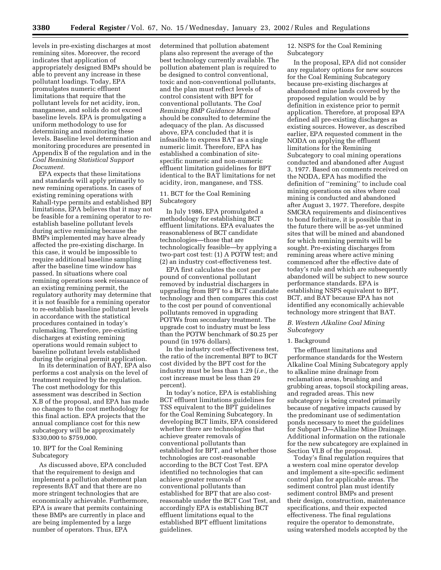levels in pre-existing discharges at most remining sites. Moreover, the record indicates that application of appropriately designed BMPs should be able to prevent any increase in these pollutant loadings. Today, EPA promulgates numeric effluent limitations that require that the pollutant levels for net acidity, iron, manganese, and solids do not exceed baseline levels. EPA is promulgating a uniform methodology to use for determining and monitoring these levels. Baseline level determination and monitoring procedures are presented in Appendix B of the regulation and in the *Coal Remining Statistical Support Document.*

EPA expects that these limitations and standards will apply primarily to new remining operations. In cases of existing remining operations with Rahall-type permits and established BPJ limitations, EPA believes that it may not be feasible for a remining operator to reestablish baseline pollutant levels during active remining because the BMPs implemented may have already affected the pre-existing discharge. In this case, it would be impossible to require additional baseline sampling after the baseline time window has passed. In situations where coal remining operations seek reissuance of an existing remining permit, the regulatory authority may determine that it is not feasible for a remining operator to re-establish baseline pollutant levels in accordance with the statistical procedures contained in today's rulemaking. Therefore, pre-existing discharges at existing remining operations would remain subject to baseline pollutant levels established during the original permit application.

In its determination of BAT, EPA also performs a cost analysis on the level of treatment required by the regulation. The cost methodology for this assessment was described in Section X.B of the proposal, and EPA has made no changes to the cost methodology for this final action. EPA projects that the annual compliance cost for this new subcategory will be approximately \$330,000 to \$759,000.

# 10. BPT for the Coal Remining Subcategory

As discussed above, EPA concluded that the requirement to design and implement a pollution abatement plan represents BAT and that there are no more stringent technologies that are economically achievable. Furthermore, EPA is aware that permits containing these BMPs are currently in place and are being implemented by a large number of operators. Thus, EPA

determined that pollution abatement plans also represent the average of the best technology currently available. The pollution abatement plan is required to be designed to control conventional, toxic and non-conventional pollutants, and the plan must reflect levels of control consistent with BPT for conventional pollutants. The *Coal Remining BMP Guidance Manual* should be consulted to determine the adequacy of the plan. As discussed above, EPA concluded that it is infeasible to express BAT as a single numeric limit. Therefore, EPA has established a combination of sitespecific numeric and non-numeric effluent limitation guidelines for BPT identical to the BAT limitations for net acidity, iron, manganese, and TSS.

# 11. BCT for the Coal Remining Subcategory

In July 1986, EPA promulgated a methodology for establishing BCT effluent limitations. EPA evaluates the reasonableness of BCT candidate technologies—those that are technologically feasible—by applying a two-part cost test: (1) A POTW test; and (2) an industry cost-effectiveness test.

EPA first calculates the cost per pound of conventional pollutant removed by industrial dischargers in upgrading from BPT to a BCT candidate technology and then compares this cost to the cost per pound of conventional pollutants removed in upgrading POTWs from secondary treatment. The upgrade cost to industry must be less than the POTW benchmark of \$0.25 per pound (in 1976 dollars).

In the industry cost-effectiveness test, the ratio of the incremental BPT to BCT cost divided by the BPT cost for the industry must be less than 1.29 (*i.e.,* the cost increase must be less than 29 percent).

In today's notice, EPA is establishing BCT effluent limitations guidelines for TSS equivalent to the BPT guidelines for the Coal Remining Subcategory. In developing BCT limits, EPA considered whether there are technologies that achieve greater removals of conventional pollutants than established for BPT, and whether those technologies are cost-reasonable according to the BCT Cost Test. EPA identified no technologies that can achieve greater removals of conventional pollutants than established for BPT that are also costreasonable under the BCT Cost Test, and accordingly EPA is establishing BCT effluent limitations equal to the established BPT effluent limitations guidelines.

12. NSPS for the Coal Remining Subcategory

In the proposal, EPA did not consider any regulatory options for new sources for the Coal Remining Subcategory because pre-existing discharges at abandoned mine lands covered by the proposed regulation would be by definition in existence prior to permit application. Therefore, at proposal EPA defined all pre-existing discharges as existing sources. However, as described earlier, EPA requested comment in the NODA on applying the effluent limitations for the Remining Subcategory to coal mining operations conducted and abandoned after August 3, 1977. Based on comments received on the NODA, EPA has modified the definition of ''remining'' to include coal mining operations on sites where coal mining is conducted and abandoned after August 3, 1977. Therefore, despite SMCRA requirements and disincentives to bond forfeiture, it is possible that in the future there will be as-yet unmined sites that will be mined and abandoned for which remining permits will be sought. Pre-existing discharges from remining areas where active mining commenced after the effective date of today's rule and which are subsequently abandoned will be subject to new source performance standards. EPA is establishing NSPS equivalent to BPT, BCT, and BAT because EPA has not identified any economically achievable technology more stringent that BAT.

# *B. Western Alkaline Coal Mining Subcategory*

# 1. Background

The effluent limitations and performance standards for the Western Alkaline Coal Mining Subcategory apply to alkaline mine drainage from reclamation areas, brushing and grubbing areas, topsoil stockpiling areas, and regraded areas. This new subcategory is being created primarily because of negative impacts caused by the predominant use of sedimentation ponds necessary to meet the guidelines for Subpart D—Alkaline Mine Drainage. Additional information on the rationale for the new subcategory are explained in Section VI.B of the proposal.

Today's final regulation requires that a western coal mine operator develop and implement a site-specific sediment control plan for applicable areas. The sediment control plan must identify sediment control BMPs and present their design, construction, maintenance specifications, and their expected effectiveness. The final regulations require the operator to demonstrate, using watershed models accepted by the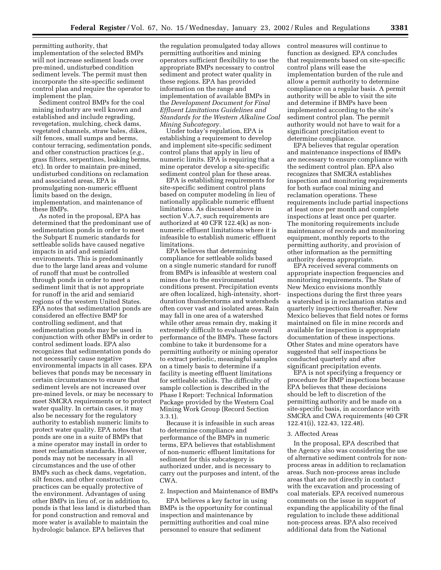permitting authority, that implementation of the selected BMPs will not increase sediment loads over pre-mined, undisturbed condition sediment levels. The permit must then incorporate the site-specific sediment control plan and require the operator to implement the plan.

Sediment control BMPs for the coal mining industry are well known and established and include regrading, revegetation, mulching, check dams, vegetated channels, straw bales, dikes, silt fences, small sumps and berms, contour terracing, sedimentation ponds, and other construction practices (*e.g.,* grass filters, serpentines, leaking berms, etc). In order to maintain pre-mined, undisturbed conditions on reclamation and associated areas, EPA is promulgating non-numeric effluent limits based on the design, implementation, and maintenance of these BMPs.

As noted in the proposal, EPA has determined that the predominant use of sedimentation ponds in order to meet the Subpart E numeric standards for settleable solids have caused negative impacts in arid and semiarid environments. This is predominantly due to the large land areas and volume of runoff that must be controlled through ponds in order to meet a sediment limit that is not appropriate for runoff in the arid and semiarid regions of the western United States. EPA notes that sedimentation ponds are considered an effective BMP for controlling sediment, and that sedimentation ponds may be used in conjunction with other BMPs in order to control sediment loads. EPA also recognizes that sedimentation ponds do not necessarily cause negative environmental impacts in all cases. EPA believes that ponds may be necessary in certain circumstances to ensure that sediment levels are not increased over pre-mined levels, or may be necessary to meet SMCRA requirements or to protect water quality. In certain cases, it may also be necessary for the regulatory authority to establish numeric limits to protect water quality. EPA notes that ponds are one in a suite of BMPs that a mine operator may install in order to meet reclamation standards. However, ponds may not be necessary in all circumstances and the use of other BMPs such as check dams, vegetation, silt fences, and other construction practices can be equally protective of the environment. Advantages of using other BMPs in lieu of, or in addition to, ponds is that less land is disturbed than for pond construction and removal and more water is available to maintain the hydrologic balance. EPA believes that

the regulation promulgated today allows permitting authorities and mining operators sufficient flexibility to use the appropriate BMPs necessary to control sediment and protect water quality in these regions. EPA has provided information on the range and implementation of available BMPs in the *Development Document for Final Effluent Limitations Guidelines and Standards for the Western Alkaline Coal Mining Subcategory.*

Under today's regulation, EPA is establishing a requirement to develop and implement site-specific sediment control plans that apply in lieu of numeric limits. EPA is requiring that a mine operator develop a site-specific sediment control plan for these areas.

EPA is establishing requirements for site-specific sediment control plans based on computer modeling in lieu of nationally applicable numeric effluent limitations. As discussed above in section V.A.7, such requirements are authorized at 40 CFR 122.4(k) as nonnumeric effluent limitations where it is infeasible to establish numeric effluent limitations.

EPA believes that determining compliance for settleable solids based on a single numeric standard for runoff from BMPs is infeasible at western coal mines due to the environmental conditions present. Precipitation events are often localized, high-intensity, shortduration thunderstorms and watersheds often cover vast and isolated areas. Rain may fall in one area of a watershed while other areas remain dry, making it extremely difficult to evaluate overall performance of the BMPs. These factors combine to take it burdensome for a permitting authority or mining operator to extract periodic, meaningful samples on a timely basis to determine if a facility is meeting effluent limitations for settleable solids. The difficulty of sample collection is described in the Phase I Report: Technical Information Package provided by the Western Coal Mining Work Group (Record Section 3.3.1).

Because it is infeasible in such areas to determine compliance and performance of the BMPs in numeric terms, EPA believes that establishment of non-numeric effluent limitations for sediment for this subcategory is authorized under, and is necessary to carry out the purposes and intent, of the CWA.

2. Inspection and Maintenance of BMPs

EPA believes a key factor in using BMPs is the opportunity for continual inspection and maintenance by permitting authorities and coal mine personnel to ensure that sediment

control measures will continue to function as designed. EPA concludes that requirements based on site-specific control plans will ease the implementation burden of the rule and allow a permit authority to determine compliance on a regular basis. A permit authority will be able to visit the site and determine if BMPs have been implemented according to the site's sediment control plan. The permit authority would not have to wait for a significant precipitation event to determine compliance.

EPA believes that regular operation and maintenance inspections of BMPs are necessary to ensure compliance with the sediment control plan. EPA also recognizes that SMCRA establishes inspection and monitoring requirements for both surface coal mining and reclamation operations. These requirements include partial inspections at least once per month and complete inspections at least once per quarter. The monitoring requirements include maintenance of records and monitoring equipment, monthly reports to the permitting authority, and provision of other information as the permitting authority deems appropriate.

EPA received several comments on appropriate inspection frequencies and monitoring requirements. The State of New Mexico envisions monthly inspections during the first three years a watershed is in reclamation status and quarterly inspections thereafter. New Mexico believes that field notes or forms maintained on file in mine records and available for inspection is appropriate documentation of these inspections. Other States and mine operators have suggested that self inspections be conducted quarterly and after significant precipitation events.

EPA is not specifying a frequency or procedure for BMP inspections because EPA believes that these decisions should be left to discretion of the permitting authority and be made on a site-specific basis, in accordance with SMCRA and CWA requirements (40 CFR 122.41(i), 122.43, 122.48).

#### 3. Affected Areas

In the proposal, EPA described that the Agency also was considering the use of alternative sediment controls for nonprocess areas in addition to reclamation areas. Such non-process areas include areas that are not directly in contact with the excavation and processing of coal materials. EPA received numerous comments on the issue in support of expanding the applicability of the final regulation to include these additional non-process areas. EPA also received additional data from the National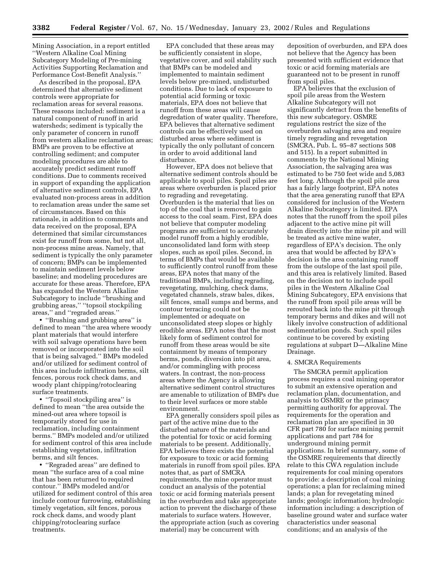Mining Association, in a report entitled ''Western Alkaline Coal Mining Subcategory Modeling of Pre-mining Activities Supporting Reclamation and Performance Cost-Benefit Analysis.''

As described in the proposal, EPA determined that alternative sediment controls were appropriate for reclamation areas for several reasons. These reasons included: sediment is a natural component of runoff in arid watersheds; sediment is typically the only parameter of concern in runoff from western alkaline reclamation areas; BMPs are proven to be effective at controlling sediment; and computer modeling procedures are able to accurately predict sediment runoff conditions. Due to comments received in support of expanding the application of alternative sediment controls, EPA evaluated non-process areas in addition to reclamation areas under the same set of circumstances. Based on this rationale, in addition to comments and data received on the proposal, EPA determined that similar circumstances exist for runoff from some, but not all, non-process mine areas. Namely, that sediment is typically the only parameter of concern; BMPs can be implemented to maintain sediment levels below baseline; and modeling procedures are accurate for these areas. Therefore, EPA has expanded the Western Alkaline Subcategory to include ''brushing and grubbing areas,'' ''topsoil stockpiling areas,'' and ''regraded areas.''

• ''Brushing and grubbing area'' is defined to mean ''the area where woody plant materials that would interfere with soil salvage operations have been removed or incorporated into the soil that is being salvaged.'' BMPs modeled and/or utilized for sediment control of this area include infiltration berms, silt fences, porous rock check dams, and woody plant chipping/rotoclearing surface treatments.

• ''Topsoil stockpiling area'' is defined to mean ''the area outside the mined-out area where topsoil is temporarily stored for use in reclamation, including containment berms.'' BMPs modeled and/or utilized for sediment control of this area include establishing vegetation, infiltration berms, and silt fences.

• ''Regraded areas'' are defined to mean ''the surface area of a coal mine that has been returned to required contour.'' BMPs modeled and/or utilized for sediment control of this area include contour furrowing, establishing timely vegetation, silt fences, porous rock check dams, and woody plant chipping/rotoclearing surface treatments.

EPA concluded that these areas may be sufficiently consistent in slope, vegetative cover, and soil stability such that BMPs can be modeled and implemented to maintain sediment levels below pre-mined, undisturbed conditions. Due to lack of exposure to potential acid forming or toxic materials, EPA does not believe that runoff from these areas will cause degredation of water quality. Therefore, EPA believes that alternative sediment controls can be effectively used on disturbed areas where sediment is typically the only pollutant of concern in order to avoid additional land disturbance.

However, EPA does not believe that alternative sediment controls should be applicable to spoil piles. Spoil piles are areas where overburden is placed prior to regrading and revegetating. Overburden is the material that lies on top of the coal that is removed to gain access to the coal seam. First, EPA does not believe that computer modeling programs are sufficient to accurately model runoff from a highly erodible, unconsolidated land form with steep slopes, such as spoil piles. Second, in terms of BMPs that would be available to sufficiently control runoff from these areas, EPA notes that many of the traditional BMPs, including regrading, revegetating, mulching, check dams, vegetated channels, straw bales, dikes, silt fences, small sumps and berms, and contour terracing could not be implemented or adequate on unconsolidated steep slopes or highly erodible areas. EPA notes that the most likely form of sediment control for runoff from these areas would be site containment by means of temporary berms, ponds, diversion into pit area, and/or commingling with process waters. In contrast, the non-process areas where the Agency is allowing alternative sediment control structures are amenable to utilization of BMPs due to their level surfaces or more stable environment.

EPA generally considers spoil piles as part of the active mine due to the disturbed nature of the materials and the potential for toxic or acid forming materials to be present. Additionally, EPA believes there exists the potential for exposure to toxic or acid forming materials in runoff from spoil piles. EPA notes that, as part of SMCRA requirements, the mine operator must conduct an analysis of the potential toxic or acid forming materials present in the overburden and take appropriate action to prevent the discharge of these materials to surface waters. However, the appropriate action (such as covering material) may be concurrent with

deposition of overburden, and EPA does not believe that the Agency has been presented with sufficient evidence that toxic or acid forming materials are guaranteed not to be present in runoff from spoil piles.

EPA believes that the exclusion of spoil pile areas from the Western Alkaline Subcategory will not significantly detract from the benefits of this new subcategory. OSMRE regulations restrict the size of the overburden salvaging area and require timely regrading and revegetation (SMCRA, Pub. L. 95–87 sections 508 and 515). In a report submitted in comments by the National Mining Association, the salvaging area was estimated to be 750 feet wide and 5,083 feet long. Although the spoil pile area has a fairly large footprint, EPA notes that the area generating runoff that EPA considered for inclusion of the Western Alkaline Subcategory is limited. EPA notes that the runoff from the spoil piles adjacent to the active mine pit will drain directly into the mine pit and will be treated as active mine water, regardless of EPA's decision. The only area that would be affected by EPA's decision is the area containing runoff from the outslope of the last spoil pile, and this area is relatively limited. Based on the decision not to include spoil piles in the Western Alkaline Coal Mining Subcategory, EPA envisions that the runoff from spoil pile areas will be rerouted back into the mine pit through temporary berms and dikes and will not likely involve construction of additional sedimentation ponds. Such spoil piles continue to be covered by existing regulations at subpart D—Alkaline Mine Drainage.

# 4. SMCRA Requirements

The SMCRA permit application process requires a coal mining operator to submit an extensive operation and reclamation plan, documentation, and analysis to OSMRE or the primacy permitting authority for approval. The requirements for the operation and reclamation plan are specified in 30 CFR part 780 for surface mining permit applications and part 784 for underground mining permit applications. In brief summary, some of the OSMRE requirements that directly relate to this CWA regulation include requirements for coal mining operators to provide: a description of coal mining operations; a plan for reclaiming mined lands; a plan for revegetating mined lands; geologic information; hydrologic information including: a description of baseline ground water and surface water characteristics under seasonal conditions; and an analysis of the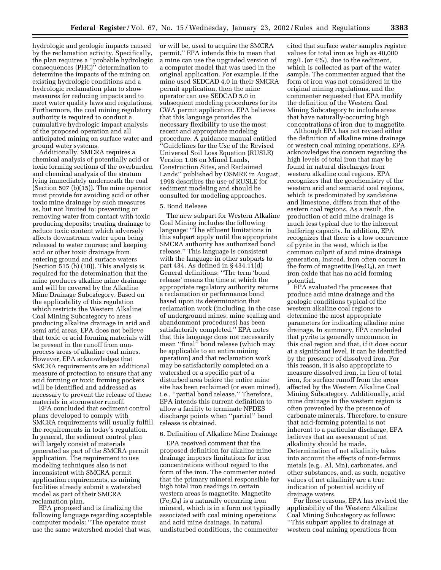hydrologic and geologic impacts caused by the reclamation activity. Specifically, the plan requires a ''probable hydrologic consequences (PHC)'' determination to determine the impacts of the mining on existing hydrologic conditions and a hydrologic reclamation plan to show measures for reducing impacts and to meet water quality laws and regulations. Furthermore, the coal mining regulatory authority is required to conduct a cumulative hydrologic impact analysis of the proposed operation and all anticipated mining on surface water and ground water systems.

Additionally, SMCRA requires a chemical analysis of potentially acid or toxic forming sections of the overburden and chemical analysis of the stratum lying immediately underneath the coal (Section 507 (b)(15)). The mine operator must provide for avoiding acid or other toxic mine drainage by such measures as, but not limited to: preventing or removing water from contact with toxic producing deposits; treating drainage to reduce toxic content which adversely affects downstream water upon being released to water courses; and keeping acid or other toxic drainage from entering ground and surface waters (Section 515 (b) (10)). This analysis is required for the determination that the mine produces alkaline mine drainage and will be covered by the Alkaline Mine Drainage Subcategory. Based on the applicability of this regulation which restricts the Western Alkaline Coal Mining Subcategory to areas producing alkaline drainage in arid and semi arid areas, EPA does not believe that toxic or acid forming materials will be present in the runoff from nonprocess areas of alkaline coal mines. However, EPA acknowledges that SMCRA requirements are an additional measure of protection to ensure that any acid forming or toxic forming pockets will be identified and addressed as necessary to prevent the release of these materials in stormwater runoff.

EPA concluded that sediment control plans developed to comply with SMCRA requirements will usually fulfill the requirements in today's regulation. In general, the sediment control plan will largely consist of materials generated as part of the SMCRA permit application. The requirement to use modeling techniques also is not inconsistent with SMCRA permit application requirements, as mining facilities already submit a watershed model as part of their SMCRA reclamation plan.

EPA proposed and is finalizing the following language regarding acceptable computer models: ''The operator must use the same watershed model that was,

or will be, used to acquire the SMCRA permit.'' EPA intends this to mean that a mine can use the upgraded version of a computer model that was used in the original application. For example, if the mine used SEDCAD 4.0 in their SMCRA permit application, then the mine operator can use SEDCAD 5.0 in subsequent modeling procedures for its CWA permit application. EPA believes that this language provides the necessary flexibility to use the most recent and appropriate modeling procedure. A guidance manual entitled ''Guidelines for the Use of the Revised Universal Soil Loss Equation (RUSLE) Version 1.06 on Mined Lands, Construction Sites, and Reclaimed Lands'' published by OSMRE in August, 1998 describes the use of RUSLE for sediment modeling and should be consulted for modeling approaches.

#### 5. Bond Release

The new subpart for Western Alkaline Coal Mining includes the following language: ''The effluent limitations in this subpart apply until the appropriate SMCRA authority has authorized bond release.'' This language is consistent with the language in other subparts to part 434. As defined in § 434.11(d) General definitions: ''The term 'bond release' means the time at which the appropriate regulatory authority returns a reclamation or performance bond based upon its determination that reclamation work (including, in the case of underground mines, mine sealing and abandonment procedures) has been satisfactorily completed.'' EPA notes that this language does not necessarily mean ''final'' bond release (which may be applicable to an entire mining operation) and that reclamation work may be satisfactorily completed on a watershed or a specific part of a disturbed area before the entire mine site has been reclaimed (or even mined), i.e., ''partial bond release.'' Therefore, EPA intends this current definition to allow a facility to terminate NPDES discharge points when ''partial'' bond release is obtained.

#### 6. Definition of Alkaline Mine Drainage

EPA received comment that the proposed definition for alkaline mine drainage imposes limitations for iron concentrations without regard to the form of the iron. The commenter noted that the primary mineral responsible for high total iron readings in certain western areas is magnetite. Magnetite  $(Fe<sub>3</sub>O<sub>4</sub>)$  is a naturally occurring iron mineral, which is in a form not typically associated with coal mining operations and acid mine drainage. In natural undisturbed conditions, the commenter

cited that surface water samples register values for total iron as high as 40,000 mg/L (or 4%), due to the sediment, which is collected as part of the water sample. The commenter argued that the form of iron was not considered in the original mining regulations, and the commenter requested that EPA modify the definition of the Western Coal Mining Subcategory to include areas that have naturally-occurring high concentrations of iron due to magnetite.

Although EPA has not revised either the definition of alkaline mine drainage or western coal mining operations, EPA acknowledges the concern regarding the high levels of total iron that may be found in natural discharges from western alkaline coal regions. EPA recognizes that the geochemistry of the western arid and semiarid coal regions, which is predominated by sandstone and limestone, differs from that of the eastern coal regions. As a result, the production of acid mine drainage is much less typical due to the inherent buffering capacity. In addition, EPA recognizes that there is a low occurrence of pyrite in the west, which is the common culprit of acid mine drainage generation. Instead, iron often occurs in the form of magnetite ( $Fe<sub>3</sub>O<sub>4</sub>$ ), an inert iron oxide that has no acid forming potential.

EPA evaluated the processes that produce acid mine drainage and the geologic conditions typical of the western alkaline coal regions to determine the most appropriate parameters for indicating alkaline mine drainage. In summary, EPA concluded that pyrite is generally uncommon in this coal region and that, if it does occur at a significant level, it can be identified by the presence of dissolved iron. For this reason, it is also appropriate to measure dissolved iron, in lieu of total iron, for surface runoff from the areas affected by the Western Alkaline Coal Mining Subcategory. Additionally, acid mine drainage in the western region is often prevented by the presence of carbonate minerals. Therefore, to ensure that acid-forming potential is not inherent to a particular discharge, EPA believes that an assessment of net alkalinity should be made. Determination of net alkalinity takes into account the effects of non-ferrous metals (e.g., Al, Mn), carbonates, and other substances, and, as such, negative values of net alkalinity are a true indication of potential acidity of drainage waters.

For these reasons, EPA has revised the applicability of the Western Alkaline Coal Mining Subcategory as follows: ''This subpart applies to drainage at western coal mining operations from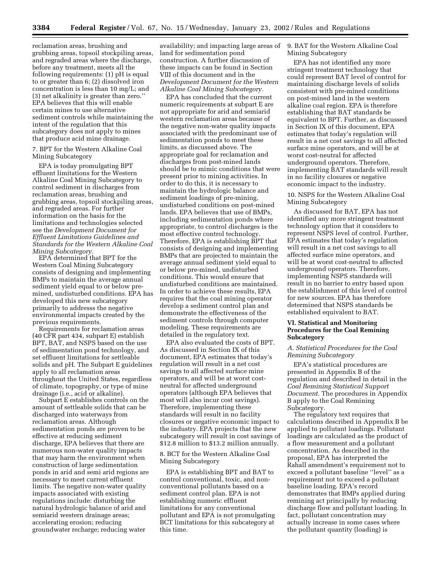reclamation areas, brushing and grubbing areas, topsoil stockpiling areas, and regraded areas where the discharge, before any treatment, meets all the following requirements: (1) pH is equal to or greater than 6; (2) dissolved iron concentration is less than 10 mg/L; and (3) net alkalinity is greater than zero.'' EPA believes that this will enable certain mines to use alternative sediment controls while maintaining the intent of the regulation that this subcategory does not apply to mines that produce acid mine drainage.

7. BPT for the Western Alkaline Coal Mining Subcategory

EPA is today promulgating BPT effluent limitations for the Western Alkaline Coal Mining Subcategory to control sediment in discharges from reclamation areas, brushing and grubbing areas, topsoil stockpiling areas, and regraded areas. For further information on the basis for the limitations and technologies selected see the *Development Document for Effluent Limitations Guidelines and Standards for the Western Alkaline Coal Mining Subcategory.*

EPA determined that BPT for the Western Coal Mining Subcategory consists of designing and implementing BMPs to maintain the average annual sediment yield equal to or below premined, undisturbed conditions. EPA has developed this new subcategory primarily to addresss the negative environmental impacts created by the previous requirements.

Requirements for reclamation areas (40 CFR part 434, subpart E) establish BPT, BAT, and NSPS based on the use of sedimentation pond technology, and set effluent limitations for settleable solids and pH. The Subpart E guidelines apply to all reclamation areas throughout the United States, regardless of climate, topography, or type of mine drainage (i.e., acid or alkaline).

Subpart E establishes controls on the amount of settleable solids that can be discharged into waterways from reclamation areas. Although sedimentation ponds are proven to be effective at reducing sediment discharge, EPA believes that there are numerous non-water quality impacts that may harm the environment when construction of large sedimentation ponds in arid and semi arid regions are necessary to meet current effluent limits. The negative non-water quality impacts associated with existing regulations include: disturbing the natural hydrologic balance of arid and semiarid western drainage areas; accelerating erosion; reducing groundwater recharge; reducing water

availability; and impacting large areas of land for sedimentation pond construction. A further discussion of these impacts can be found in Section VIII of this document and in the *Development Document for the Western Alkaline Coal Mining Subcategory.*

EPA has concluded that the current numeric requirements at subpart E are not appropriate for arid and semiarid western reclamation areas because of the negative non-water quality impacts associated with the predominant use of sedimentation ponds to meet these limits, as discussed above. The appropriate goal for reclamation and discharges from post-mined lands should be to mimic conditions that were present prior to mining activities. In order to do this, it is necessary to maintain the hydrologic balance and sediment loadings of pre-mining, undisturbed conditions on post-mined lands. EPA believes that use of BMPs, including sedimentation ponds where appropriate, to control discharges is the most effective control technology. Therefore, EPA is establishing BPT that consists of designing and implementing BMPs that are projected to maintain the average annual sediment yield equal to or below pre-mined, undisturbed conditions. This would ensure that undisturbed conditions are maintained. In order to achieve these results, EPA requires that the coal mining operator develop a sediment control plan and demonstrate the effectiveness of the sediment controls through computer modeling. These requirements are detailed in the regulatory text.

EPA also evaluated the costs of BPT. As discussed in Section IX of this document, EPA estimates that today's regulation will result in a net cost savings to all affected surface mine operators, and will be at worst costneutral for affected underground operators (although EPA believes that most will also incur cost savings). Therefore, implementing these standards will result in no facility closures or negative economic impact to the industry. EPA projects that the new subcategory will result in cost savings of \$12.8 million to \$13.2 million annually.

# 8. BCT for the Western Alkaline Coal Mining Subcategory

EPA is establishing BPT and BAT to control conventional, toxic, and nonconventional pollutants based on a sediment control plan. EPA is not establishing numeric effluent limitations for any conventional pollutant and EPA is not promulgating BCT limitations for this subcategory at this time.

9. BAT for the Western Alkaline Coal Mining Subcategory

EPA has not identified any more stringent treatment technology that could represent BAT level of control for maintaining discharge levels of solids consistent with pre-mined conditions on post-mined land in the western alkaline coal region. EPA is therefore establishing that BAT standards be equivalent to BPT. Further, as discussed in Section IX of this document, EPA estimates that today's regulation will result in a net cost savings to all affected surface mine operators, and will be at worst cost-neutral for affected underground operators. Therefore, implementing BAT standards will result in no facility closures or negative economic impact to the industry.

# 10. NSPS for the Western Alkaline Coal Mining Subcategory

As discussed for BAT, EPA has not identified any more stringent treatment technology option that it considers to represent NSPS level of control. Further, EPA estimates that today's regulation will result in a net cost savings to all affected surface mine operators, and will be at worst cost-neutral to affected underground operators. Therefore, implementing NSPS standards will result in no barrier to entry based upon the establishment of this level of control for new sources. EPA has therefore determined that NSPS standards be established equivalent to BAT.

# **VI. Statistical and Monitoring Procedures for the Coal Remining Subcategory**

# *A. Statistical Procedures for the Coal Remining Subcategory*

EPA's statistical procedures are presented in Appendix B of the regulation and described in detail in the *Coal Remining Statistical Support Document.* The procedures in Appendix B apply to the Coal Remining Subcategory.

The regulatory text requires that calculations described in Appendix B be applied to pollutant loadings. Pollutant loadings are calculated as the product of a flow measurement and a pollutant concentration. As described in the proposal, EPA has interpreted the Rahall amendment's requirement not to exceed a pollutant baseline ''level'' as a requirement not to exceed a pollutant baseline loading. EPA's record demonstrates that BMPs applied during remining act principally by reducing discharge flow and pollutant loading. In fact, pollutant concentration may actually increase in some cases where the pollutant quantity (loading) is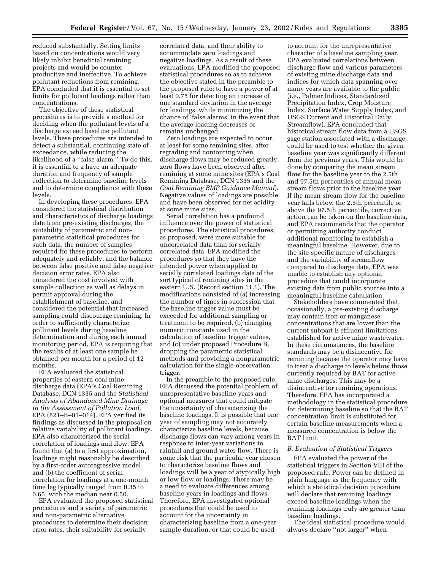reduced substantially. Setting limits based on concentrations would very likely inhibit beneficial remining projects and would be counterproductive and ineffective. To achieve pollutant reductions from remining, EPA concluded that it is essential to set limits for pollutant loadings rather than concentrations.

The objective of these statistical procedures is to provide a method for deciding when the pollutant levels of a discharge exceed baseline pollutant levels. These procedures are intended to detect a substantial, continuing state of exceedance, while reducing the likelihood of a ''false alarm.'' To do this, it is essential to a have an adequate duration and frequency of sample collection to determine baseline levels and to determine compliance with these levels.

In developing these procedures, EPA considered the statistical distribution and characteristics of discharge loadings data from pre-existing discharges, the suitability of parametric and nonparametric statistical procedures for such data, the number of samples required for these procedures to perform adequately and reliably, and the balance between false positive and false negative decision error rates. EPA also considered the cost involved with sample collection as well as delays in permit approval during the establishment of baseline, and considered the potential that increased sampling could discourage remining. In order to sufficiently characterize pollutant levels during baseline determination and during each annual monitoring period, EPA is requiring that the results of at least one sample be obtained per month for a period of 12 months.

EPA evaluated the statistical properties of eastern coal mine discharge data (EPA's Coal Remining Database, DCN 1335 and the *Statistical Analysis of Abandoned Mine Drainage in the Assessment of Pollution Load,* EPA (821–B–01–014). EPA verified its findings as discussed in the proposal on relative variability of pollutant loadings. EPA also characterized the serial correlation of loadings and flow. EPA found that (a) to a first approximation, loadings might reasonably be described by a first-order autoregressive model, and (b) the coefficient of serial correlation for loadings at a one-month time lag typically ranged from 0.35 to 0.65, with the median near 0.50.

EPA evaluated the proposed statistical procedures and a variety of parametric and non-parametric alternative procedures to determine their decision error rates, their suitability for serially

correlated data, and their ability to accommodate zero loadings and negative loadings. As a result of these evaluations, EPA modified the proposed statistical procedures so as to achieve the objective stated in the preamble to the proposed rule: to have a power of at least 0.75 for detecting an increase of one standard deviation in the average for loadings, while minimizing the chance of 'false alarms' in the event that the average loading decreases or remains unchanged.

Zero loadings are expected to occur, at least for some remining sites, after regrading and contouring when discharge flows may be reduced greatly; zero flows have been observed after remining at some mine sites (EPA's Coal Remining Database, DCN 1335 and the *Coal Remining BMP Guidance Manual*). Negative values of loadings are possible and have been observed for net acidity at some mine sites.

Serial correlation has a profound influence over the power of statistical procedures. The statistical procedures, as proposed, were more suitable for uncorrelated data than for serially correlated data. EPA modified the procedures so that they have the intended power when applied to serially correlated loadings data of the sort typical of remining sites in the eastern U.S. (Record section 11.1). The modifications consisted of (a) increasing the number of times in succession that the baseline trigger value must be exceeded for additional sampling or treatment to be required, (b) changing numeric constants used in the calculation of baseline trigger values, and (c) under proposed Procedure B, dropping the parametric statistical methods and providing a nonparametric calculation for the single-observation trigger.

In the preamble to the proposed rule, EPA discussed the potential problem of unrepresentative baseline years and optional measures that could mitigate the uncertainty of characterizing the baseline loadings. It is possible that one year of sampling may not accurately characterize baseline levels, because discharge flows can vary among years in response to inter-year variations in rainfall and ground water flow. There is some risk that the particular year chosen to characterize baseline flows and loadings will be a year of atypically high or low flow or loadings. There may be a need to evaluate differences among baseline years in loadings and flows. Therefore, EPA investigated optional procedures that could be used to account for the uncertainty in characterizing baseline from a one-year sample duration, or that could be used

to account for the unrepresentative character of a baseline sampling year. EPA evaluated correlations between discharge flow and various parameters of existing mine discharge data and indices for which data spanning over many years are available to the public (i.e., Palmer Indices, Standardized Precipitation Index, Crop Moisture Index, Surface Water Supply Index, and USGS Current and Historical Daily Streamflow). EPA concluded that historical stream flow data from a USGS gage station associated with a discharge could be used to test whether the given baseline year was significantly different from the previous years. This would be done by comparing the mean stream flow for the baseline year to the 2.5th and 97.5th percentiles of annual mean stream flows prior to the baseline year. If the mean stream flow for the baseline year falls below the 2.5th percentile or above the 97.5th percentile, corrective action can be taken on the baseline data, and EPA recommends that the operator or permitting authority conduct additional monitoring to establish a meaningful baseline. However, due to the site-specific nature of discharges and the variability of streamflow compared to discharge data, EPA was unable to establish any optional procedure that could incorporate existing data from public sources into a meaningful baseline calculation.

Stakeholders have commented that, occasionally, a pre-existing discharge may contain iron or manganese concentrations that are lower than the current subpart E effluent limitations established for active mine wastewater. In these circumstances, the baseline standards may be a disincentive for remining because the operator may have to treat a discharge to levels below those currently required by BAT for active mine discharges. This may be a disincentive for remining operations. Therefore, EPA has incorporated a methodology in the statistical procedure for determining baseline so that the BAT concentration limit is substituted for certain baseline measurements when a measured concentration is below the BAT limit.

#### *B. Evaluation of Statistical Triggers*

EPA evaluated the power of the statistical triggers in Section VIII of the proposed rule. Power can be defined in plain language as the frequency with which a statistical decision procedure will declare that remining loadings exceed baseline loadings when the remining loadings truly are greater than baseline loadings.

The ideal statistical procedure would always declare ''not larger'' when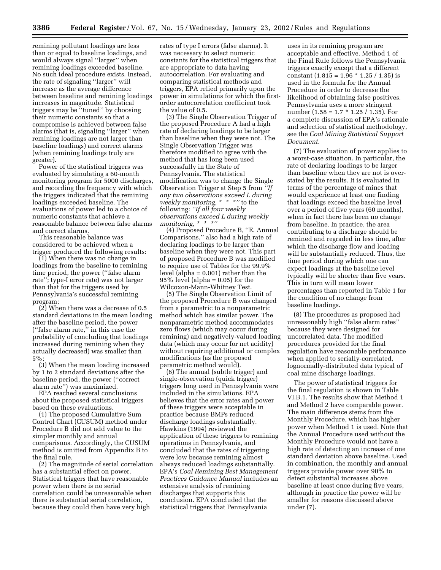remining pollutant loadings are less than or equal to baseline loadings, and would always signal ''larger'' when remining loadings exceeded baseline. No such ideal procedure exists. Instead, the rate of signaling ''larger'' will increase as the average difference between baseline and remining loadings increases in magnitude. Statistical triggers may be ''tuned'' by choosing their numeric constants so that a compromise is achieved between false alarms (that is, signaling ''larger'' when remining loadings are not larger than baseline loadings) and correct alarms (when remining loadings truly are greater).

Power of the statistical triggers was evaluated by simulating a 60-month monitoring program for 5000 discharges, and recording the frequency with which the triggers indicated that the remining loadings exceeded baseline. The evaluations of power led to a choice of numeric constants that achieve a reasonable balance between false alarms and correct alarms.

This reasonable balance was considered to be achieved when a trigger produced the following results:

(1) When there was no change in loadings from the baseline to remining time period, the power (''false alarm rate''; type-I error rate) was not larger than that for the triggers used by Pennsylvania's successful remining program;

(2) When there was a decrease of 0.5 standard deviations in the mean loading after the baseline period, the power (''false alarm rate,'' in this case the probability of concluding that loadings increased during remining when they actually decreased) was smaller than 5%;

(3) When the mean loading increased by 1 to 2 standard deviations after the baseline period, the power (''correct alarm rate'') was maximized.

EPA reached several conclusions about the proposed statistical triggers based on these evaluations.

(1) The proposed Cumulative Sum Control Chart (CUSUM) method under Procedure B did not add value to the simpler monthly and annual comparisons. Accordingly, the CUSUM method is omitted from Appendix B to the final rule.

(2) The magnitude of serial correlation has a substantial effect on power. Statistical triggers that have reasonable power when there is no serial correlation could be unreasonable when there is substantial serial correlation, because they could then have very high

rates of type I errors (false alarms). It was necessary to select numeric constants for the statistical triggers that are appropriate to data having autocorrelation. For evaluating and comparing statistical methods and triggers, EPA relied primarily upon the power in simulations for which the firstorder autocorrelation coefficient took the value of 0.5.

(3) The Single Observation Trigger of the proposed Procedure A had a high rate of declaring loadings to be larger than baseline when they were not. The Single Observation Trigger was therefore modified to agree with the method that has long been used successfully in the State of Pennsylvania. The statistical modification was to change the Single Observation Trigger at Step 5 from *''If any two observations exceed L during weekly monitoring, \* \* \*''* to the following: *''If all four weekly observations exceed L during weekly monitoring, \* \* \*''*

(4) Proposed Procedure B, ''E. Annual Comparisons,'' also had a high rate of declaring loadings to be larger than baseline when they were not. This part of proposed Procedure B was modified to require use of Tables for the 99.9% level (alpha = 0.001) rather than the  $95\%$  level (alpha = 0.05) for the Wilcoxon-Mann-Whitney Test.

(5) The Single Observation Limit of the proposed Procedure B was changed from a parametric to a nonparametric method which has similar power. The nonparametric method accommodates zero flows (which may occur during remining) and negatively-valued loading data (which may occur for net acidity) without requiring additional or complex modifications (as the proposed parametric method would).

(6) The annual (subtle trigger) and single-observation (quick trigger) triggers long used in Pennsylvania were included in the simulations. EPA believes that the error rates and power of these triggers were acceptable in practice because BMPs reduced discharge loadings substantially. Hawkins (1994) reviewed the application of these triggers to remining operations in Pennsylvania, and concluded that the rates of triggering were low because remining almost always reduced loadings substantially. EPA's *Coal Remining Best Management Practices Guidance Manual* includes an extensive analysis of remining discharges that supports this conclusion. EPA concluded that the statistical triggers that Pennsylvania

uses in its remining program are acceptable and effective. Method 1 of the Final Rule follows the Pennsylvania triggers exactly except that a different constant  $(1.815 = 1.96 * 1.25 / 1.35)$  is used in the formula for the Annual Procedure in order to decrease the likelihood of obtaining false positives. Pennsylvania uses a more stringent number (1.58 = 1.7  $*$  1.25 / 1.35). For a complete discussion of EPA's rationale and selection of statistical methodology, see the *Coal Mining Statistical Support Document.*

(7) The evaluation of power applies to a worst-case situation. In particular, the rate of declaring loadings to be larger than baseline when they are not is overstated by the results. It is evaluated in terms of the percentage of mines that would experience at least one finding that loadings exceed the baseline level over a period of five years (60 months), when in fact there has been no change from baseline. In practice, the area contributing to a discharge should be remined and regraded in less time, after which the discharge flow and loading will be substantially reduced. Thus, the time period during which one can expect loadings at the baseline level typically will be shorter than five years. This in turn will mean lower percentages than reported in Table 1 for the condition of no change from baseline loadings.

(8) The procedures as proposed had unreasonably high ''false alarm rates'' because they were designed for uncorrelated data. The modified procedures provided for the final regulation have reasonable performance when applied to serially-correlated, lognormally-distributed data typical of coal mine discharge loadings.

The power of statistical triggers for the final regulation is shown in Table VI.B.1. The results show that Method 1 and Method 2 have comparable power. The main difference stems from the Monthly Procedure, which has higher power when Method 1 is used. Note that the Annual Procedure used without the Monthly Procedure would not have a high rate of detecting an increase of one standard deviation above baseline. Used in combination, the monthly and annual triggers provide power over 90% to detect substantial increases above baseline at least once during five years, although in practice the power will be smaller for reasons discussed above under (7).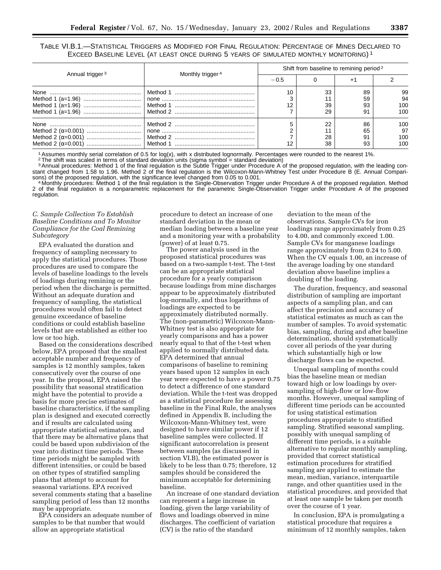TABLE VI.B.1.—STATISTICAL TRIGGERS AS MODIFIED FOR FINAL REGULATION: PERCENTAGE OF MINES DECLARED TO EXCEED BASELINE LEVEL (AT LEAST ONCE DURING 5 YEARS OF SIMULATED MONTHLY MONITORING) 1

|                             |                              | Shift from baseline to remining period <sup>2</sup> |                |                      |                         |  |  |  |
|-----------------------------|------------------------------|-----------------------------------------------------|----------------|----------------------|-------------------------|--|--|--|
| Annual trigger <sup>3</sup> | Monthly trigger <sup>4</sup> | $-0.5$                                              |                |                      |                         |  |  |  |
|                             |                              | 10<br>12                                            | 33<br>39<br>29 | 89<br>59<br>93<br>91 | 99<br>94<br>100<br>100  |  |  |  |
|                             |                              |                                                     | 22<br>28<br>38 | 86<br>65<br>91<br>93 | 100<br>97<br>100<br>100 |  |  |  |

1 Assumes monthly serial correlation of 0.5 for log(x), with x distributed lognormally. Percentages were rounded to the nearest 1%.<br><sup>2</sup> The shift was scaled in terms of standard deviation units (sigma symbol = standard dev

<sup>3</sup> Annual procedures: Method 1 of the final regulation is the Subtle Trigger under Procedure A of the proposed regulation, with the leading constant changed from 1.58 to 1.96. Method 2 of the final regulation is the Wilcoxon-Mann-Whitney Test under Procedure B (E. Annual Comparisons) of the proposed regulation, with the significance level changed from 0.05 to 0.0

<sup>4</sup> Monthly procedures: Method 1 of the final regulation is the Single-Observation Trigger under Procedure A of the proposed regulation. Method 2 of the final regulation is a nonparametric replacement for the parametric Single-Observation Trigger under Procedure A of the proposed regulation.

# *C. Sample Collection To Establish Baseline Conditions and To Monitor Compliance for the Coal Remining Subcategory*

EPA evaluated the duration and frequency of sampling necessary to apply the statistical procedures. Those procedures are used to compare the levels of baseline loadings to the levels of loadings during remining or the period when the discharge is permitted. Without an adequate duration and frequency of sampling, the statistical procedures would often fail to detect genuine exceedance of baseline conditions or could establish baseline levels that are established as either too low or too high.

Based on the considerations described below, EPA proposed that the smallest acceptable number and frequency of samples is 12 monthly samples, taken consecutively over the course of one year. In the proposal, EPA raised the possibility that seasonal stratification might have the potential to provide a basis for more precise estimates of baseline characteristics, if the sampling plan is designed and executed correctly and if results are calculated using appropriate statistical estimators, and that there may be alternative plans that could be based upon subdivision of the year into distinct time periods. These time periods might be sampled with different intensities, or could be based on other types of stratified sampling plans that attempt to account for seasonal variations. EPA received several comments stating that a baseline sampling period of less than 12 months may be appropriate.

EPA considers an adequate number of samples to be that number that would allow an appropriate statistical

procedure to detect an increase of one standard deviation in the mean or median loading between a baseline year and a monitoring year with a probability (power) of at least 0.75.

The power analysis used in the proposed statistical procedures was based on a two-sample t-test. The t-test can be an appropriate statistical procedure for a yearly comparison because loadings from mine discharges appear to be approximately distributed log-normally, and thus logarithms of loadings are expected to be approximately distributed normally. The (non-parametric) Wilcoxon-Mann-Whitney test is also appropriate for yearly comparisons and has a power nearly equal to that of the t-test when applied to normally distributed data. EPA determined that annual comparisons of baseline to remining years based upon 12 samples in each year were expected to have a power 0.75 to detect a difference of one standard deviation. While the t-test was dropped as a statistical procedure for assessing baseline in the Final Rule, the analyses defined in Appendix B, including the Wilcoxon-Mann-Whitney test, were designed to have similar power if 12 baseline samples were collected. If significant autocorrelation is present between samples (as discussed in section VI.B), the estimated power is likely to be less than 0.75; therefore, 12 samples should be considered the minimum acceptable for determining baseline.

An increase of one standard deviation can represent a large increase in loading, given the large variability of flows and loadings observed in mine discharges. The coefficient of variation (CV) is the ratio of the standard

deviation to the mean of the observations. Sample CVs for iron loadings range approximately from 0.25 to 4.00, and commonly exceed 1.00. Sample CVs for manganese loadings range approximately from 0.24 to 5.00. When the CV equals 1.00, an increase of the average loading by one standard deviation above baseline implies a doubling of the loading.

The duration, frequency, and seasonal distribution of sampling are important aspects of a sampling plan, and can affect the precision and accuracy of statistical estimates as much as can the number of samples. To avoid systematic bias, sampling, during and after baseline determination, should systematically cover all periods of the year during which substantially high or low discharge flows can be expected.

Unequal sampling of months could bias the baseline mean or median toward high or low loadings by oversampling of high-flow or low-flow months. However, unequal sampling of different time periods can be accounted for using statistical estimation procedures appropriate to stratified sampling. Stratified seasonal sampling, possibly with unequal sampling of different time periods, is a suitable alternative to regular monthly sampling, provided that correct statistical estimation procedures for stratified sampling are applied to estimate the mean, median, variance, interquartile range, and other quantities used in the statistical procedures, and provided that at least one sample be taken per month over the course of 1 year.

In conclusion, EPA is promulgating a statistical procedure that requires a minimum of 12 monthly samples, taken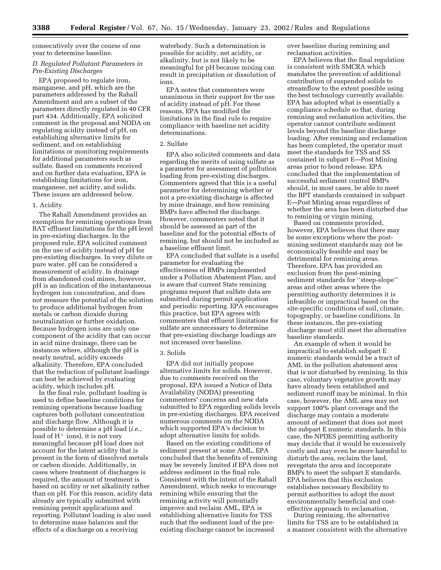consecutively over the course of one year to determine baseline.

# *D. Regulated Pollutant Parameters in Pre-Existing Discharges*

EPA proposed to regulate iron, manganese, and pH, which are the parameters addressed by the Rahall Amendment and are a subset of the parameters directly regulated in 40 CFR part 434. Additionally, EPA solicited comment in the proposal and NODA on regulating acidity instead of pH, on establishing alternative limits for sediment, and on establishing limitations or monitoring requirements for additional parameters such as sulfate. Based on comments received and on further data evaluation, EPA is establishing limitations for iron, manganese, net acidity, and solids. These issues are addressed below.

# 1. Acidity

The Rahall Amendment provides an exemption for remining operations from BAT effluent limitations for the pH level in pre-existing discharges. In the proposed rule, EPA solicited comment on the use of acidity instead of pH for pre-existing discharges. In very dilute or pure water, pH can be considered a measurement of acidity. In drainage from abandoned coal mines, however, pH is an indication of the instantaneous hydrogen ion concentration, and does not measure the potential of the solution to produce additional hydrogen from metals or carbon dioxide during neutralization or further oxidation. Because hydrogen ions are only one component of the acidity that can occur in acid mine drainage, there can be instances where, although the pH is nearly neutral, acidity exceeds alkalinity. Therefore, EPA concluded that the reduction of pollutant loadings can best be achieved by evaluating acidity, which includes pH.

In the final rule, pollutant loading is used to define baseline conditions for remining operations because loading captures both pollutant concentration and discharge flow. Although it is possible to determine a pH load (*i.e.*, load of  $H^+$  ions), it is not very meaningful because pH load does not account for the latent acidity that is present in the form of dissolved metals or carbon dioxide. Additionally, in cases where treatment of discharges is required, the amount of treatment is based on acidity or net alkalinity rather than on pH. For this reason, acidity data already are typically submitted with remining permit applications and reporting. Pollutant loading is also used to determine mass balances and the effects of a discharge on a receiving

waterbody. Such a determination is possible for acidity, net acidity, or alkalinity, but is not likely to be meaningful for pH because mixing can result in precipitation or dissolution of ions.

EPA notes that commenters were unanimous in their support for the use of acidity instead of pH. For these reasons, EPA has modified the limitations in the final rule to require compliance with baseline net acidity determinations.

#### 2. Sulfate

EPA also solicited comments and data regarding the merits of using sulfate as a parameter for assessment of pollution loading from pre-existing discharges. Commenters agreed that this is a useful parameter for determining whether or not a pre-existing discharge is affected by mine drainage, and how remining BMPs have affected the discharge. However, commenters noted that it should be assessed as part of the baseline and for the potential effects of remining, but should not be included as a baseline effluent limit.

EPA concluded that sulfate is a useful parameter for evaluating the effectiveness of BMPs implemented under a Pollution Abatement Plan, and is aware that current State remining programs request that sulfate data are submitted during permit application and periodic reporting. EPA encourages this practice, but EPA agrees with commenters that effluent limitations for sulfate are unnecessary to determine that pre-existing discharge loadings are not increased over baseline.

#### 3. Solids

EPA did not initially propose alternative limits for solids. However, due to comments received on the proposal, EPA issued a Notice of Data Availability (NODA) presenting commenters' concerns and new data submitted to EPA regarding solids levels in pre-existing discharges. EPA received numerous comments on the NODA which supported EPA's decision to adopt alternative limits for solids.

Based on the existing conditions of sediment present at some AML, EPA concluded that the benefits of remining may be severely limited if EPA does not address sediment in the final rule. Consistent with the intent of the Rahall Amendment, which seeks to encourage remining while ensuring that the remining activity will potentially improve and reclaim AML, EPA is establishing alternative limits for TSS such that the sediment load of the preexisting discharge cannot be increased

over baseline during remining and reclamation activities.

EPA believes that the final regulation is consistent with SMCRA which mandates the prevention of additional contribution of suspended solids to streamflow to the extent possible using the best technology currently available. EPA has adopted what is essentially a compliance schedule so that, during remining and reclamation activities, the operator cannot contribute sediment levels beyond the baseline discharge loading. After remining and reclamation has been completed, the operator must meet the standards for TSS and SS contained in subpart E—Post Mining areas prior to bond release. EPA concluded that the implementation of successful sediment control BMPs should, in most cases, be able to meet the BPT standards contained in subpart E—Post Mining areas regardless of whether the area has been disturbed due to remining or virgin mining.

Based on comments provided, however, EPA believes that there may be some exceptions where the postmining sediment standards may not be economically feasible and may be detrimental for remining areas. Therefore, EPA has provided an exclusion from the post-mining sediment standards for ''steep-slope'' areas and other areas where the permitting authority determines it is infeasible or impractical based on the site-specific conditions of soil, climate, topography, or baseline conditions. In these instances, the pre-existing discharge must still meet the alternative baseline standards.

An example of when it would be impractical to establish subpart E numeric standards would be a tract of AML in the pollution abatement area that is not disturbed by remining. In this case, voluntary vegetative growth may have already been established and sediment runoff may be minimal. In this case, however, the AML area may not support 100% plant coverage and the discharge may contain a moderate amount of sediment that does not meet the subpart E numeric standards. In this case, the NPDES permitting authority may decide that it would be excessively costly and may even be more harmful to disturb the area, reclaim the land, revegetate the area and incorporate BMPs to meet the subpart E standards. EPA believes that this exclusion establishes necessary flexibility to permit authorities to adopt the most environmentally beneficial and costeffective approach to reclamation.

During remining, the alternative limits for TSS are to be established in a manner consistent with the alternative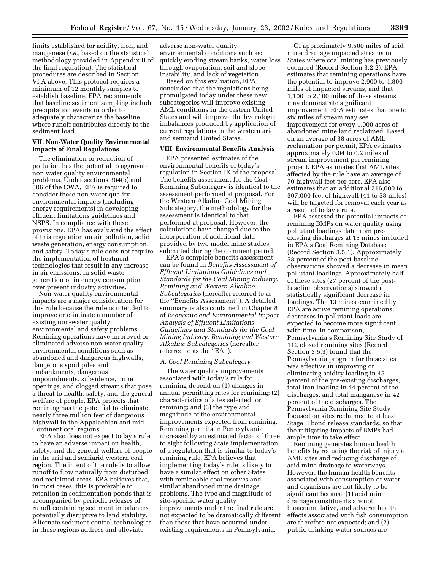limits established for acidity, iron, and manganese (*i.e.*, based on the statistical methodology provided in Appendix B of the final regulation). The statistical procedures are described in Section VI.A above. This protocol requires a minimum of 12 monthly samples to establish baseline. EPA recommends that baseline sediment sampling include precipitation events in order to adequately characterize the baseline where runoff contributes directly to the sediment load.

# **VII. Non-Water Quality Environmental Impacts of Final Regulations**

The elimination or reduction of pollution has the potential to aggravate non water quality environmental problems. Under sections 304(b) and 306 of the CWA, EPA is required to consider these non-water quality environmental impacts (including energy requirements) in developing effluent limitations guidelines and NSPS. In compliance with these provisions, EPA has evaluated the effect of this regulation on air pollution, solid waste generation, energy consumption, and safety. Today's rule does not require the implementation of treatment technologies that result in any increase in air emissions, in solid waste generation or in energy consumption over present industry activities.

Non-water quality environmental impacts are a major consideration for this rule because the rule is intended to improve or eliminate a number of existing non-water quality environmental and safety problems. Remining operations have improved or eliminated adverse non-water quality environmental conditions such as abandoned and dangerous highwalls, dangerous spoil piles and embankments, dangerous impoundments, subsidence, mine openings, and clogged streams that pose a threat to health, safety, and the general welfare of people. EPA projects that remining has the potential to eliminate nearly three million feet of dangerous highwall in the Appalachian and mid-Continent coal regions.

EPA also does not expect today's rule to have an adverse impact on health, safety, and the general welfare of people in the arid and semiarid western coal region. The intent of the rule is to allow runoff to flow naturally from disturbed and reclaimed areas. EPA believes that, in most cases, this is preferable to retention in sedimentation ponds that is accompanied by periodic releases of runoff containing sediment imbalances potentially disruptive to land stability. Alternate sediment control technologies in these regions address and alleviate

adverse non-water quality environmental conditions such as: quickly eroding stream banks, water loss through evaporation, soil and slope instability, and lack of vegetation.

Based on this evaluation, EPA concluded that the regulations being promulgated today under these new subcategories will improve existing AML conditions in the eastern United States and will improve the hydrologic imbalances produced by application of current regulations in the western arid and semiarid United States.

# **VIII. Environmental Benefits Analysis**

EPA presented estimates of the environmental benefits of today's regulation in Section IX of the proposal. The benefits assessment for the Coal Remining Subcategory is identical to the assessment performed at proposal. For the Western Alkaline Coal Mining Subcategory, the methodology for the assessment is identical to that performed at proposal. However, the calculations have changed due to the incorporation of additional data provided by two model mine studies submitted during the comment period.

EPA's complete benefits assessment can be found in *Benefits Assessment of Effluent Limitations Guidelines and Standards for the Coal Mining Industry: Remining and Western Alkaline Subcategories* (hereafter referred to as the ''Benefits Assessment''). A detailed summary is also contained in Chapter 8 of *Economic and Environmental Impact Analysis of Effluent Limitations Guidelines and Standards for the Coal Mining Industry: Remining and Western Alkaline Subcategories* (hereafter referred to as the ''EA'').

#### *A. Coal Remining Subcategory*

The water quality improvements associated with today's rule for remining depend on (1) changes in annual permitting rates for remining; (2) characteristics of sites selected for remining; and (3) the type and magnitude of the environmental improvements expected from remining. Remining permits in Pennsylvania increased by an estimated factor of three to eight following State implementation of a regulation that is similar to today's remining rule. EPA believes that implementing today's rule is likely to have a similar effect on other States with remineable coal reserves and similar abandoned mine drainage problems. The type and magnitude of site-specific water quality improvements under the final rule are not expected to be dramatically different than those that have occurred under existing requirements in Pennsylvania.

Of approximately 9,500 miles of acid mine drainage impacted streams in States where coal mining has previously occurred (Record Section 3.2.2), EPA estimates that remining operations have the potential to improve 2,900 to 4,800 miles of impacted streams, and that 1,100 to 2,100 miles of these streams may demonstrate significant improvement. EPA estimates that one to six miles of stream may see improvement for every 1,000 acres of abandoned mine land reclaimed. Based on an average of 38 acres of AML reclamation per permit, EPA estimates approximately 0.04 to 0.2 miles of stream improvement per remining project. EPA estimates that AML sites affected by the rule have an average of 70 highwall feet per acre. EPA also estimates that an additional 216,000 to 307,000 feet of highwall (41 to 58 miles) will be targeted for removal each year as a result of today's rule.

EPA assessed the potential impacts of remining BMPs on water quality using pollutant loadings data from preexisting discharges at 13 mines included in EPA's Coal Remining Database (Record Section 3.5.1). Approximately 58 percent of the post-baseline observations showed a decrease in mean pollutant loadings. Approximately half of these sites (27 percent of the postbaseline observations) showed a statistically significant decrease in loadings. The 13 mines examined by EPA are active remining operations; decreases in pollutant loads are expected to become more significant with time. In comparison, Pennsylvania's Remining Site Study of 112 closed remining sites (Record Section 3.5.3) found that the Pennsylvania program for these sites was effective in improving or eliminating acidity loading in 45 percent of the pre-existing discharges, total iron loading in 44 percent of the discharges, and total manganese in 42 percent of the discharges. The Pennsylvania Remining Site Study focused on sites reclaimed to at least Stage II bond release standards, so that the mitigating impacts of BMPs had ample time to take effect.

Remining generates human health benefits by reducing the risk of injury at AML sites and reducing discharge of acid mine drainage to waterways. However, the human health benefits associated with consumption of water and organisms are not likely to be significant because (1) acid mine drainage constituents are not bioaccumulative, and adverse health effects associated with fish consumption are therefore not expected; and (2) public drinking water sources are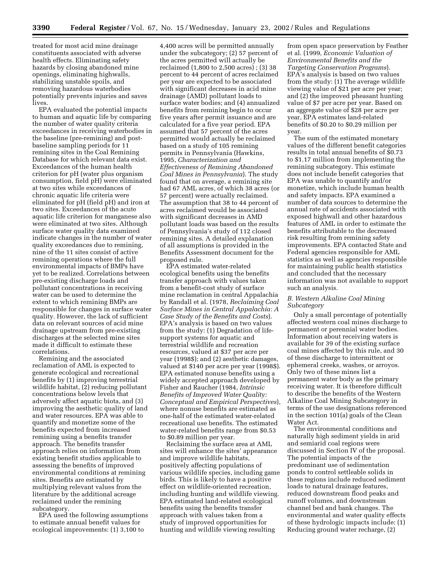treated for most acid mine drainage constituents associated with adverse health effects. Eliminating safety hazards by closing abandoned mine openings, eliminating highwalls, stabilizing unstable spoils, and removing hazardous waterbodies potentially prevents injuries and saves lives.

EPA evaluated the potential impacts to human and aquatic life by comparing the number of water quality criteria exceedances in receiving waterbodies in the baseline (pre-remining) and postbaseline sampling periods for 11 remining sites in the Coal Remining Database for which relevant data exist. Exceedances of the human health criterion for pH (water plus organism consumption, field pH) were eliminated at two sites while exceedances of chronic aquatic life criteria were eliminated for pH (field pH) and iron at two sites. Exceedances of the acute aquatic life criterion for manganese also were eliminated at two sites. Although surface water quality data examined indicate changes in the number of water quality exceedances due to remining, nine of the 11 sites consist of active remining operations where the full environmental impacts of BMPs have yet to be realized. Correlations between pre-existing discharge loads and pollutant concentrations in receiving water can be used to determine the extent to which remining BMPs are responsible for changes in surface water quality. However, the lack of sufficient data on relevant sources of acid mine drainage upstream from pre-existing discharges at the selected mine sites made it difficult to estimate these correlations.

Remining and the associated reclamation of AML is expected to generate ecological and recreational benefits by (1) improving terrestrial wildlife habitat, (2) reducing pollutant concentrations below levels that adversely affect aquatic biota, and (3) improving the aesthetic quality of land and water resources. EPA was able to quantify and monetize some of the benefits expected from increased remining using a benefits transfer approach. The benefits transfer approach relies on information from existing benefit studies applicable to assessing the benefits of improved environmental conditions at remining sites. Benefits are estimated by multiplying relevant values from the literature by the additional acreage reclaimed under the remining subcategory.

EPA used the following assumptions to estimate annual benefit values for ecological improvements: (1) 3,100 to

4,400 acres will be permitted annually under the subcategory; (2) 57 percent of the acres permitted will actually be reclaimed (1,800 to 2,500 acres) ; (3) 38 percent to 44 percent of acres reclaimed per year are expected to be associated with significant decreases in acid mine drainage (AMD) pollutant loads to surface water bodies; and (4) annualized benefits from remining begin to occur five years after permit issuance and are calculated for a five year period. EPA assumed that 57 percent of the acres permitted would actually be reclaimed based on a study of 105 remining permits in Pennsylvania (Hawkins, 1995, *Characterization and Effectiveness of Remining Abandoned Coal Mines in Pennsylvania*). The study found that on average, a remining site had 67 AML acres, of which 38 acres (or 57 percent) were actually reclaimed. The assumption that 38 to 44 percent of acres reclaimed would be associated with significant decreases in AMD pollutant loads was based on the results of Pennsylvania's study of 112 closed remining sites. A detailed explanation of all assumptions is provided in the Benefits Assessment document for the proposed rule.

EPA estimated water-related ecological benefits using the benefits transfer approach with values taken from a benefit-cost study of surface mine reclamation in central Appalachia by Randall et al. (1978, *Reclaiming Coal Surface Mines in Central Appalachia: A Case Study of the Benefits and Costs*). EPA's analysis is based on two values from the study: (1) Degradation of lifesupport systems for aquatic and terrestrial wildlife and recreation resources, valued at \$37 per acre per year (1998\$); and (2) aesthetic damages, valued at \$140 per acre per year (1998\$). EPA estimated nonuse benefits using a widely accepted approach developed by Fisher and Raucher (1984, *Intrinsic Benefits of Improved Water Quality: Conceptual and Empirical Perspectives*), where nonuse benefits are estimated as one-half of the estimated water-related recreational use benefits. The estimated water-related benefits range from \$0.53 to \$0.89 million per year.

Reclaiming the surface area at AML sites will enhance the sites' appearance and improve wildlife habitats, positively affecting populations of various wildlife species, including game birds. This is likely to have a positive effect on wildlife-oriented recreation, including hunting and wildlife viewing. EPA estimated land-related ecological benefits using the benefits transfer approach with values taken from a study of improved opportunities for hunting and wildlife viewing resulting

from open space preservation by Feather et al. (1999, *Economic Valuation of Environmental Benefits and the Targeting Conservation Programs*). EPA's analysis is based on two values from the study: (1) The average wildlife viewing value of \$21 per acre per year; and (2) the improved pheasant hunting value of \$7 per acre per year. Based on an aggregate value of \$28 per acre per year, EPA estimates land-related benefits of \$0.20 to \$0.29 million per year.

The sum of the estimated monetary values of the different benefit categories results in total annual benefits of \$0.73 to \$1.17 million from implementing the remining subcategory. This estimate does not include benefit categories that EPA was unable to quantify and/or monetize, which include human health and safety impacts. EPA examined a number of data sources to determine the annual rate of accidents associated with exposed highwall and other hazardous features of AML in order to estimate the benefits attributable to the decreased risk resulting from remining safety improvements. EPA contacted State and Federal agencies responsible for AML statistics as well as agencies responsible for maintaining public health statistics and concluded that the necessary information was not available to support such an analysis.

# *B. Western Alkaline Coal Mining Subcategory*

Only a small percentage of potentially affected western coal mines discharge to permanent or perennial water bodies. Information about receiving waters is available for 39 of the existing surface coal mines affected by this rule, and 30 of these discharge to intermittent or ephemeral creeks, washes, or arroyos. Only two of these mines list a permanent water body as the primary receiving water. It is therefore difficult to describe the benefits of the Western Alkaline Coal Mining Subcategory in terms of the use designations referenced in the section 101(a) goals of the Clean Water Act.

The environmental conditions and naturally high sediment yields in arid and semiarid coal regions were discussed in Section IV of the proposal. The potential impacts of the predominant use of sedimentation ponds to control settleable solids in these regions include reduced sediment loads to natural drainage features, reduced downstream flood peaks and runoff volumes, and downstream channel bed and bank changes. The environmental and water quality effects of these hydrologic impacts include: (1) Reducing ground water recharge, (2)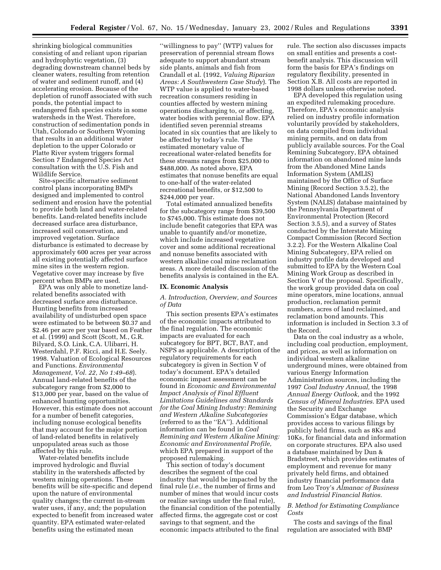shrinking biological communities consisting of and reliant upon riparian and hydrophytic vegetation, (3) degrading downstream channel beds by cleaner waters, resulting from retention of water and sediment runoff, and (4) accelerating erosion. Because of the depletion of runoff associated with such ponds, the potential impact to endangered fish species exists in some watersheds in the West. Therefore, construction of sedimentation ponds in Utah, Colorado or Southern Wyoming that results in an additional water depletion to the upper Colorado or Platte River system triggers formal Section 7 Endangered Species Act consultation with the U.S. Fish and Wildlife Service.

Site-specific alternative sediment control plans incorporating BMPs designed and implemented to control sediment and erosion have the potential to provide both land and water-related benefits. Land-related benefits include decreased surface area disturbance, increased soil conservation, and improved vegetation. Surface disturbance is estimated to decrease by approximately 600 acres per year across all existing potentially affected surface mine sites in the western region. Vegetative cover may increase by five percent when BMPs are used.

EPA was only able to monetize landrelated benefits associated with decreased surface area disturbance. Hunting benefits from increased availability of undisturbed open space were estimated to be between \$0.37 and \$2.46 per acre per year based on Feather et al. (1999) and Scott (Scott, M., G.R. Bilyard, S.O. Link, C.A. Ulibarri, H. Westerdahl, P.F. Ricci, and H.E. Seely. 1998. Valuation of Ecological Resources and Functions. *Environmental Management, Vol. 22, No 1:49–68*). Annual land-related benefits of the subcategory range from \$2,000 to \$13,000 per year, based on the value of enhanced hunting opportunities. However, this estimate does not account for a number of benefit categories, including nonuse ecological benefits that may account for the major portion of land-related benefits in relatively unpopulated areas such as those affected by this rule.

Water-related benefits include improved hydrologic and fluvial stability in the watersheds affected by western mining operations. These benefits will be site-specific and depend upon the nature of environmental quality changes; the current in-stream water uses, if any, and; the population expected to benefit from increased water quantity. EPA estimated water-related benefits using the estimated mean

''willingness to pay'' (WTP) values for preservation of perennial stream flows adequate to support abundant stream side plants, animals and fish from Crandall et al. (1992, *Valuing Riparian Areas: A Southwestern Case Study*). The WTP value is applied to water-based recreation consumers residing in counties affected by western mining operations discharging to, or affecting, water bodies with perennial flow. EPA identified seven perennial streams located in six counties that are likely to be affected by today's rule. The estimated monetary value of recreational water-related benefits for these streams ranges from \$25,000 to \$488,000. As noted above, EPA estimates that nonuse benefits are equal to one-half of the water-related recreational benefits, or \$12,500 to \$244,000 per year.

Total estimated annualized benefits for the subcategory range from \$39,500 to \$745,000. This estimate does not include benefit categories that EPA was unable to quantify and/or monetize, which include increased vegetative cover and some additional recreational and nonuse benefits associated with western alkaline coal mine reclamation areas. A more detailed discussion of the benefits analysis is contained in the EA.

#### **IX. Economic Analysis**

# *A. Introduction, Overview, and Sources of Data*

This section presents EPA's estimates of the economic impacts attributed to the final regulation. The economic impacts are evaluated for each subcategory for BPT, BCT, BAT, and NSPS as applicable. A description of the regulatory requirements for each subcategory is given in Section V of today's document. EPA's detailed economic impact assessment can be found in *Economic and Environmental Impact Analysis of Final Effluent Limitations Guidelines and Standards for the Coal Mining Industry: Remining and Western Alkaline Subcategories* (referred to as the ''EA''). Additional information can be found in *Coal Remining and Western Alkaline Mining: Economic and Environmental Profile,* which EPA prepared in support of the proposed rulemaking.

This section of today's document describes the segment of the coal industry that would be impacted by the final rule (*i.e.,* the number of firms and number of mines that would incur costs or realize savings under the final rule), the financial condition of the potentially affected firms, the aggregate cost or cost savings to that segment, and the economic impacts attributed to the final

rule. The section also discusses impacts on small entities and presents a costbenefit analysis. This discussion will form the basis for EPA's findings on regulatory flexibility, presented in Section X.B. All costs are reported in 1998 dollars unless otherwise noted.

EPA developed this regulation using an expedited rulemaking procedure. Therefore, EPA's economic analysis relied on industry profile information voluntarily provided by stakeholders, on data compiled from individual mining permits, and on data from publicly available sources. For the Coal Remining Subcategory, EPA obtained information on abandoned mine lands from the Abandoned Mine Lands Information System (AMLIS) maintained by the Office of Surface Mining (Record Section 3.5.2), the National Abandoned Lands Inventory System (NALIS) database maintained by the Pennsylvania Department of Environmental Protection (Record Section 3.5.5), and a survey of States conducted by the Interstate Mining Compact Commission (Record Section 3.2.2). For the Western Alkaline Coal Mining Subcategory, EPA relied on industry profile data developed and submitted to EPA by the Western Coal Mining Work Group as described in Section V of the proposal. Specifically, the work group provided data on coal mine operators, mine locations, annual production, reclamation permit numbers, acres of land reclaimed, and reclamation bond amounts. This information is included in Section 3.3 of the Record.

Data on the coal industry as a whole, including coal production, employment, and prices, as well as information on individual western alkaline underground mines, were obtained from various Energy Information Administration sources, including the 1997 *Coal Industry Annual,* the 1998 *Annual Energy Outlook,* and the 1992 *Census of Mineral Industries.* EPA used the Security and Exchange Commission's Edgar database, which provides access to various filings by publicly held firms, such as 8Ks and 10Ks, for financial data and information on corporate structures. EPA also used a database maintained by Dun & Bradstreet, which provides estimates of employment and revenue for many privately held firms, and obtained industry financial performance data from Leo Troy's *Almanac of Business and Industrial Financial Ratios.*

# *B. Method for Estimating Compliance Costs*

The costs and savings of the final regulation are associated with BMP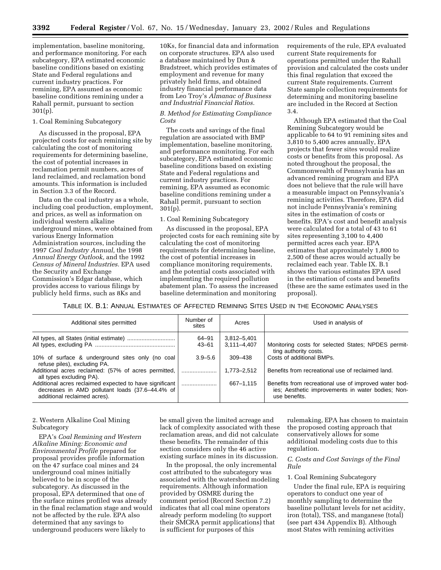implementation, baseline monitoring, and performance monitoring. For each subcategory, EPA estimated economic baseline conditions based on existing State and Federal regulations and current industry practices. For remining, EPA assumed as economic baseline conditions remining under a Rahall permit, pursuant to section 301(p).

# 1. Coal Remining Subcategory

As discussed in the proposal, EPA projected costs for each remining site by calculating the cost of monitoring requirements for determining baseline, the cost of potential increases in reclamation permit numbers, acres of land reclaimed, and reclamation bond amounts. This information is included in Section 3.3 of the Record.

Data on the coal industry as a whole, including coal production, employment, and prices, as well as information on individual western alkaline underground mines, were obtained from various Energy Information Administration sources, including the 1997 *Coal Industry Annual,* the 1998 *Annual Energy Outlook,* and the 1992 *Census of Mineral Industries.* EPA used the Security and Exchange Commission's Edgar database, which provides access to various filings by publicly held firms, such as 8Ks and

10Ks, for financial data and information on corporate structures. EPA also used a database maintained by Dun & Bradstreet, which provides estimates of employment and revenue for many privately held firms, and obtained industry financial performance data from Leo Troy's *Almanac of Business and Industrial Financial Ratios.*

# *B. Method for Estimating Compliance Costs*

The costs and savings of the final regulation are associated with BMP implementation, baseline monitoring, and performance monitoring. For each subcategory, EPA estimated economic baseline conditions based on existing State and Federal regulations and current industry practices. For remining, EPA assumed as economic baseline conditions remining under a Rahall permit, pursuant to section 301(p).

#### 1. Coal Remining Subcategory

As discussed in the proposal, EPA projected costs for each remining site by calculating the cost of monitoring requirements for determining baseline, the cost of potential increases in compliance monitoring requirements, and the potential costs associated with implementing the required pollution abatement plan. To assess the increased baseline determination and monitoring

requirements of the rule, EPA evaluated current State requirements for operations permitted under the Rahall provision and calculated the costs under this final regulation that exceed the current State requirements. Current State sample collection requirements for determining and monitoring baseline are included in the Record at Section 3.4.

Although EPA estimated that the Coal Remining Subcategory would be applicable to 64 to 91 remining sites and 3,810 to 5,400 acres annually, EPA projects that fewer sites would realize costs or benefits from this proposal. As noted throughout the proposal, the Commonwealth of Pennsylvania has an advanced remining program and EPA does not believe that the rule will have a measurable impact on Pennsylvania's remining activities. Therefore, EPA did not include Pennsylvania's remining sites in the estimation of costs or benefits. EPA's cost and benefit analysis were calculated for a total of 43 to 61 sites representing 3,100 to 4,400 permitted acres each year. EPA estimates that approximately 1,800 to 2,500 of these acres would actually be reclaimed each year. Table IX. B.1 shows the various estimates EPA used in the estimation of costs and benefits (these are the same estimates used in the proposal).

# TABLE IX. B.1: ANNUAL ESTIMATES OF AFFECTED REMINING SITES USED IN THE ECONOMIC ANALYSES

| Additional sites permitted                                                                                                                 | Number of<br>sites | Acres           | Used in analysis of                                                                                                         |
|--------------------------------------------------------------------------------------------------------------------------------------------|--------------------|-----------------|-----------------------------------------------------------------------------------------------------------------------------|
|                                                                                                                                            | 64-91              | 3,812-5,401     |                                                                                                                             |
|                                                                                                                                            | $43 - 61$          | $3,111 - 4,407$ | Monitoring costs for selected States; NPDES permit-<br>ting authority costs.                                                |
| 10% of surface & underground sites only (no coal<br>refuse piles), excluding PA.                                                           | $3.9 - 5.6$        | 309-438         | Costs of additional BMPs.                                                                                                   |
| Additional acres reclaimed: (57% of acres permitted,<br>all types excluding PA).                                                           |                    | 1,773-2,512     | Benefits from recreational use of reclaimed land.                                                                           |
| Additional acres reclaimed expected to have significant<br>decreases in AMD pollutant loads (37.6-44.4% of<br>additional reclaimed acres). |                    | 667-1,115       | Benefits from recreational use of improved water bod-<br>ies; Aesthetic improvements in water bodies; Non-<br>use benefits. |

# 2. Western Alkaline Coal Mining Subcategory

EPA's *Coal Remining and Western Alkaline Mining: Economic and Environmental Profile* prepared for proposal provides profile information on the 47 surface coal mines and 24 underground coal mines initially believed to be in scope of the subcategory. As discussed in the proposal, EPA determined that one of the surface mines profiled was already in the final reclamation stage and would not be affected by the rule. EPA also determined that any savings to underground producers were likely to

be small given the limited acreage and lack of complexity associated with these reclamation areas, and did not calculate these benefits. The remainder of this section considers only the 46 active existing surface mines in its discussion.

In the proposal, the only incremental cost attributed to the subcategory was associated with the watershed modeling requirements. Although information provided by OSMRE during the comment period (Record Section 7.2) indicates that all coal mine operators already perform modeling (to support their SMCRA permit applications) that is sufficient for purposes of this

rulemaking, EPA has chosen to maintain the proposed costing approach that conservatively allows for some additional modeling costs due to this regulation.

# *C. Costs and Cost Savings of the Final Rule*

#### 1. Coal Remining Subcategory

Under the final rule, EPA is requiring operators to conduct one year of monthly sampling to determine the baseline pollutant levels for net acidity, iron (total), TSS, and manganese (total) (see part 434 Appendix B). Although most States with remining activities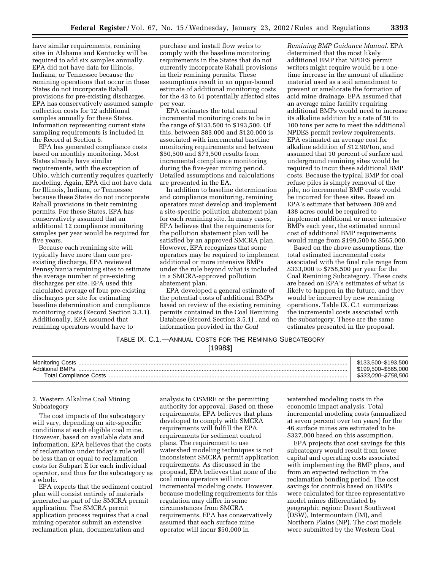have similar requirements, remining sites in Alabama and Kentucky will be required to add six samples annually. EPA did not have data for Illinois, Indiana, or Tennessee because the remining operations that occur in these States do not incorporate Rahall provisions for pre-existing discharges. EPA has conservatively assumed sample collection costs for 12 additional samples annually for these States. Information representing current state sampling requirements is included in the Record at Section 5.

EPA has generated compliance costs based on monthly monitoring. Most States already have similar requirements, with the exception of Ohio, which currently requires quarterly modeling. Again, EPA did not have data for Illinois, Indiana, or Tennessee because these States do not incorporate Rahall provisions in their remining permits. For these States, EPA has conservatively assumed that an additional 12 compliance monitoring samples per year would be required for five years.

Because each remining site will typically have more than one preexisting discharge, EPA reviewed Pennsylvania remining sites to estimate the average number of pre-existing discharges per site. EPA used this calculated average of four pre-existing discharges per site for estimating baseline determination and compliance monitoring costs (Record Section 3.3.1). Additionally, EPA assumed that remining operators would have to

purchase and install flow weirs to comply with the baseline monitoring requirements in the States that do not currently incorporate Rahall provisions in their remining permits. These assumptions result in an upper-bound estimate of additional monitoring costs for the 43 to 61 potentially affected sites per year.

EPA estimates the total annual incremental monitoring costs to be in the range of \$133,500 to \$193,500. Of this, between \$83,000 and \$120,000 is associated with incremental baseline monitoring requirements and between \$50,500 and \$73,500 results from incremental compliance monitoring during the five-year mining period. Detailed assumptions and calculations are presented in the EA.

In addition to baseline determination and compliance monitoring, remining operators must develop and implement a site-specific pollution abatement plan for each remining site. In many cases, EPA believes that the requirements for the pollution abatement plan will be satisfied by an approved SMCRA plan. However, EPA recognizes that some operators may be required to implement additional or more intensive BMPs under the rule beyond what is included in a SMCRA-approved pollution abatement plan.

EPA developed a general estimate of the potential costs of additional BMPs based on review of the existing remining permits contained in the Coal Remining Database (Record Section 3.5.1) , and on information provided in the *Coal*

*Remining BMP Guidance Manual.* EPA determined that the most likely additional BMP that NPDES permit writers might require would be a onetime increase in the amount of alkaline material used as a soil amendment to prevent or ameliorate the formation of acid mine drainage. EPA assumed that an average mine facility requiring additional BMPs would need to increase its alkaline addition by a rate of 50 to 100 tons per acre to meet the additional NPDES permit review requirements. EPA estimated an average cost for alkaline addition of \$12.90/ton, and assumed that 10 percent of surface and underground remining sites would be required to incur these additional BMP costs. Because the typical BMP for coal refuse piles is simply removal of the pile, no incremental BMP costs would be incurred for these sites. Based on EPA's estimate that between 309 and 438 acres could be required to implement additional or more intensive BMPs each year, the estimated annual cost of additional BMP requirements would range from \$199,500 to \$565,000.

Based on the above assumptions, the total estimated incremental costs associated with the final rule range from \$333,000 to \$758,500 per year for the Coal Remining Subcategory. These costs are based on EPA's estimates of what is likely to happen in the future, and they would be incurred by new remining operations. Table IX. C.1 summarizes the incremental costs associated with the subcategory. These are the same estimates presented in the proposal.

# TABLE IX. C.1.—ANNUAL COSTS FOR THE REMINING SUBCATEGORY [1998\$]

| <b>Monitoring Costs</b> | \$133.500-\$193.500 |
|-------------------------|---------------------|
| <b>Additional BMPs</b>  | \$199.500-\$565.000 |
| Total Compliance Costs  | 758.500             |

# 2. Western Alkaline Coal Mining Subcategory

The cost impacts of the subcategory will vary, depending on site-specific conditions at each eligible coal mine. However, based on available data and information, EPA believes that the costs of reclamation under today's rule will be less than or equal to reclamation costs for Subpart E for each individual operator, and thus for the subcategory as a whole.

EPA expects that the sediment control plan will consist entirely of materials generated as part of the SMCRA permit application. The SMCRA permit application process requires that a coal mining operator submit an extensive reclamation plan, documentation and

analysis to OSMRE or the permitting authority for approval. Based on these requirements, EPA believes that plans developed to comply with SMCRA requirements will fulfill the EPA requirements for sediment control plans. The requirement to use watershed modeling techniques is not inconsistent SMCRA permit application requirements. As discussed in the proposal, EPA believes that none of the coal mine operators will incur incremental modeling costs. However, because modeling requirements for this regulation may differ in some circumstances from SMCRA requirements, EPA has conservatively assumed that each surface mine operator will incur \$50,000 in

watershed modeling costs in the economic impact analysis. Total incremental modeling costs (annualized at seven percent over ten years) for the 46 surface mines are estimated to be \$327,000 based on this assumption.

EPA projects that cost savings for this subcategory would result from lower capital and operating costs associated with implementing the BMP plans, and from an expected reduction in the reclamation bonding period. The cost savings for controls based on BMPs were calculated for three representative model mines differentiated by geographic region: Desert Southwest (DSW), Intermountain (IM), and Northern Plains (NP). The cost models were submitted by the Western Coal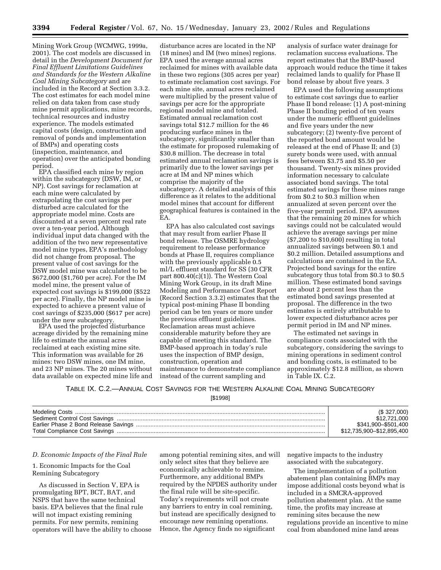Mining Work Group (WCMWG, 1999a, 2001). The cost models are discussed in detail in the *Development Document for Final Effluent Limitations Guidelines and Standards for the Western Alkaline Coal Mining Subcategory* and are included in the Record at Section 3.3.2. The cost estimates for each model mine relied on data taken from case study mine permit applications, mine records, technical resources and industry experience. The models estimated capital costs (design, construction and removal of ponds and implementation of BMPs) and operating costs (inspection, maintenance, and operation) over the anticipated bonding

EPA classified each mine by region within the subcategory (DSW, IM, or NP). Cost savings for reclamation at each mine were calculated by extrapolating the cost savings per disturbed acre calculated for the appropriate model mine. Costs are discounted at a seven percent real rate over a ten-year period. Although individual input data changed with the addition of the two new representative model mine types, EPA's methodology did not change from proposal. The present value of cost savings for the DSW model mine was calculated to be \$672,000 (\$1,760 per acre). For the IM model mine, the present value of expected cost savings is \$199,000 (\$522 per acre). Finally, the NP model mine is expected to achieve a present value of cost savings of \$235,000 (\$617 per acre)

under the new subcategory. EPA used the projected disturbance acreage divided by the remaining mine life to estimate the annual acres reclaimed at each existing mine site. This information was available for 26 mines: two DSW mines, one IM mine, and 23 NP mines. The 20 mines without data available on expected mine life and

disturbance acres are located in the NP (18 mines) and IM (two mines) regions. EPA used the average annual acres reclaimed for mines with available data in these two regions (305 acres per year) to estimate reclamation cost savings. For each mine site, annual acres reclaimed were multiplied by the present value of savings per acre for the appropriate regional model mine and totaled. Estimated annual reclamation cost savings total \$12.7 million for the 46 producing surface mines in the subcategory, significantly smaller than the estimate for proposed rulemaking of \$30.8 million. The decrease in total estimated annual reclamation savings is primarily due to the lower savings per acre at IM and NP mines which comprise the majority of the subcategory. A detailed analysis of this difference as it relates to the additional model mines that account for different geographical features is contained in the EA.

EPA has also calculated cost savings that may result from earlier Phase II bond release. The OSMRE hydrology requirement to release performance bonds at Phase II, requires compliance with the previously applicable 0.5 ml/L effluent standard for SS (30 CFR part 800.40(c)(1)). The Western Coal Mining Work Group, in its draft Mine Modeling and Performance Cost Report (Record Section 3.3.2) estimates that the typical post-mining Phase II bonding period can be ten years or more under the previous effluent guidelines. Reclamation areas must achieve considerable maturity before they are capable of meeting this standard. The BMP-based approach in today's rule uses the inspection of BMP design, construction, operation and maintenance to demonstrate compliance instead of the current sampling and

analysis of surface water drainage for reclamation success evaluations. The report estimates that the BMP-based approach would reduce the time it takes reclaimed lands to qualify for Phase II bond release by about five years. 3

EPA used the following assumptions to estimate cost savings due to earlier Phase II bond release: (1) A post-mining Phase II bonding period of ten years under the numeric effluent guidelines and five years under the new subcategory; (2) twenty-five percent of the reported bond amount would be released at the end of Phase II; and (3) surety bonds were used, with annual fees between \$3.75 and \$5.50 per thousand. Twenty-six mines provided information necessary to calculate associated bond savings. The total estimated savings for these mines range from \$0.2 to \$0.3 million when annualized at seven percent over the five-year permit period. EPA assumes that the remaining 20 mines for which savings could not be calculated would achieve the average savings per mine (\$7,200 to \$10,600) resulting in total annualized savings between \$0.1 and \$0.2 million. Detailed assumptions and calculations are contained in the EA. Projected bond savings for the entire subcategory thus total from \$0.3 to \$0.5 million. These estimated bond savings are about 2 percent less than the estimated bond savings presented at proposal. The difference in the two estimates is entirely attributable to lower expected disturbance acres per permit period in IM and NP mines.

The estimated net savings in compliance costs associated with the subcategory, considering the savings to mining operations in sediment control and bonding costs, is estimated to be approximately \$12.8 million, as shown in Table IX. C.2.

TABLE IX. C.2.—ANNUAL COST SAVINGS FOR THE WESTERN ALKALINE COAL MINING SUBCATEGORY [\$1998]

| (S. 327,000)              |
|---------------------------|
| \$12,721,000              |
| \$341,900-\$501,400       |
| \$12,735,900-\$12,895,400 |

#### *D. Economic Impacts of the Final Rule*

# 1. Economic Impacts for the Coal Remining Subcategory

As discussed in Section V, EPA is promulgating BPT, BCT, BAT, and NSPS that have the same technical basis. EPA believes that the final rule will not impact existing remining permits. For new permits, remining operators will have the ability to choose

among potential remining sites, and will only select sites that they believe are economically achievable to remine. Furthermore, any additional BMPs required by the NPDES authority under the final rule will be site-specific. Today's requirements will not create any barriers to entry in coal remining, but instead are specifically designed to encourage new remining operations. Hence, the Agency finds no significant

negative impacts to the industry associated with the subcategory.

The implementation of a pollution abatement plan containing BMPs may impose additional costs beyond what is included in a SMCRA-approved pollution abatement plan. At the same time, the profits may increase at remining sites because the new regulations provide an incentive to mine coal from abandoned mine land areas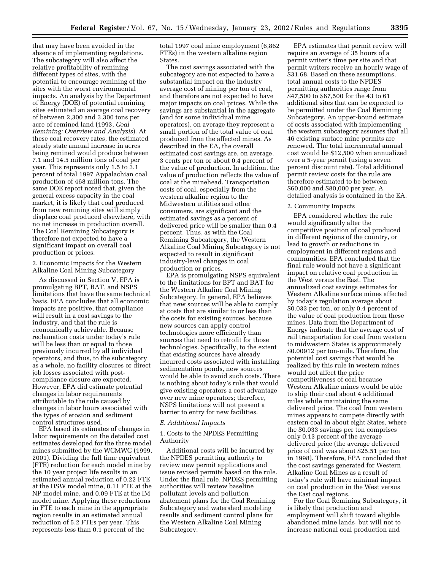that may have been avoided in the absence of implementing regulations. The subcategory will also affect the relative profitability of remining different types of sites, with the potential to encourage remining of the sites with the worst environmental impacts. An analysis by the Department of Energy (DOE) of potential remining sites estimated an average coal recovery of between 2,300 and 3,300 tons per acre of remined land (1993, *Coal Remining: Overview and Analysis*). At these coal recovery rates, the estimated steady state annual increase in acres being remined would produce between 7.1 and 14.5 million tons of coal per year. This represents only 1.5 to 3.1 percent of total 1997 Appalachian coal production of 468 million tons. The same DOE report noted that, given the general excess capacity in the coal market, it is likely that coal produced from new remining sites will simply displace coal produced elsewhere, with no net increase in production overall. The Coal Remining Subcategory is therefore not expected to have a significant impact on overall coal production or prices.

2. Economic Impacts for the Western Alkaline Coal Mining Subcategory

As discussed in Section V, EPA is promulgating BPT, BAT, and NSPS limitations that have the same technical basis. EPA concludes that all economic impacts are positive, that compliance will result in a cost savings to the industry, and that the rule is economically achievable. Because reclamation costs under today's rule will be less than or equal to those previously incurred by all individual operators, and thus, to the subcategory as a whole, no facility closures or direct job losses associated with postcompliance closure are expected. However, EPA did estimate potential changes in labor requirements attributable to the rule caused by changes in labor hours associated with the types of erosion and sediment control structures used.

EPA based its estimates of changes in labor requirements on the detailed cost estimates developed for the three model mines submitted by the WCMWG (1999, 2001). Dividing the full time equivalent (FTE) reduction for each model mine by the 10 year project life results in an estimated annual reduction of 0.22 FTE at the DSW model mine, 0.11 FTE at the NP model mine, and 0.09 FTE at the IM model mine. Applying these reductions in FTE to each mine in the appropriate region results in an estimated annual reduction of 5.2 FTEs per year. This represents less than 0.1 percent of the

total 1997 coal mine employment (6,862 FTEs) in the western alkaline region States.

The cost savings associated with the subcategory are not expected to have a substantial impact on the industry average cost of mining per ton of coal, and therefore are not expected to have major impacts on coal prices. While the savings are substantial in the aggregate (and for some individual mine operators), on average they represent a small portion of the total value of coal produced from the affected mines. As described in the EA, the overall estimated cost savings are, on average, 3 cents per ton or about 0.4 percent of the value of production. In addition, the value of production reflects the value of coal at the minehead. Transportation costs of coal, especially from the western alkaline region to the Midwestern utilities and other consumers, are significant and the estimated savings as a percent of delivered price will be smaller than 0.4 percent. Thus, as with the Coal Remining Subcategory, the Western Alkaline Coal Mining Subcategory is not expected to result in significant industry-level changes in coal production or prices.

EPA is promulgating NSPS equivalent to the limitations for BPT and BAT for the Western Alkaline Coal Mining Subcategory. In general, EPA believes that new sources will be able to comply at costs that are similar to or less than the costs for existing sources, because new sources can apply control technologies more efficiently than sources that need to retrofit for those technologies. Specifically, to the extent that existing sources have already incurred costs associated with installing sedimentation ponds, new sources would be able to avoid such costs. There is nothing about today's rule that would give existing operators a cost advantage over new mine operators; therefore, NSPS limitations will not present a barrier to entry for new facilities.

#### *E. Additional Impacts*

1. Costs to the NPDES Permitting Authority

Additional costs will be incurred by the NPDES permitting authority to review new permit applications and issue revised permits based on the rule. Under the final rule, NPDES permitting authorities will review baseline pollutant levels and pollution abatement plans for the Coal Remining Subcategory and watershed modeling results and sediment control plans for the Western Alkaline Coal Mining Subcategory.

EPA estimates that permit review will require an average of 35 hours of a permit writer's time per site and that permit writers receive an hourly wage of \$31.68. Based on these assumptions, total annual costs to the NPDES permitting authorities range from \$47,500 to \$67,500 for the 43 to 61 additional sites that can be expected to be permitted under the Coal Remining Subcategory. An upper-bound estimate of costs associated with implementing the western subcategory assumes that all 46 existing surface mine permits are renewed. The total incremental annual cost would be \$12,500 when annualized over a 5-year permit (using a seven percent discount rate). Total additional permit review costs for the rule are therefore estimated to be between \$60,000 and \$80,000 per year. A detailed analysis is contained in the EA.

#### 2. Community Impacts

EPA considered whether the rule would significantly alter the competitive position of coal produced in different regions of the country, or lead to growth or reductions in employment in different regions and communities. EPA concluded that the final rule would not have a significant impact on relative coal production in the West versus the East. The annualized cost savings estimates for Western Alkaline surface mines affected by today's regulation average about \$0.033 per ton, or only 0.4 percent of the value of coal production from these mines. Data from the Department of Energy indicate that the average cost of rail transportation for coal from western to midwestern States is approximately \$0.00912 per ton-mile. Therefore, the potential cost savings that would be realized by this rule in western mines would not affect the price competitiveness of coal because Western Alkaline mines would be able to ship their coal about 4 additional miles while maintaining the same delivered price. The coal from western mines appears to compete directly with eastern coal in about eight States, where the \$0.033 savings per ton comprises only 0.13 percent of the average delivered price (the average delivered price of coal was about \$25.51 per ton in 1998). Therefore, EPA concluded that the cost savings generated for Western Alkaline Coal Mines as a result of today's rule will have minimal impact on coal production in the West versus the East coal regions.

For the Coal Remining Subcategory, it is likely that production and employment will shift toward eligible abandoned mine lands, but will not to increase national coal production and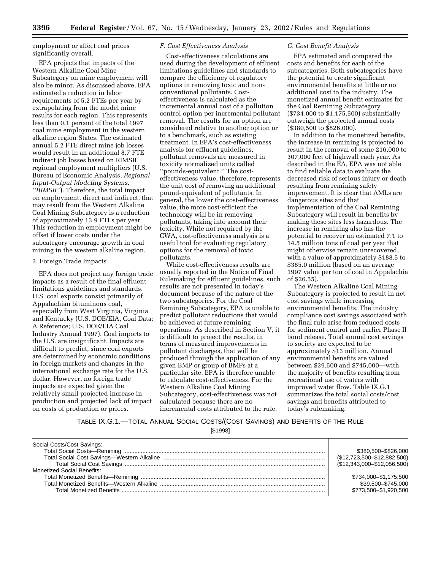employment or affect coal prices significantly overall.

EPA projects that impacts of the Western Alkaline Coal Mine Subcategory on mine employment will also be minor. As discussed above, EPA estimated a reduction in labor requirements of 5.2 FTEs per year by extrapolating from the model mine results for each region. This represents less than 0.1 percent of the total 1997 coal mine employment in the western alkaline region States. The estimated annual 5.2 FTE direct mine job losses would result in an additional 8.7 FTE indirect job losses based on RIMSII regional employment multipliers (U.S. Bureau of Economic Analysis, *Regional Input-Output Modeling Systems, ''RIMSII''*). Therefore, the total impact on employment, direct and indirect, that may result from the Western Alkaline Coal Mining Subcategory is a reduction of approximately 13.9 FTEs per year. This reduction in employment might be offset if lower costs under the subcategory encourage growth in coal mining in the western alkaline region.

# 3. Foreign Trade Impacts

EPA does not project any foreign trade impacts as a result of the final effluent limitations guidelines and standards. U.S. coal exports consist primarily of Appalachian bituminous coal, especially from West Virginia, Virginia and Kentucky (U.S. DOE/EIA, Coal Data: A Reference; U.S. DOE/EIA Coal Industry Annual 1997). Coal imports to the U.S. are insignificant. Impacts are difficult to predict, since coal exports are determined by economic conditions in foreign markets and changes in the international exchange rate for the U.S. dollar. However, no foreign trade impacts are expected given the relatively small projected increase in production and projected lack of impact on costs of production or prices.

# *F. Cost Effectiveness Analysis*

Cost-effectiveness calculations are used during the development of effluent limitations guidelines and standards to compare the efficiency of regulatory options in removing toxic and nonconventional pollutants. Costeffectiveness is calculated as the incremental annual cost of a pollution control option per incremental pollutant removal. The results for an option are considered relative to another option or to a benchmark, such as existing treatment. In EPA's cost-effectiveness analysis for effluent guidelines, pollutant removals are measured in toxicity normalized units called ''pounds-equivalent.'' The costeffectiveness value, therefore, represents the unit cost of removing an additional pound-equivalent of pollutants. In general, the lower the cost-effectiveness value, the more cost-efficient the technology will be in removing pollutants, taking into account their toxicity. While not required by the CWA, cost-effectiveness analysis is a useful tool for evaluating regulatory options for the removal of toxic pollutants.

While cost-effectiveness results are usually reported in the Notice of Final Rulemaking for effluent guidelines, such results are not presented in today's document because of the nature of the two subcategories. For the Coal Remining Subcategory, EPA is unable to predict pollutant reductions that would be achieved at future remining operations. As described in Section V, it is difficult to project the results, in terms of measured improvements in pollutant discharges, that will be produced through the application of any given BMP or group of BMPs at a particular site. EPA is therefore unable to calculate cost-effectiveness. For the Western Alkaline Coal Mining Subcategory, cost-effectiveness was not calculated because there are no incremental costs attributed to the rule.

#### *G. Cost Benefit Analysis*

EPA estimated and compared the costs and benefits for each of the subcategories. Both subcategories have the potential to create significant environmental benefits at little or no additional cost to the industry. The monetized annual benefit estimates for the Coal Remining Subcategory (\$734,000 to \$1,175,500) substantially outweigh the projected annual costs (\$380,500 to \$826,000).

In addition to the monetized benefits, the increase in remining is projected to result in the removal of some 216,000 to 307,000 feet of highwall each year. As described in the EA, EPA was not able to find reliable data to evaluate the decreased risk of serious injury or death resulting from remining safety improvement. It is clear that AMLs are dangerous sites and that implementation of the Coal Remining Subcategory will result in benefits by making these sites less hazardous. The increase in remining also has the potential to recover an estimated 7.1 to 14.5 million tons of coal per year that might otherwise remain unrecovered, with a value of approximately \$188.5 to \$385.0 million (based on an average 1997 value per ton of coal in Appalachia of \$26.55).

The Western Alkaline Coal Mining Subcategory is projected to result in net cost savings while increasing environmental benefits. The industry compliance cost savings associated with the final rule arise from reduced costs for sediment control and earlier Phase II bond release. Total annual cost savings to society are expected to be approximately \$13 million. Annual environmental benefits are valued between \$39,500 and \$745,000—with the majority of benefits resulting from recreational use of waters with improved water flow. Table IX.G.1 summarizes the total social costs/cost savings and benefits attributed to today's rulemaking.

TABLE IX.G.1.—TOTAL ANNUAL SOCIAL COSTS/(COST SAVINGS) AND BENEFITS OF THE RULE

[\$1998]

| Social Costs/Cost Savings: |                             |
|----------------------------|-----------------------------|
|                            | \$380,500 - \$826,000       |
|                            | (\$12,723,500-\$12,882,500) |
|                            | (\$12,343,000-\$12,056,500) |
| Monetized Social Benefits: |                             |
|                            | \$734,000-\$1,175,500       |
|                            | \$39,500-\$745,000          |
|                            | \$773,500-\$1,920,500       |
|                            |                             |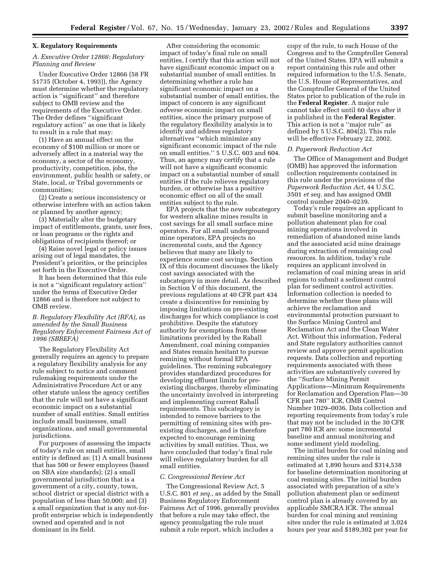# **X. Regulatory Requirements**

# *A. Executive Order 12866: Regulatory Planning and Review*

Under Executive Order 12866 (58 FR 51735 (October 4, 1993)), the Agency must determine whether the regulatory action is ''significant'' and therefore subject to OMB review and the requirements of the Executive Order. The Order defines ''significant regulatory action'' as one that is likely to result in a rule that may:

(1) Have an annual effect on the economy of \$100 million or more or adversely affect in a material way the economy, a sector of the economy, productivity, competition, jobs, the environment, public health or safety, or State, local, or Tribal governments or communities;

(2) Create a serious inconsistency or otherwise interfere with an action taken or planned by another agency;

(3) Materially alter the budgetary impact of entitlements, grants, user fees, or loan programs or the rights and obligations of recipients thereof; or

(4) Raise novel legal or policy issues arising out of legal mandates, the President's priorities, or the principles set forth in the Executive Order.

It has been determined that this rule is not a ''significant regulatory action'' under the terms of Executive Order 12866 and is therefore not subject to OMB review.

# *B. Regulatory Flexibility Act (RFA), as amended by the Small Business Regulatory Enforcement Fairness Act of 1996 (SBREFA)*

The Regulatory Flexibility Act generally requires an agency to prepare a regulatory flexibility analysis for any rule subject to notice and comment rulemaking requirements under the Administrative Procedure Act or any other statute unless the agency certifies that the rule will not have a significant economic impact on a substantial number of small entities. Small entities include small businesses, small organizations, and small governmental jurisdictions.

For purposes of assessing the impacts of today's rule on small entities, small entity is defined as: (1) A small business that has 500 or fewer employees (based on SBA size standards); (2) a small governmental jurisdiction that is a government of a city, county, town, school district or special district with a population of less than 50,000; and (3) a small organization that is any not-forprofit enterprise which is independently owned and operated and is not dominant in its field.

After considering the economic impact of today's final rule on small entities, I certify that this action will not have significant economic impact on a substantial number of small entities. In determining whether a rule has significant economic impact on a substantial number of small entities, the impact of concern is any significant *adverse* economic impact on small entities, since the primary purpose of the regulatory flexibility analysis is to identify and address regulatory alternatives ''which minimize any significant economic impact of the rule on small entities.'' 5 U.S.C. 603 and 604. Thus, an agency may certify that a rule will not have a significant economic impact on a substantial number of small entities if the rule relieves regulatory burden, or otherwise has a positive economic effect on all of the small entities subject to the rule.

EPA projects that the new subcategory for western alkaline mines results in cost savings for all small surface mine operators. For all small underground mine operators, EPA projects no incremental costs, and the Agency believes that many are likely to experience some cost savings. Section IX of this document discusses the likely cost savings associated with the subcategory in more detail. As described in Section V of this document, the previous regulations at 40 CFR part 434 create a disincentive for remining by imposing limitations on pre-existing discharges for which compliance is cost prohibitive. Despite the statutory authority for exemptions from these limitations provided by the Rahall Amendment, coal mining companies and States remain hesitant to pursue remining without formal EPA guidelines. The remining subcategory provides standardized procedures for developing effluent limits for preexisting discharges, thereby eliminating the uncertainty involved in interpreting and implementing current Rahall requirements. This subcategory is intended to remove barriers to the permitting of remining sites with preexisting discharges, and is therefore expected to encourage remining activities by small entities. Thus, we have concluded that today's final rule will relieve regulatory burden for all small entities.

#### *C. Congressional Review Act*

The Congressional Review Act, 5 U.S.C. 801 *et seq.*, as added by the Small Business Regulatory Enforcement Fairness Act of 1996, generally provides that before a rule may take effect, the agency promulgating the rule must submit a rule report, which includes a

copy of the rule, to each House of the Congress and to the Comptroller General of the United States. EPA will submit a report containing this rule and other required information to the U.S. Senate, the U.S. House of Representatives, and the Comptroller General of the United States prior to publication of the rule in the **Federal Register**. A major rule cannot take effect until 60 days after it is published in the **Federal Register**. This action is not a ''major rule'' as defined by 5 U.S.C. 804(2). This rule will be effective February 22, 2002.

# *D. Paperwork Reduction Act*

The Office of Management and Budget (OMB) has approved the information collection requirements contained in this rule under the provisions of the *Paperwork Reduction Act*, 44 U.S.C. 3501 *et seq.* and has assigned OMB control number 2040–0239.

Today's rule requires an applicant to submit baseline monitoring and a pollution abatement plan for coal mining operations involved in remediation of abandoned mine lands and the associated acid mine drainage during extraction of remaining coal resources. In addition, today's rule requires an applicant involved in reclamation of coal mining areas in arid regions to submit a sediment control plan for sediment control activities. Information collection is needed to determine whether these plans will achieve the reclamation and environmental protection pursuant to the Surface Mining Control and Reclamation Act and the Clean Water Act. Without this information, Federal and State regulatory authorities cannot review and approve permit application requests. Data collection and reporting requirements associated with these activities are substantively covered by the ''Surface Mining Permit Applications—Minimum Requirements for Reclamation and Operation Plan—30 CFR part 780'' ICR, OMB Control Number 1029–0036. Data collection and reporting requirements from today's rule that may not be included in the 30 CFR part 780 ICR are: some incremental baseline and annual monitoring and some sediment yield modeling.

The initial burden for coal mining and remining sites under the rule is estimated at 1,890 hours and \$314,538 for baseline determination monitoring at coal remining sites. The initial burden associated with preparation of a site's pollution abatement plan or sediment control plan is already covered by an applicable SMCRA ICR. The annual burden for coal mining and remining sites under the rule is estimated at 3,024 hours per year and \$189,302 per year for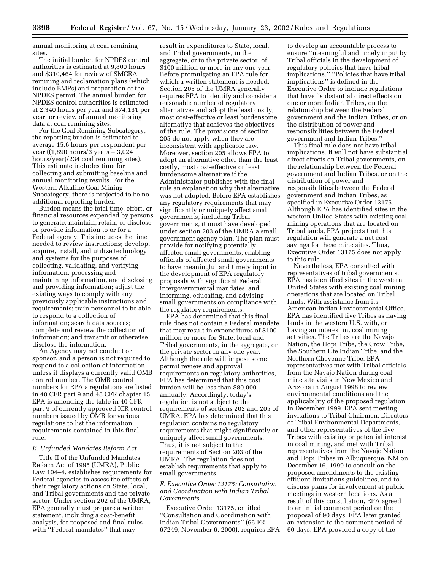annual monitoring at coal remining sites.

The initial burden for NPDES control authorities is estimated at 9,800 hours and \$310,464 for review of SMCRA remining and reclamation plans (which include BMPs) and preparation of the NPDES permit. The annual burden for NPDES control authorities is estimated at 2,340 hours per year and \$74,131 per year for review of annual monitoring data at coal remining sites.

For the Coal Remining Subcategory, the reporting burden is estimated to average 15.6 hours per respondent per year ( $(1,890 \text{ hours}/3 \text{ years} + 3,024$ ) hours/year)/234 coal remining sites). This estimate includes time for collecting and submitting baseline and annual monitoring results. For the Western Alkaline Coal Mining Subcategory, there is projected to be no additional reporting burden.

Burden means the total time, effort, or financial resources expended by persons to generate, maintain, retain, or disclose or provide information to or for a Federal agency. This includes the time needed to review instructions; develop, acquire, install, and utilize technology and systems for the purposes of collecting, validating, and verifying information, processing and maintaining information, and disclosing and providing information; adjust the existing ways to comply with any previously applicable instructions and requirements; train personnel to be able to respond to a collection of information; search data sources; complete and review the collection of information; and transmit or otherwise disclose the information.

An Agency may not conduct or sponsor, and a person is not required to respond to a collection of information unless it displays a currently valid OMB control number. The OMB control numbers for EPA's regulations are listed in 40 CFR part 9 and 48 CFR chapter 15. EPA is amending the table in 40 CFR part 9 of currently approved ICR control numbers issued by OMB for various regulations to list the information requirements contained in this final rule.

#### *E. Unfunded Mandates Reform Act*

Title II of the Unfunded Mandates Reform Act of 1995 (UMRA), Public Law 104–4, establishes requirements for Federal agencies to assess the effects of their regulatory actions on State, local, and Tribal governments and the private sector. Under section 202 of the UMRA, EPA generally must prepare a written statement, including a cost-benefit analysis, for proposed and final rules with ''Federal mandates'' that may

result in expenditures to State, local, and Tribal governments, in the aggregate, or to the private sector, of \$100 million or more in any one year. Before promulgating an EPA rule for which a written statement is needed, Section 205 of the UMRA generally requires EPA to identify and consider a reasonable number of regulatory alternatives and adopt the least costly, most cost-effective or least burdensome alternative that achieves the objectives of the rule. The provisions of section 205 do not apply when they are inconsistent with applicable law. Moreover, section 205 allows EPA to adopt an alternative other than the least costly, most cost-effective or least burdensome alternative if the Administrator publishes with the final rule an explanation why that alternative was not adopted. Before EPA establishes any regulatory requirements that may significantly or uniquely affect small governments, including Tribal governments, it must have developed under section 203 of the UMRA a small government agency plan. The plan must provide for notifying potentially affected small governments, enabling officials of affected small governments to have meaningful and timely input in the development of EPA regulatory proposals with significant Federal intergovernmental mandates, and informing, educating, and advising small governments on compliance with the regulatory requirements.

EPA has determined that this final rule does not contain a Federal mandate that may result in expenditures of \$100 million or more for State, local and Tribal governments, in the aggregate, or the private sector in any one year. Although the rule will impose some permit review and approval requirements on regulatory authorities, EPA has determined that this cost burden will be less than \$80,000 annually. Accordingly, today's regulation is not subject to the requirements of sections 202 and 205 of UMRA. EPA has determined that this regulation contains no regulatory requirements that might significantly or uniquely affect small governments. Thus, it is not subject to the requirements of Section 203 of the UMRA. The regulation does not establish requirements that apply to small governments.

# *F. Executive Order 13175: Consultation and Coordination with Indian Tribal Governments*

Executive Order 13175, entitled ''Consultation and Coordination with Indian Tribal Governments'' (65 FR 67249, November 6, 2000), requires EPA

to develop an accountable process to ensure ''meaningful and timely input by Tribal officials in the development of regulatory policies that have tribal implications.'' ''Policies that have tribal implications'' is defined in the Executive Order to include regulations that have ''substantial direct effects on one or more Indian Tribes, on the relationship between the Federal government and the Indian Tribes, or on the distribution of power and responsibilities between the Federal government and Indian Tribes.''

This final rule does not have tribal implications. It will not have substantial direct effects on Tribal governments, on the relationship between the Federal government and Indian Tribes, or on the distribution of power and responsibilities between the Federal government and Indian Tribes, as specified in Executive Order 13175. Although EPA has identified sites in the western United States with existing coal mining operations that are located on Tribal lands, EPA projects that this regulation will generate a net cost savings for these mine sites. Thus, Executive Order 13175 does not apply to this rule.

Nevertheless, EPA consulted with representatives of tribal governments. EPA has identified sites in the western United States with existing coal mining operations that are located on Tribal lands. With assistance from its American Indian Environmental Office, EPA has identified five Tribes as having lands in the western U.S. with, or having an interest in, coal mining activities. The Tribes are the Navajo Nation, the Hopi Tribe, the Crow Tribe, the Southern Ute Indian Tribe, and the Northern Cheyenne Tribe. EPA representatives met with Tribal officials from the Navajo Nation during coal mine site visits in New Mexico and Arizona in August 1998 to review environmental conditions and the applicability of the proposed regulation. In December 1999, EPA sent meeting invitations to Tribal Chairmen, Directors of Tribal Environmental Departments, and other representatives of the five Tribes with existing or potential interest in coal mining, and met with Tribal representatives from the Navajo Nation and Hopi Tribes in Albuquerque, NM on December 16, 1999 to consult on the proposed amendments to the existing effluent limitations guidelines, and to discuss plans for involvement at public meetings in western locations. As a result of this consultation, EPA agreed to an initial comment period on the proposal of 90 days. EPA later granted an extension to the comment period of 60 days. EPA provided a copy of the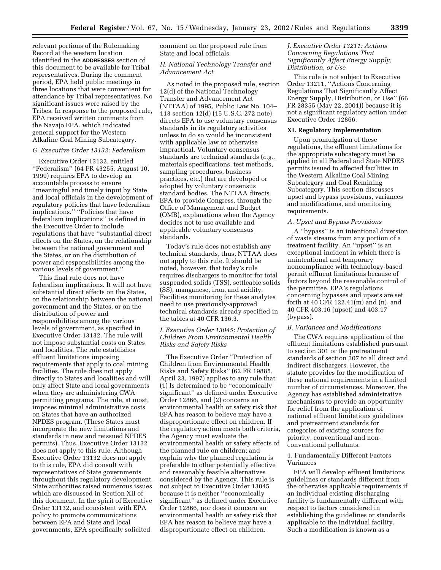relevant portions of the Rulemaking Record at the western location identified in the **ADDRESSES** section of this document to be available for Tribal representatives. During the comment period, EPA held public meetings in three locations that were convenient for attendance by Tribal representatives. No significant issues were raised by the Tribes. In response to the proposed rule, EPA received written comments from the Navajo EPA, which indicated general support for the Western Alkaline Coal Mining Subcategory.

# *G. Executive Order 13132: Federalism*

Executive Order 13132, entitled ''Federalism'' (64 FR 43255, August 10, 1999) requires EPA to develop an accountable process to ensure ''meaningful and timely input by State and local officials in the development of regulatory policies that have federalism implications.'' ''Policies that have federalism implications'' is defined in the Executive Order to include regulations that have ''substantial direct effects on the States, on the relationship between the national government and the States, or on the distribution of power and responsibilities among the various levels of government.''

This final rule does not have federalism implications. It will not have substantial direct effects on the States, on the relationship between the national government and the States, or on the distribution of power and responsibilities among the various levels of government, as specified in Executive Order 13132. The rule will not impose substantial costs on States and localities. The rule establishes effluent limitations imposing requirements that apply to coal mining facilities. The rule does not apply directly to States and localities and will only affect State and local governments when they are administering CWA permitting programs. The rule, at most, imposes minimal administrative costs on States that have an authorized NPDES program. (These States must incorporate the new limitations and standards in new and reissued NPDES permits). Thus, Executive Order 13132 does not apply to this rule. Although Executive Order 13132 does not apply to this rule, EPA did consult with representatives of State governments throughout this regulatory development. State authorities raised numerous issues which are discussed in Section XII of this document. In the spirit of Executive Order 13132, and consistent with EPA policy to promote communications between EPA and State and local governments, EPA specifically solicited

comment on the proposed rule from State and local officials.

# *H. National Technology Transfer and Advancement Act*

As noted in the proposed rule, section 12(d) of the National Technology Transfer and Advancement Act (NTTAA) of 1995, Public Law No. 104– 113 section 12(d) (15 U.S.C. 272 note) directs EPA to use voluntary consensus standards in its regulatory activities unless to do so would be inconsistent with applicable law or otherwise impractical. Voluntary consensus standards are technical standards (*e.g.*, materials specifications, test methods, sampling procedures, business practices, etc.) that are developed or adopted by voluntary consensus standard bodies. The NTTAA directs EPA to provide Congress, through the Office of Management and Budget (OMB), explanations when the Agency decides not to use available and applicable voluntary consensus standards.

Today's rule does not establish any technical standards, thus, NTTAA does not apply to this rule. It should be noted, however, that today's rule requires dischargers to monitor for total suspended solids (TSS), settleable solids (SS), manganese, iron, and acidity. Facilities monitoring for these analytes need to use previously-approved technical standards already specified in the tables at 40 CFR 136.3.

# *I. Executive Order 13045: Protection of Children From Environmental Health Risks and Safety Risks*

The Executive Order ''Protection of Children from Environmental Health Risks and Safety Risks'' (62 FR 19885, April 23, 1997) applies to any rule that: (1) Is determined to be ''economically significant'' as defined under Executive Order 12866, and (2) concerns an environmental health or safety risk that EPA has reason to believe may have a disproportionate effect on children. If the regulatory action meets both criteria, the Agency must evaluate the environmental health or safety effects of the planned rule on children; and explain why the planned regulation is preferable to other potentially effective and reasonably feasible alternatives considered by the Agency. This rule is not subject to Executive Order 13045 because it is neither ''economically significant'' as defined under Executive Order 12866, nor does it concern an environmental health or safety risk that EPA has reason to believe may have a disproportionate effect on children.

# *J. Executive Order 13211: Actions Concerning Regulations That Significantly Affect Energy Supply, Distribution, or Use*

This rule is not subject to Executive Order 13211, ''Actions Concerning Regulations That Significantly Affect Energy Supply, Distribution, or Use'' (66 FR 28355 (May 22, 2001)) because it is not a significant regulatory action under Executive Order 12866.

#### **XI. Regulatory Implementation**

Upon promulgation of these regulations, the effluent limitations for the appropriate subcategory must be applied in all Federal and State NPDES permits issued to affected facilities in the Western Alkaline Coal Mining Subcategory and Coal Remining Subcategory. This section discusses upset and bypass provisions, variances and modifications, and monitoring requirements.

#### *A. Upset and Bypass Provisions*

A ''bypass'' is an intentional diversion of waste streams from any portion of a treatment facility. An ''upset'' is an exceptional incident in which there is unintentional and temporary noncompliance with technology-based permit effluent limitations because of factors beyond the reasonable control of the permittee. EPA's regulations concerning bypasses and upsets are set forth at 40 CFR 122.41(m) and (n), and 40 CFR 403.16 (upset) and 403.17 (bypass).

#### *B. Variances and Modifications*

The CWA requires application of the effluent limitations established pursuant to section 301 or the pretreatment standards of section 307 to all direct and indirect dischargers. However, the statute provides for the modification of these national requirements in a limited number of circumstances. Moreover, the Agency has established administrative mechanisms to provide an opportunity for relief from the application of national effluent limitations guidelines and pretreatment standards for categories of existing sources for priority, conventional and nonconventional pollutants.

# 1. Fundamentally Different Factors Variances

EPA will develop effluent limitations guidelines or standards different from the otherwise applicable requirements if an individual existing discharging facility is fundamentally different with respect to factors considered in establishing the guidelines or standards applicable to the individual facility. Such a modification is known as a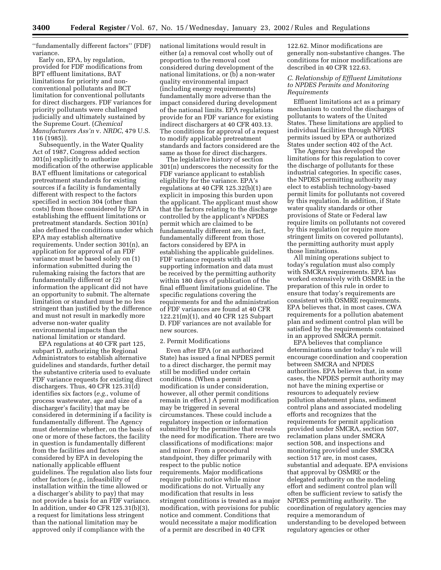''fundamentally different factors'' (FDF) variance.

Early on, EPA, by regulation, provided for FDF modifications from BPT effluent limitations, BAT limitations for priority and nonconventional pollutants and BCT limitation for conventional pollutants for direct dischargers. FDF variances for priority pollutants were challenged judicially and ultimately sustained by the Supreme Court. (*Chemical Manufacturers Ass'n* v. *NRDC*, 479 U.S. 116 (1985)).

Subsequently, in the Water Quality Act of 1987, Congress added section 301(n) explicitly to authorize modification of the otherwise applicable BAT effluent limitations or categorical pretreatment standards for existing sources if a facility is fundamentally different with respect to the factors specified in section 304 (other than costs) from those considered by EPA in establishing the effluent limitations or pretreatment standards. Section 301(n) also defined the conditions under which EPA may establish alternative requirements. Under section 301(n), an application for approval of an FDF variance must be based solely on (1) information submitted during the rulemaking raising the factors that are fundamentally different or (2) information the applicant did not have an opportunity to submit. The alternate limitation or standard must be no less stringent than justified by the difference and must not result in markedly more adverse non-water quality environmental impacts than the national limitation or standard.

EPA regulations at 40 CFR part 125, subpart D, authorizing the Regional Administrators to establish alternative guidelines and standards, further detail the substantive criteria used to evaluate FDF variance requests for existing direct dischargers. Thus, 40 CFR 125.31(d) identifies six factors (*e.g.*, volume of process wastewater, age and size of a discharger's facility) that may be considered in determining if a facility is fundamentally different. The Agency must determine whether, on the basis of one or more of these factors, the facility in question is fundamentally different from the facilities and factors considered by EPA in developing the nationally applicable effluent guidelines. The regulation also lists four other factors (*e.g.*, infeasibility of installation within the time allowed or a discharger's ability to pay) that may not provide a basis for an FDF variance. In addition, under 40 CFR 125.31(b)(3), a request for limitations less stringent than the national limitation may be approved only if compliance with the

national limitations would result in either (a) a removal cost wholly out of proportion to the removal cost considered during development of the national limitations, or (b) a non-water quality environmental impact (including energy requirements) fundamentally more adverse than the impact considered during development of the national limits. EPA regulations provide for an FDF variance for existing indirect dischargers at 40 CFR 403.13. The conditions for approval of a request to modify applicable pretreatment standards and factors considered are the same as those for direct dischargers.

The legislative history of section 301(n) underscores the necessity for the FDF variance applicant to establish eligibility for the variance. EPA's regulations at 40 CFR 125.32(b)(1) are explicit in imposing this burden upon the applicant. The applicant must show that the factors relating to the discharge controlled by the applicant's NPDES permit which are claimed to be fundamentally different are, in fact, fundamentally different from those factors considered by EPA in establishing the applicable guidelines. FDF variance requests with all supporting information and data must be received by the permitting authority within 180 days of publication of the final effluent limitations guideline. The specific regulations covering the requirements for and the administration of FDF variances are found at 40 CFR 122.21(m)(1), and 40 CFR 125 Subpart D. FDF variances are not available for new sources.

#### 2. Permit Modifications

Even after EPA (or an authorized State) has issued a final NPDES permit to a direct discharger, the permit may still be modified under certain conditions. (When a permit modification is under consideration, however, all other permit conditions remain in effect.) A permit modification may be triggered in several circumstances. These could include a regulatory inspection or information submitted by the permittee that reveals the need for modification. There are two classifications of modifications: major and minor. From a procedural standpoint, they differ primarily with respect to the public notice requirements. Major modifications require public notice while minor modifications do not. Virtually any modification that results in less stringent conditions is treated as a major modification, with provisions for public notice and comment. Conditions that would necessitate a major modification of a permit are described in 40 CFR

122.62. Minor modifications are generally non-substantive changes. The conditions for minor modifications are described in 40 CFR 122.63.

# *C. Relationship of Effluent Limitations to NPDES Permits and Monitoring Requirements*

Effluent limitations act as a primary mechanism to control the discharges of pollutants to waters of the United States. These limitations are applied to individual facilities through NPDES permits issued by EPA or authorized States under section 402 of the Act.

The Agency has developed the limitations for this regulation to cover the discharge of pollutants for these industrial categories. In specific cases, the NPDES permitting authority may elect to establish technology-based permit limits for pollutants not covered by this regulation. In addition, if State water quality standards or other provisions of State or Federal law require limits on pollutants not covered by this regulation (or require more stringent limits on covered pollutants), the permitting authority must apply those limitations.

All mining operations subject to today's regulation must also comply with SMCRA requirements. EPA has worked extensively with OSMRE in the preparation of this rule in order to ensure that today's requirements are consistent with OSMRE requirements. EPA believes that, in most cases, CWA requirements for a pollution abatement plan and sediment control plan will be satisfied by the requirements contained in an approved SMCRA permit.

EPA believes that compliance determinations under today's rule will encourage coordination and cooperation between SMCRA and NPDES authorities. EPA believes that, in some cases, the NPDES permit authority may not have the mining expertise or resources to adequately review pollution abatement plans, sediment control plans and associated modeling efforts and recognizes that the requirements for permit application provided under SMCRA, section 507, reclamation plans under SMCRA section 508, and inspections and monitoring provided under SMCRA section 517 are, in most cases, substantial and adequate. EPA envisions that approval by OSMRE or the delegated authority on the modeling effort and sediment control plan will often be sufficient review to satisfy the NPDES permitting authority. The coordination of regulatory agencies may require a memorandum of understanding to be developed between regulatory agencies or other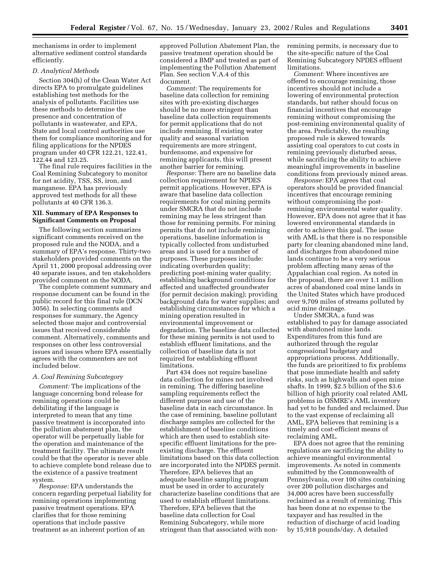mechanisms in order to implement alternative sediment control standards efficiently.

# *D. Analytical Methods*

Section 304(h) of the Clean Water Act directs EPA to promulgate guidelines establishing test methods for the analysis of pollutants. Facilities use these methods to determine the presence and concentration of pollutants in wastewater, and EPA, State and local control authorities use them for compliance monitoring and for filing applications for the NPDES program under 40 CFR 122.21, 122.41, 122.44 and 123.25.

The final rule requires facilities in the Coal Remining Subcategory to monitor for net acidity, TSS, SS, iron, and manganese. EPA has previously approved test methods for all these pollutants at 40 CFR 136.3.

# **XII. Summary of EPA Responses to Significant Comments on Proposal**

The following section summarizes significant comments received on the proposed rule and the NODA, and a summary of EPA's response. Thirty-two stakeholders provided comments on the April 11, 2000 proposal addressing over 40 separate issues, and ten stakeholders provided comment on the NODA.

The complete comment summary and response document can be found in the public record for this final rule (DCN 3056). In selecting comments and responses for summary, the Agency selected those major and controversial issues that received considerable comment. Alternatively, comments and responses on other less controversial issues and issues where EPA essentially agrees with the commenters are not included below.

## *A. Coal Remining Subcategory*

*Comment:* The implications of the language concerning bond release for remining operations could be debilitating if the language is interpreted to mean that any time passive treatment is incorporated into the pollution abatement plan, the operator will be perpetually liable for the operation and maintenance of the treatment facility. The ultimate result could be that the operator is never able to achieve complete bond release due to the existence of a passive treatment system.

*Response:* EPA understands the concern regarding perpetual liability for remining operations implementing passive treatment operations. EPA clarifies that for those remining operations that include passive treatment as an inherent portion of an

approved Pollution Abatement Plan, the passive treatment operation should be considered a BMP and treated as part of implementing the Pollution Abatement Plan. See section V.A.4 of this document.

*Comment:* The requirements for baseline data collection for remining sites with pre-existing discharges should be no more stringent than baseline data collection requirements for permit applications that do not include remining. If existing water quality and seasonal variation requirements are more stringent, burdensome, and expensive for remining applicants, this will present another barrier for remining.

*Response:* There are no baseline data collection requirement for NPDES permit applications. However, EPA is aware that baseline data collection requirements for coal mining permits under SMCRA that do not include remining may be less stringent than those for remining permits. For mining permits that do not include remining operations, baseline information is typically collected from undisturbed areas and is used for a number of purposes. These purposes include: indicating overburden quality; predicting post-mining water quality; establishing background conditions for affected and unaffected groundwater (for permit decision making); providing background data for water supplies; and establishing circumstances for which a mining operation resulted in environmental improvement or degradation. The baseline data collected for these mining permits is not used to establish effluent limitations, and the collection of baseline data is not required for establishing effluent limitations.

Part 434 does not require baseline data collection for mines not involved in remining. The differing baseline sampling requirements reflect the different purpose and use of the baseline data in each circumstance. In the case of remining, baseline pollutant discharge samples are collected for the establishment of baseline conditions which are then used to establish sitespecific effluent limitations for the preexisting discharge. The effluent limitations based on this data collection are incorporated into the NPDES permit. Therefore, EPA believes that an adequate baseline sampling program must be used in order to accurately characterize baseline conditions that are used to establish effluent limitations. Therefore, EPA believes that the baseline data collection for Coal Remining Subcategory, while more stringent than that associated with nonremining permits, is necessary due to the site-specific nature of the Coal Remining Subcategory NPDES effluent limitations.

*Comment:* Where incentives are offered to encourage remining, those incentives should not include a lowering of environmental protection standards, but rather should focus on financial incentives that encourage remining without compromising the post-remining environmental quality of the area. Predictably, the resulting proposed rule is skewed towards assisting coal operators to cut costs in remining previously disturbed areas, while sacrificing the ability to achieve meaningful improvements in baseline conditions from previously mined areas.

*Response:* EPA agrees that coal operators should be provided financial incentives that encourage remining without compromising the postremining environmental water quality. However, EPA does not agree that it has lowered environmental standards in order to achieve this goal. The issue with AML is that there is no responsible party for cleaning abandoned mine land, and discharges from abandoned mine lands continue to be a very serious problem affecting many areas of the Appalachian coal region. As noted in the proposal, there are over 1.1 million acres of abandoned coal mine lands in the United States which have produced over 9,709 miles of streams polluted by acid mine drainage.

Under SMCRA, a fund was established to pay for damage associated with abandoned mine lands. Expenditures from this fund are authorized through the regular congressional budgetary and appropriations process. Additionally, the funds are prioritized to fix problems that pose immediate health and safety risks, such as highwalls and open mine shafts. In 1999, \$2.5 billion of the \$3.6 billion of high priority coal related AML problems in OSMRE's AML inventory had yet to be funded and reclaimed. Due to the vast expense of reclaiming all AML, EPA believes that remining is a timely and cost-efficient means of reclaiming AML.

EPA does not agree that the remining regulations are sacrificing the ability to achieve meaningful environmental improvements. As noted in comments submitted by the Commonwealth of Pennsylvania, over 100 sites containing over 200 pollution discharges and 34,000 acres have been successfully reclaimed as a result of remining. This has been done at no expense to the taxpayer and has resulted in the reduction of discharge of acid loading by 15,918 pounds/day. A detailed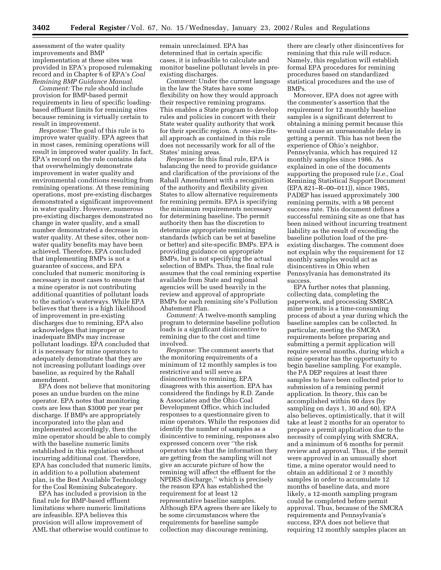assessment of the water quality improvements and BMP implementation at these sites was provided in EPA's proposed rulemaking record and in Chapter 6 of EPA's *Coal Remining BMP Guidance Manual.*

*Comment:* The rule should include provision for BMP-based permit requirements in lieu of specific loadingbased effluent limits for remining sites because remining is virtually certain to result in improvement.

*Response:* The goal of this rule is to improve water quality. EPA agrees that in most cases, remining operations will result in improved water quality. In fact, EPA's record on the rule contains data that overwhelmingly demonstrate improvement in water quality and environmental conditions resulting from remining operations. At these remining operations, most pre-existing discharges demonstrated a significant improvement in water quality. However, numerous pre-existing discharges demonstrated no change in water quality, and a small number demonstrated a decrease in water quality. At these sites, other nonwater quality benefits may have been achieved. Therefore, EPA concluded that implementing BMPs is not a guarantee of success, and EPA concluded that numeric monitoring is necessary in most cases to ensure that a mine operator is not contributing additional quantities of pollutant loads to the nation's waterways. While EPA believes that there is a high likelihood of improvement in pre-existing discharges due to remining, EPA also acknowledges that improper or inadequate BMPs may increase pollutant loadings. EPA concluded that it is necessary for mine operators to adequately demonstrate that they are not increasing pollutant loadings over baseline, as required by the Rahall amendment.

EPA does not believe that monitoring poses an undue burden on the mine operator. EPA notes that monitoring costs are less than \$3000 per year per discharge. If BMPs are appropriately incorporated into the plan and implemented accordingly, then the mine operator should be able to comply with the baseline numeric limits established in this regulation without incurring additional cost. Therefore, EPA has concluded that numeric limits, in addition to a pollution abatement plan, is the Best Available Technology for the Coal Remining Subcategory.

EPA has included a provision in the final rule for BMP-based effluent limitations where numeric limitations are infeasible. EPA believes this provision will allow improvement of AML that otherwise would continue to

remain unreclaimed. EPA has determined that in certain specific cases, it is infeasible to calculate and monitor baseline pollutant levels in preexisting discharges.

*Comment:* Under the current language in the law the States have some flexibility on how they would approach their respective remining programs. This enables a State program to develop rules and policies in concert with their State water quality authority that work for their specific region. A one-size-fitsall approach as contained in this rule does not necessarily work for all of the States' mining areas.

*Response:* In this final rule, EPA is balancing the need to provide guidance and clarification of the provisions of the Rahall Amendment with a recognition of the authority and flexibility given States to allow alternative requirements for remining permits. EPA is specifying the minimum requirements necessary for determining baseline. The permit authority then has the discretion to determine appropriate remining standards (which can be set at baseline or better) and site-specific BMPs. EPA is providing guidance on appropriate BMPs, but is not specifying the actual selection of BMPs. Thus, the final rule assumes that the coal remining expertise available from State and regional agencies will be used heavily in the review and approval of appropriate BMPs for each remining site's Pollution Abatement Plan.

*Comment:* A twelve-month sampling program to determine baseline pollution loads is a significant disincentive to remining due to the cost and time involved.

*Response:* The comment asserts that the monitoring requirements of a minimum of 12 monthly samples is too restrictive and will serve as disincentives to remining. EPA disagrees with this assertion. EPA has considered the findings by R.D. Zande & Associates and the Ohio Coal Development Office, which included responses to a questionnaire given to mine operators. While the responses did identify the number of samples as a disincentive to remining, responses also expressed concern over ''the risk operators take that the information they are getting from the sampling will not give an accurate picture of how the remining will affect the effluent for the NPDES discharge,'' which is precisely the reason EPA has established the requirement for at least 12 representative baseline samples. Although EPA agrees there are likely to be some circumstances where the requirements for baseline sample collection may discourage remining,

there are clearly other disincentives for remining that this rule will reduce. Namely, this regulation will establish formal EPA procedures for remining procedures based on standardized statistical procedures and the use of BMPs.

Moreover, EPA does not agree with the commenter's assertion that the requirement for 12 monthly baseline samples is a significant deterrent to obtaining a mining permit because this would cause an unreasonable delay in getting a permit. This has not been the experience of Ohio's neighbor, Pennsylvania, which has required 12 monthly samples since 1986. As explained in one of the documents supporting the proposed rule (*i.e.,* Coal Remining Statistical Support Document (EPA 821–R–00–011)), since 1985, PADEP has issued approximately 300 remining permits, with a 98 percent success rate. This document defines a successful remining site as one that has been mined without incurring treatment liability as the result of exceeding the baseline pollution load of the preexisting discharges. The comment does not explain why the requirement for 12 monthly samples would act as disincentives in Ohio when Pennsylvania has demonstrated its success.

EPA further notes that planning, collecting data, completing the paperwork, and processing SMRCA mine permits is a time-consuming process of about a year during which the baseline samples can be collected. In particular, meeting the SMCRA requirements before preparing and submitting a permit application will require several months, during which a mine operator has the opportunity to begin baseline sampling. For example, the PA DEP requires at least three samples to have been collected prior to submission of a remining permit application. In theory, this can be accomplished within 60 days (by sampling on days 1, 30 and 60). EPA also believes, optimistically, that it will take at least 2 months for an operator to prepare a permit application due to the necessity of complying with SMCRA, and a minimum of 6 months for permit review and approval. Thus, if the permit were approved in an unusually short time, a mine operator would need to obtain an additional 2 or 3 monthly samples in order to accumulate 12 months of baseline data, and more likely, a 12-month sampling program could be completed before permit approval. Thus, because of the SMCRA requirements and Pennsylvania's success, EPA does not believe that requiring 12 monthly samples places an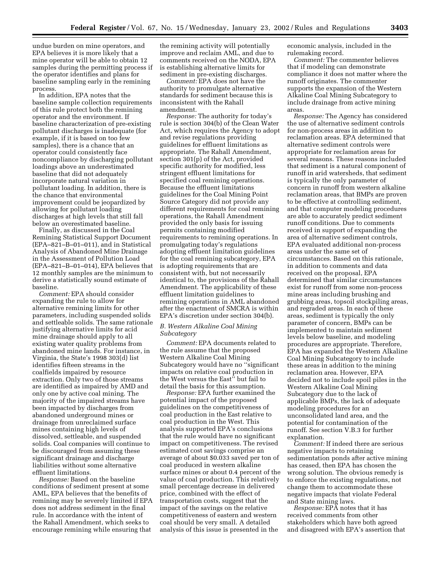undue burden on mine operators, and EPA believes it is more likely that a mine operator will be able to obtain 12 samples during the permitting process if the operator identifies and plans for baseline sampling early in the remining process.

In addition, EPA notes that the baseline sample collection requirements of this rule protect both the remining operator and the environment. If baseline characterization of pre-existing pollutant discharges is inadequate (for example, if it is based on too few samples), there is a chance that an operator could consistently face noncompliance by discharging pollutant loadings above an underestimated baseline that did not adequately incorporate natural variation in pollutant loading. In addition, there is the chance that environmental improvement could be jeopardized by allowing for pollutant loading discharges at high levels that still fall below an overestimated baseline.

Finally, as discussed in the Coal Remining Statistical Support Document (EPA–821–B–01–011), and in Statistical Analysis of Abandoned Mine Drainage in the Assessment of Pollution Load (EPA–821–B–01–014), EPA believes that 12 monthly samples are the minimum to derive a statistically sound estimate of baseline.

*Comment:* EPA should consider expanding the rule to allow for alternative remining limits for other parameters, including suspended solids and settleable solids. The same rationale justifying alternative limits for acid mine drainage should apply to all existing water quality problems from abandoned mine lands. For instance, in Virginia, the State's 1998 303(d) list identifies fifteen streams in the coalfields impaired by resource extraction. Only two of those streams are identified as impaired by AMD and only one by active coal mining. The majority of the impaired streams have been impacted by discharges from abandoned underground mines or drainage from unreclaimed surface mines containing high levels of dissolved, settleable, and suspended solids. Coal companies will continue to be discouraged from assuming these significant drainage and discharge liabilities without some alternative effluent limitations.

*Response:* Based on the baseline conditions of sediment present at some AML, EPA believes that the benefits of remining may be severely limited if EPA does not address sediment in the final rule. In accordance with the intent of the Rahall Amendment, which seeks to encourage remining while ensuring that

the remining activity will potentially improve and reclaim AML, and due to comments received on the NODA, EPA is establishing alternative limits for sediment in pre-existing discharges.

*Comment:* EPA does not have the authority to promulgate alternative standards for sediment because this is inconsistent with the Rahall amendment.

*Response:* The authority for today's rule is section 304(b) of the Clean Water Act, which requires the Agency to adopt and revise regulations providing guidelines for effluent limitations as appropriate. The Rahall Amendment, section 301(p) of the Act, provided specific authority for modified, less stringent effluent limitations for specified coal remining operations. Because the effluent limitations guidelines for the Coal Mining Point Source Category did not provide any different requirements for coal remining operations, the Rahall Amendment provided the only basis for issuing permits containing modified requirements to remining operations. In promulgating today's regulations adopting effluent limitation guidelines for the coal remining subcategory, EPA is adopting requirements that are consistent with, but not necessarily identical to, the provisions of the Rahall Amendment. The applicability of these effluent limitation guidelines to remining operations in AML abandoned after the enactment of SMCRA is within EPA's discretion under section 304(b).

#### *B. Western Alkaline Coal Mining Subcategory*

*Comment:* EPA documents related to the rule assume that the proposed Western Alkaline Coal Mining Subcategory would have no ''significant impacts on relative coal production in the West versus the East'' but fail to detail the basis for this assumption.

*Response:* EPA further examined the potential impact of the proposed guidelines on the competitiveness of coal production in the East relative to coal production in the West. This analysis supported EPA's conclusions that the rule would have no significant impact on competitiveness. The revised estimated cost savings comprise an average of about \$0.033 saved per ton of coal produced in western alkaline surface mines or about 0.4 percent of the value of coal production. This relatively small percentage decrease in delivered price, combined with the effect of transportation costs, suggest that the impact of the savings on the relative competitiveness of eastern and western coal should be very small. A detailed analysis of this issue is presented in the

economic analysis, included in the rulemaking record.

*Comment:* The commenter believes that if modeling can demonstrate compliance it does not matter where the runoff originates. The commenter supports the expansion of the Western Alkaline Coal Mining Subcategory to include drainage from active mining areas.

*Response:* The Agency has considered the use of alternative sediment controls for non-process areas in addition to reclamation areas. EPA determined that alternative sediment controls were appropriate for reclamation areas for several reasons. These reasons included that sediment is a natural component of runoff in arid watersheds, that sediment is typically the only parameter of concern in runoff from western alkaline reclamation areas, that BMPs are proven to be effective at controlling sediment, and that computer modeling procedures are able to accurately predict sediment runoff conditions. Due to comments received in support of expanding the area of alternative sediment controls, EPA evaluated additional non-process areas under the same set of circumstances. Based on this rationale, in addition to comments and data received on the proposal, EPA determined that similar circumstances exist for runoff from some non-process mine areas including brushing and grubbing areas, topsoil stockpiling areas, and regraded areas. In each of these areas, sediment is typically the only parameter of concern, BMPs can be implemented to maintain sediment levels below baseline, and modeling procedures are appropriate. Therefore, EPA has expanded the Western Alkaline Coal Mining Subcategory to include these areas in addition to the mining reclamation area. However, EPA decided not to include spoil piles in the Western Alkaline Coal Mining Subcategory due to the lack of applicable BMPs, the lack of adequate modeling procedures for an unconsolidated land area, and the potential for contamination of the runoff. See section V.B.3 for further explanation.

*Comment:* If indeed there are serious negative impacts to retaining sedimentation ponds after active mining has ceased, then EPA has chosen the wrong solution. The obvious remedy is to enforce the existing regulations, not change them to accommodate these negative impacts that violate Federal and State mining laws.

*Response:* EPA notes that it has received comments from other stakeholders which have both agreed and disagreed with EPA's assertion that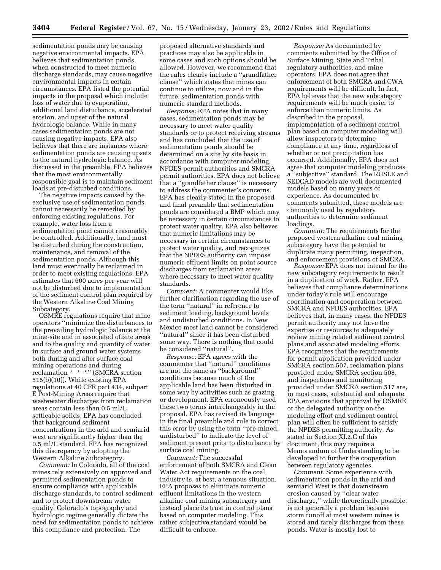sedimentation ponds may be causing negative environmental impacts. EPA believes that sedimentation ponds, when constructed to meet numeric discharge standards, may cause negative environmental impacts in certain circumstances. EPA listed the potential impacts in the proposal which include loss of water due to evaporation, additional land disturbance, accelerated erosion, and upset of the natural hydrologic balance. While in many cases sedimentation ponds are not causing negative impacts, EPA also believes that there are instances where sedimentation ponds are causing upsets to the natural hydrologic balance. As discussed in the preamble, EPA believes that the most environmentally responsible goal is to maintain sediment loads at pre-disturbed conditions.

The negative impacts caused by the exclusive use of sedimentation ponds cannot necessarily be remedied by enforcing existing regulations. For example, water loss from a sedimentation pond cannot reasonably be controlled. Additionally, land must be disturbed during the construction, maintenance, and removal of the sedimentation ponds. Although this land must eventually be reclaimed in order to meet existing regulations, EPA estimates that 600 acres per year will not be disturbed due to implementation of the sediment control plan required by the Western Alkaline Coal Mining Subcategory.

OSMRE regulations require that mine operators ''minimize the disturbances to the prevailing hydrologic balance at the mine-site and in associated offsite areas and to the quality and quantity of water in surface and ground water systems both during and after surface coal mining operations and during reclamation \* \* \*'' (SMCRA section 515(b)(10)). While existing EPA regulations at 40 CFR part 434, subpart E Post-Mining Areas require that wastewater discharges from reclamation areas contain less than 0.5 ml/L settleable solids, EPA has concluded that background sediment concentrations in the arid and semiarid west are significantly higher than the 0.5 ml/L standard. EPA has recognized this discrepancy by adopting the Western Alkaline Subcategory.

*Comment:* In Colorado, all of the coal mines rely extensively on approved and permitted sedimentation ponds to ensure compliance with applicable discharge standards, to control sediment and to protect downstream water quality. Colorado's topography and hydrologic regime generally dictate the need for sedimentation ponds to achieve this compliance and protection. The

proposed alternative standards and practices may also be applicable in some cases and such options should be allowed. However, we recommend that the rules clearly include a ''grandfather clause'' which states that mines can continue to utilize, now and in the future, sedimentation ponds with numeric standard methods.

*Response:* EPA notes that in many cases, sedimentation ponds may be necessary to meet water quality standards or to protect receiving streams and has concluded that the use of sedimentation ponds should be determined on a site by site basis in accordance with computer modeling, NPDES permit authorities and SMCRA permit authorities. EPA does not believe that a ''grandfather clause'' is necessary to address the commenter's concerns. EPA has clearly stated in the proposed and final preamble that sedimentation ponds are considered a BMP which may be necessary in certain circumstances to protect water quality. EPA also believes that numeric limitations may be necessary in certain circumstances to protect water quality, and recognizes that the NPDES authority can impose numeric effluent limits on point source discharges from reclamation areas where necessary to meet water quality standards.

*Comment:* A commenter would like further clarification regarding the use of the term ''natural'' in reference to sediment loading, background levels and undisturbed conditions. In New Mexico most land cannot be considered ''natural'' since it has been disturbed some way. There is nothing that could be considered ''natural''.

*Response:* EPA agrees with the commenter that ''natural'' conditions are not the same as ''background'' conditions because much of the applicable land has been disturbed in some way by activities such as grazing or development. EPA erroneously used these two terms interchangeably in the proposal. EPA has revised its language in the final preamble and rule to correct this error by using the term ''pre-mined, undisturbed'' to indicate the level of sediment present prior to disturbance by surface coal mining.

*Comment:* The successful enforcement of both SMCRA and Clean Water Act requirements on the coal industry is, at best, a tenuous situation. EPA proposes to eliminate numeric effluent limitations in the western alkaline coal mining subcategory and instead place its trust in control plans based on computer modeling. This rather subjective standard would be difficult to enforce.

*Response:* As documented by comments submitted by the Office of Surface Mining, State and Tribal regulatory authorities, and mine operators, EPA does not agree that enforcement of both SMCRA and CWA requirements will be difficult. In fact, EPA believes that the new subcategory requirements will be much easier to enforce than numeric limits. As described in the proposal, implementation of a sediment control plan based on computer modeling will allow inspectors to determine compliance at any time, regardless of whether or not precipitation has occurred. Additionally, EPA does not agree that computer modeling produces a ''subjective'' standard. The RUSLE and SEDCAD models are well documented models based on many years of experience. As documented by comments submitted, these models are commonly used by regulatory authorities to determine sediment loadings.

*Comment:* The requirements for the proposed western alkaline coal mining subcategory have the potential to duplicate many permitting, inspection, and enforcement provisions of SMCRA.

*Response:* EPA does not intend for the new subcategory requirements to result in a duplication of work. Rather, EPA believes that compliance determinations under today's rule will encourage coordination and cooperation between SMCRA and NPDES authorities. EPA believes that, in many cases, the NPDES permit authority may not have the expertise or resources to adequately review mining related sediment control plans and associated modeling efforts. EPA recognizes that the requirements for permit application provided under SMCRA section 507, reclamation plans provided under SMCRA section 508, and inspections and monitoring provided under SMCRA section 517 are, in most cases, substantial and adequate. EPA envisions that approval by OSMRE or the delegated authority on the modeling effort and sediment control plan will often be sufficient to satisfy the NPDES permitting authority. As stated in Section XI.2.C of this document, this may require a Memorandum of Understanding to be developed to further the cooperation between regulatory agencies.

*Comment:* Some experience with sedimentation ponds in the arid and semiarid West is that downstream erosion caused by ''clear water discharge,'' while theoretically possible, is not generally a problem because storm runoff at most western mines is stored and rarely discharges from these ponds. Water is mostly lost to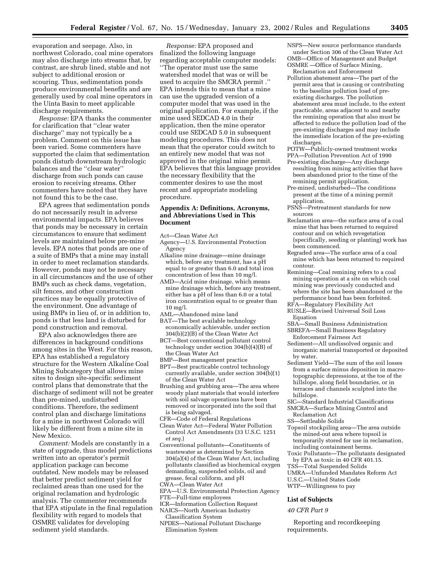evaporation and seepage. Also, in northwest Colorado, coal mine operators may also discharge into streams that, by contrast, are shrub lined, stable and not subject to additional erosion or scouring. Thus, sedimentation ponds produce environmental benefits and are generally used by coal mine operators in the Uinta Basin to meet applicable discharge requirements.

*Response:* EPA thanks the commenter for clarification that ''clear water discharge'' may not typically be a problem. Comment on this issue has been varied. Some commenters have supported the claim that sedimentation ponds disturb downstream hydrologic balances and the ''clear water'' discharge from such ponds can cause erosion to receiving streams. Other commenters have noted that they have not found this to be the case.

EPA agrees that sedimentation ponds do not necessarily result in adverse environmental impacts. EPA believes that ponds may be necessary in certain circumstances to ensure that sediment levels are maintained below pre-mine levels. EPA notes that ponds are one of a suite of BMPs that a mine may install in order to meet reclamation standards. However, ponds may not be necessary in all circumstances and the use of other BMPs such as check dams, vegetation, silt fences, and other construction practices may be equally protective of the environment. One advantage of using BMPs in lieu of, or in addition to, ponds is that less land is disturbed for pond construction and removal.

EPA also acknowledges there are differences in background conditions among sites in the West. For this reason, EPA has established a regulatory structure for the Western Alkaline Coal Mining Subcategory that allows mine sites to design site-specific sediment control plans that demonstrate that the discharge of sediment will not be greater than pre-mined, undisturbed conditions. Therefore, the sediment control plan and discharge limitations for a mine in northwest Colorado will likely be different from a mine site in New Mexico.

*Comment:* Models are constantly in a state of upgrade, thus model predictions written into an operator's permit application package can become outdated. New models may be released that better predict sediment yield for reclaimed areas than one used for the original reclamation and hydrologic analysis. The commenter recommends that EPA stipulate in the final regulation flexibility with regard to models that OSMRE validates for developing sediment yield standards.

*Response:* EPA proposed and finalized the following language regarding acceptable computer models: ''The operator must use the same watershed model that was or will be used to acquire the SMCRA permit .'' EPA intends this to mean that a mine can use the upgraded version of a computer model that was used in the original application. For example, if the mine used SEDCAD 4.0 in their application, then the mine operator could use SEDCAD 5.0 in subsequent modeling procedures. This does not mean that the operator could switch to an entirely new model that was not approved in the original mine permit. EPA believes that this language provides the necessary flexibility that the commenter desires to use the most recent and appropriate modeling procedure.

# **Appendix A: Definitions, Acronyms, and Abbreviations Used in This Document**

Act—Clean Water Act

- Agency—U.S. Environmental Protection Agency
- Alkaline mine drainage—mine drainage which, before any treatment, has a pH equal to or greater than 6.0 and total iron concentration of less than 10 mg/l.
- AMD—Acid mine drainage, which means mine drainage which, before any treatment, either has a pH of less than 6.0 or a total iron concentration equal to or greater than 10 mg/l.
- AML—Abandoned mine land
- BAT—The best available technology economically achievable, under section 304(b)(2)(B) of the Clean Water Act
- BCT—Best conventional pollutant control technology under section 304(b)(4)(B) of the Clean Water Act
- BMP—Best management practice
- BPT—Best practicable control technology currently available, under section 304(b)(1) of the Clean Water Act

Brushing and grubbing area—The area where woody plant materials that would interfere with soil salvage operations have been removed or incorporated into the soil that is being salvaged.

- CFR—Code of Federal Regulations
- Clean Water Act—Federal Water Pollution Control Act Amendments (33 U.S.C. 1251 *et seq.*)
- Conventional pollutants—Constituents of wastewater as determined by Section 304(a)(4) of the Clean Water Act, including pollutants classified as biochemical oxygen demanding, suspended solids, oil and grease, fecal coliform, and pH
- CWA—Clean Water Act
- EPA—U.S. Environmental Protection Agency
- FTE—Full-time employees
- ICR—Information Collection Request
- NAICS—North American Industry Classification System
- NPDES—National Pollutant Discharge Elimination System
- NSPS—New source performance standards under Section 306 of the Clean Water Act OMB—Office of Management and Budget OSMRE —Office of Surface Mining,
- Reclamation and Enforcement Pollution abatement area—The part of the permit area that is causing or contributing to the baseline pollution load of preexisting discharges. The pollution abatement area must include, to the extent practicable, areas adjacent to and nearby the remining operation that also must be affected to reduce the pollution load of the pre-existing discharges and may include the immediate location of the pre-existing discharges.
- POTW—Publicly-owned treatment works PPA—Pollution Prevention Act of 1990
- Pre-existing discharge—Any discharge resulting from mining activities that have been abandoned prior to the time of the remining permit application.
- Pre-mined, undisturbed—The conditions present at the time of a mining permit application.
- PSNS—Pretreatment standards for new sources
- Reclamation area—the surface area of a coal mine that has been returned to required contour and on which revegetation (specifically, seeding or planting) work has been commenced.
- Regraded area—The surface area of a coal mine which has been returned to required contour.
- Remining—Coal remining refers to a coal mining operation at a site on which coal mining was previously conducted and where the site has been abandoned or the performance bond has been forfeited.
- RFA—Regulatory Flexibility Act
- RUSLE—Revised Universal Soil Loss Equation
- SBA—Small Business Administration
- SBREFA—Small Business Regulatory Enforcement Fairness Act
- Sediment—All undissolved organic and inorganic material transported or deposited by water.
- Sediment Yield—The sum of the soil losses from a surface minus deposition in macrotopographic depressions, at the toe of the hillslope, along field boundaries, or in terraces and channels sculpted into the hillslope.
- SIC—Standard Industrial Classifications
- SMCRA—Surface Mining Control and Reclamation Act
- SS—Settleable Solids
- Topsoil stockpiling area—The area outside the mined-out area where topsoil is temporarily stored for use in reclamation, including containment berms.
- Toxic Pollutants—The pollutants designated by EPA as toxic in 40 CFR 401.15.
- TSS—Total Suspended Solids
- UMRA—Unfunded Mandates Reform Act
- U.S.C.—United States Code
- WTP—Willingness to pay

#### **List of Subjects**

*40 CFR Part 9*

Reporting and recordkeeping requirements.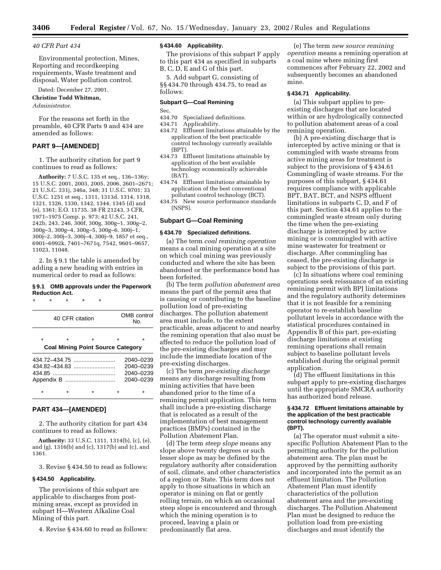#### *40 CFR Part 434*

Environmental protection, Mines, Reporting and recordkeeping requirements, Waste treatment and disposal, Water pollution control.

Dated: December 27, 2001.

# **Christine Todd Whitman,**

*Administrator.*

For the reasons set forth in the preamble, 40 CFR Parts 9 and 434 are amended as follows:

# **PART 9—[AMENDED]**

1. The authority citation for part 9 continues to read as follows:

**Authority:** 7 U.S.C. 135 et seq., 136–136y; 15 U.S.C. 2001, 2003, 2005, 2006, 2601–2671; 21 U.S.C. 331j, 346a, 348; 31 U.S.C. 9701; 33 U.S.C. 1251 et seq., 1311, 1313d, 1314, 1318, 1321, 1326, 1330, 1342, 1344, 1345 (d) and (e), 1361; E.O. 11735, 38 FR 21243, 3 CFR, 1971–1975 Comp. p. 973; 42 U.S.C. 241, 242b, 243, 246, 300f, 300g, 300g–1, 300g–2, 300g–3, 300g–4, 300g–5, 300g–6, 300j–1, 300j–2, 300j–3, 300j–4, 300j–9, 1857 et seq., 6901–6992k, 7401–7671q, 7542, 9601–9657, 11023, 11048.

2. In § 9.1 the table is amended by adding a new heading with entries in numerical order to read as follows:

#### **§ 9.1 OMB approvals under the Paperwork Reduction Act.**

| ÷       | ÷ | ÷                 | ÷ | ÷       |                                          |                    |
|---------|---|-------------------|---|---------|------------------------------------------|--------------------|
|         |   | 40 CFR citation   |   |         |                                          | OMB control<br>No. |
| $\star$ |   | $\star$           |   | $\star$ | $\star$                                  |                    |
|         |   |                   |   |         | <b>Coal Mining Point Source Category</b> |                    |
|         |   | $434.72 - 434.75$ |   |         |                                          | 2040-0239          |
|         |   |                   |   |         |                                          | 2040-0239          |
|         |   |                   |   |         |                                          | 2040-0239          |
|         |   |                   |   |         |                                          | 2040-0239          |
| $\star$ |   |                   |   |         |                                          |                    |

# **PART 434—[AMENDED]**

2. The authority citation for part 434 continues to read as follows:

**Authority:** 33 U.S.C. 1311, 1314(b), (c), (e), and (g), 1316(b) and (c), 1317(b) and (c), and 1361.

3. Revise § 434.50 to read as follows:

#### **§ 434.50 Applicability.**

The provisions of this subpart are applicable to discharges from postmining areas, except as provided in subpart H—Western Alkaline Coal Mining of this part.

4. Revise § 434.60 to read as follows:

# **§ 434.60 Applicability.**

The provisions of this subpart F apply to this part 434 as specified in subparts B, C, D, E and G of this part.

5. Add subpart G, consisting of §§ 434.70 through 434.75, to read as follows:

# **Subpart G—Coal Remining**

Sec.

- 434.70 Specialized definitions.
- 434.71 Applicability.
- 434.72 Effluent limitations attainable by the application of the best practicable control technology currently available (BPT).
- 434.73 Effluent limitations attainable by application of the best available technology economically achievable (BAT).
- 434.74 Effluent limitations attainable by application of the best conventional pollutant control technology (BCT).
- 434.75 New source performance standards (NSPS).

# **Subpart G—Coal Remining**

#### **§ 434.70 Specialized definitions.**

(a) The term *coal remining operation* means a coal mining operation at a site on which coal mining was previously conducted and where the site has been abandoned or the performance bond has been forfeited.

(b) The term *pollution abatement area* means the part of the permit area that is causing or contributing to the baseline pollution load of pre-existing discharges. The pollution abatement area must include, to the extent practicable, areas adjacent to and nearby the remining operation that also must be affected to reduce the pollution load of the pre-existing discharges and may include the immediate location of the pre-existing discharges.

(c) The term *pre-existing discharge* means any discharge resulting from mining activities that have been abandoned prior to the time of a remining permit application. This term shall include a pre-existing discharge that is relocated as a result of the implementation of best management practices (BMPs) contained in the Pollution Abatement Plan.

(d) The term *steep slope* means any slope above twenty degrees or such lesser slope as may be defined by the regulatory authority after consideration of soil, climate, and other characteristics of a region or State. This term does not apply to those situations in which an operator is mining on flat or gently rolling terrain, on which an occasional steep slope is encountered and through which the mining operation is to proceed, leaving a plain or predominantly flat area.

(e) The term *new source remining operation* means a remining operation at a coal mine where mining first commences after February 22, 2002 and subsequently becomes an abandoned mine.

# **§ 434.71 Applicability.**

(a) This subpart applies to preexisting discharges that are located within or are hydrologically connected to pollution abatement areas of a coal remining operation.

(b) A pre-existing discharge that is intercepted by active mining or that is commingled with waste streams from active mining areas for treatment is subject to the provisions of § 434.61 Commingling of waste streams. For the purposes of this subpart, § 434.61 requires compliance with applicable BPT, BAT, BCT, and NSPS effluent limitations in subparts C, D, and F of this part. Section 434.61 applies to the commingled waste stream only during the time when the pre-existing discharge is intercepted by active mining or is commingled with active mine wastewater for treatment or discharge. After commingling has ceased, the pre-existing discharge is subject to the provisions of this part.

(c) In situations where coal remining operations seek reissuance of an existing remining permit with BPJ limitations and the regulatory authority determines that it is not feasible for a remining operator to re-establish baseline pollutant levels in accordance with the statistical procedures contained in Appendix B of this part, pre-existing discharge limitations at existing remining operations shall remain subject to baseline pollutant levels established during the original permit application.

(d) The effluent limitations in this subpart apply to pre-existing discharges until the appropriate SMCRA authority has authorized bond release.

### **§ 434.72 Effluent limitations attainable by the application of the best practicable control technology currently available (BPT).**

(a) The operator must submit a sitespecific Pollution Abatement Plan to the permitting authority for the pollution abatement area. The plan must be approved by the permitting authority and incorporated into the permit as an effluent limitation. The Pollution Abatement Plan must identify characteristics of the pollution abatement area and the pre-existing discharges. The Pollution Abatement Plan must be designed to reduce the pollution load from pre-existing discharges and must identify the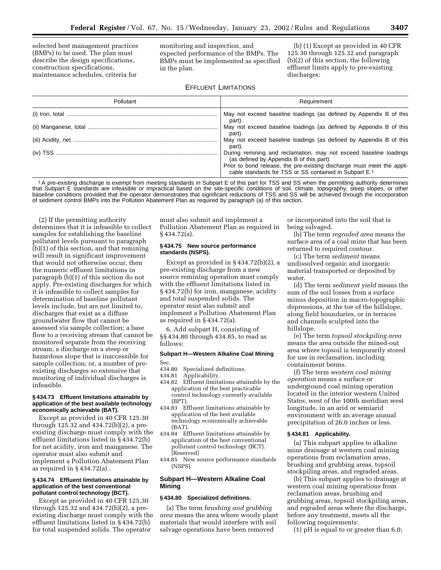selected best management practices (BMPs) to be used. The plan must describe the design specifications, construction specifications, maintenance schedules, criteria for

monitoring and inspection, and expected performance of the BMPs. The BMPs must be implemented as specified in the plan.

(b) (1) Except as provided in 40 CFR 125.30 through 125.32 and paragraph (b)(2) of this section, the following effluent limits apply to pre-existing discharges:

# EFFLUENT LIMITATIONS

| Pollutant | Requirement                                                                                                                      |  |  |  |  |  |
|-----------|----------------------------------------------------------------------------------------------------------------------------------|--|--|--|--|--|
|           | May not exceed baseline loadings (as defined by Appendix B of this<br>part).                                                     |  |  |  |  |  |
|           | May not exceed baseline loadings (as defined by Appendix B of this<br>part).                                                     |  |  |  |  |  |
|           | May not exceed baseline loadings (as defined by Appendix B of this<br>part).                                                     |  |  |  |  |  |
|           | During remining and reclamation, may not exceed baseline loadings<br>(as defined by Appendix B of this part).                    |  |  |  |  |  |
|           | Prior to bond release, the pre-existing discharge must meet the appli-<br>cable standards for TSS or SS contained in Subpart E.1 |  |  |  |  |  |

1A pre-existing discharge is exempt from meeting standards in Subpart E of this part for TSS and SS when the permitting authority determines that Subpart E standards are infeasible or impractical based on the site-specific conditions of soil, climate, topography, steep slopes, or other baseline conditions provided that the operator demonstrates that significant reductions of TSS and SS will be achieved through the incorporation of sediment control BMPs into the Pollution Abatement Plan as required by paragraph (a) of this section.

(2) If the permitting authority determines that it is infeasible to collect samples for establishing the baseline pollutant levels pursuant to paragraph (b)(1) of this section, and that remining will result in significant improvement that would not otherwise occur, then the numeric effluent limitations in paragraph (b)(1) of this section do not apply. Pre-existing discharges for which it is infeasible to collect samples for determination of baseline pollutant levels include, but are not limited to, discharges that exist as a diffuse groundwater flow that cannot be assessed via sample collection; a base flow to a receiving stream that cannot be monitored separate from the receiving stream; a discharge on a steep or hazardous slope that is inaccessible for sample collection; or, a number of preexisting discharges so extensive that monitoring of individual discharges is infeasible.

#### **§ 434.73 Effluent limitations attainable by application of the best available technology economically achievable (BAT).**

Except as provided in 40 CFR 125.30 through 125.32 and 434.72(b)(2), a preexisting discharge must comply with the effluent limitations listed in § 434.72(b) for net acidity, iron and manganese. The operator must also submit and implement a Pollution Abatement Plan as required in § 434.72(a) .

#### **§ 434.74 Effluent limitations attainable by application of the best conventional pollutant control technology (BCT).**

Except as provided in 40 CFR 125.30 through 125.32 and 434.72(b)(2), a preexisting discharge must comply with the effluent limitations listed in § 434.72(b) for total suspended solids. The operator

must also submit and implement a Pollution Abatement Plan as required in § 434.72(a).

# **§ 434.75 New source performance standards (NSPS).**

Except as provided in § 434.72(b)(2), a pre-existing discharge from a new source remining operation must comply with the effluent limitations listed in § 434.72(b) for iron, manganese, acidity and total suspended solids. The operator must also submit and implement a Pollution Abatement Plan as required in § 434.72(a).

6. Add subpart H, consisting of §§ 434.80 through 434.85, to read as follows:

# **Subpart H—Western Alkaline Coal Mining**

- Sec.<br>434.80 434.80 Specialized definitions.<br>434.81 Applicability.
- Applicability.
- 434.82 Effluent limitations attainable by the application of the best practicable control technology currently available (BPT).
- 434.83 Effluent limitations attainable by application of the best available technology economically achievable (BAT).
- 434.84 Effluent limitations attainable by application of the best conventional pollutant control technology (BCT). [Reserved]
- 434.85 New source performance standards (NSPS).

# **Subpart H—Western Alkaline Coal Mining**

# **§ 434.80 Specialized definitions.**

(a) The term *brushing and grubbing area* means the area where woody plant materials that would interfere with soil salvage operations have been removed

or incorporated into the soil that is being salvaged.

(b) The term *regraded area* means the surface area of a coal mine that has been returned to required contour.

(c) The term *sediment* means undissolved organic and inorganic material transported or deposited by water.

(d) The term *sediment yield* means the sum of the soil losses from a surface minus deposition in macro-topographic depressions, at the toe of the hillslope, along field boundaries, or in terraces and channels sculpted into the hillslope.

(e) The term *topsoil stockpiling area* means the area outside the mined-out area where topsoil is temporarily stored for use in reclamation, including containment berms.

(f) The term *western coal mining operation* means a surface or underground coal mining operation located in the interior western United States, west of the 100th meridian west longitude, in an arid or semiarid environment with an average annual precipitation of 26.0 inches or less.

#### **§ 434.81 Applicability.**

(a) This subpart applies to alkaline mine drainage at western coal mining operations from reclamation areas, brushing and grubbing areas, topsoil stockpiling areas, and regraded areas.

(b) This subpart applies to drainage at western coal mining operations from reclamation areas, brushing and grubbing areas, topsoil stockpiling areas, and regraded areas where the discharge, before any treatment, meets all the following requirements:

(1) pH is equal to or greater than 6.0;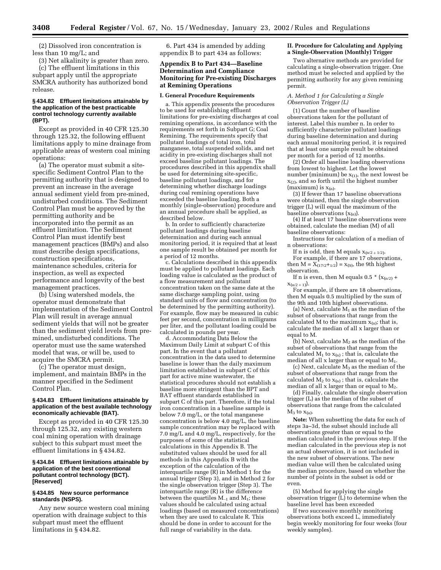(2) Dissolved iron concentration is less than 10 mg/L; and

(3) Net alkalinity is greater than zero. (c) The effluent limitations in this subpart apply until the appropriate SMCRA authority has authorized bond release.

# **§ 434.82 Effluent limitations attainable by the application of the best practicable control technology currently available (BPT).**

Except as provided in 40 CFR 125.30 through 125.32, the following effluent limitations apply to mine drainage from applicable areas of western coal mining operations:

(a) The operator must submit a sitespecific Sediment Control Plan to the permitting authority that is designed to prevent an increase in the average annual sediment yield from pre-mined, undisturbed conditions. The Sediment Control Plan must be approved by the permitting authority and be incorporated into the permit as an effluent limitation. The Sediment Control Plan must identify best management practices (BMPs) and also must describe design specifications, construction specifications, maintenance schedules, criteria for inspection, as well as expected performance and longevity of the best management practices.

(b) Using watershed models, the operator must demonstrate that implementation of the Sediment Control Plan will result in average annual sediment yields that will not be greater than the sediment yield levels from premined, undisturbed conditions. The operator must use the same watershed model that was, or will be, used to acquire the SMCRA permit.

(c) The operator must design, implement, and maintain BMPs in the manner specified in the Sediment Control Plan.

#### **§ 434.83 Effluent limitations attainable by application of the best available technology economically achievable (BAT).**

Except as provided in 40 CFR 125.30 through 125.32, any existing western coal mining operation with drainage subject to this subpart must meet the effluent limitations in § 434.82.

### **§ 434.84 Effluent limitations attainable by application of the best conventional pollutant control technology (BCT). [Reserved]**

# **§ 434.85 New source performance standards (NSPS).**

Any new source western coal mining operation with drainage subject to this subpart must meet the effluent limitations in § 434.82.

6. Part 434 is amended by adding appendix B to part 434 as follows:

# **Appendix B to Part 434—Baseline Determination and Compliance Monitoring for Pre-existing Discharges at Remining Operations**

#### **I. General Procedure Requirements**

a. This appendix presents the procedures to be used for establishing effluent limitations for pre-existing discharges at coal remining operations, in accordance with the requirements set forth in Subpart G; Coal Remining. The requirements specify that pollutant loadings of total iron, total manganese, total suspended solids, and net acidity in pre-existing discharges shall not exceed baseline pollutant loadings. The procedures described in this appendix shall be used for determining site-specific, baseline pollutant loadings, and for determining whether discharge loadings during coal remining operations have exceeded the baseline loading. Both a monthly (single-observation) procedure and an annual procedure shall be applied, as described below.

b. In order to sufficiently characterize pollutant loadings during baseline determination and during each annual monitoring period, it is required that at least one sample result be obtained per month for a period of 12 months.

c. Calculations described in this appendix must be applied to pollutant loadings. Each loading value is calculated as the product of a flow measurement and pollutant concentration taken on the same date at the same discharge sampling point, using standard units of flow and concentration (to be determined by the permitting authority). For example, flow may be measured in cubic feet per second, concentration in milligrams per liter, and the pollutant loading could be calculated in pounds per year.

d. Accommodating Data Below the Maximum Daily Limit at subpart C of this part. In the event that a pollutant concentration in the data used to determine baseline is lower than the daily maximum limitation established in subpart C of this part for active mine wastewater, the statistical procedures should not establish a baseline more stringent than the BPT and BAT effluent standards established in subpart C of this part. Therefore, if the total iron concentration in a baseline sample is below 7.0 mg/L, or the total manganese concentration is below 4.0 mg/L, the baseline sample concentration may be replaced with 7.0 mg/L and 4.0 mg/L, respectively, for the purposes of some of the statistical calculations in this Appendix B. The substituted values should be used for all methods in this Appendix B with the exception of the calculation of the interquartile range (R) in Method 1 for the annual trigger (Step 3), and in Method 2 for the single observation trigger (Step 3). The interquartile range (R) is the difference between the quartiles  $M_{-1}$  and  $M_1$ ; these values should be calculated using actual loadings (based on measured concentrations) when they are used to calculate R. This should be done in order to account for the full range of variability in the data.

#### **II. Procedure for Calculating and Applying a Single-Observation (Monthly) Trigger**

Two alternative methods are provided for calculating a single-observation trigger. One method must be selected and applied by the permitting authority for any given remining permit.

#### *A. Method 1 for Calculating a Single Observation Trigger (L)*

(1) Count the number of baseline observations taken for the pollutant of interest. Label this number n. In order to sufficiently characterize pollutant loadings during baseline determination and during each annual monitoring period, it is required that at least one sample result be obtained per month for a period of 12 months.

(2) Order all baseline loading observations from lowest to highest. Let the lowest number (minimum) be  $x_{(1)}$ , the next lowest be  $x_{(2)}$ , and so forth until the highest number (maximum) is  $x_{(n)}$ .

(3) If fewer than 17 baseline observations were obtained, then the single observation trigger (L) will equal the maximum of the baseline observations  $(x_{(n)})$ .

(4) If at least 17 baseline observations were obtained, calculate the median (M) of all baseline observations:

Instructions for calculation of a median of n observations:

If n is odd, then M equals  $x_{(n/2+1/2)}$ . For example, if there are 17 observations, then  $M = X_{(17/2+1/2)} = x_{(9)}$ , the 9th highest observation.

If n is even, then M equals 0.5  $*(x_{(n/2)} +$  $X_{(n/2+1)}$ ).

For example, if there are 18 observations, then M equals 0.5 multiplied by the sum of the 9th and 10th highest observations.

(a) Next, calculate  $M_1$  as the median of the subset of observations that range from the calculated M to the maximum  $x_{(n)}$ ; that is, calculate the median of all x larger than or equal to M.

(b) Next, calculate  $M_2$  as the median of the subset of observations that range from the calculated  $M_1$  to  $x_{(n)}$ ; that is, calculate the median of all x larger than or equal to M1.

 $(c)$  Next, calculate  $M_3$  as the median of the subset of observations that range from the calculated  $M_2$  to  $x_{(n)}$ ; that is, calculate the median of all x larger than or equal to  $M_2$ .

(d) Finally, calculate the single observation trigger (L) as the median of the subset of observations that range from the calculated  $M_3$  to  $x_{(n)}$ .

**Note:** When subsetting the data for each of steps 3a–3d, the subset should include all observations greater than or equal to the median calculated in the previous step. If the median calculated in the previous step is not an actual observation, it is not included in the new subset of observations. The new median value will then be calculated using the median procedure, based on whether the number of points in the subset is odd or even.

(5) Method for applying the single observation trigger (L) to determine when the baseline level has been exceeded

If two successive monthly monitoring observations both exceed L, immediately begin weekly monitoring for four weeks (four weekly samples).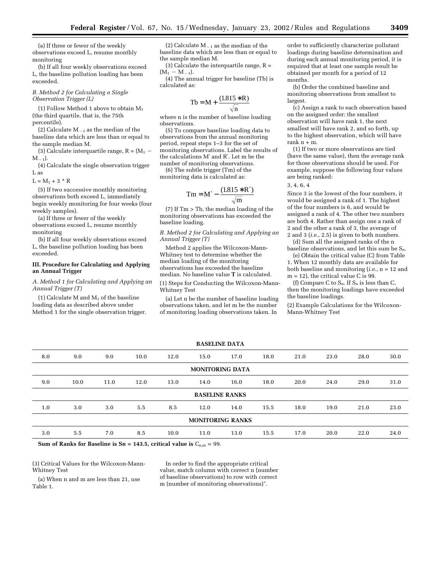(a) If three or fewer of the weekly observations exceed L, resume monthly monitoring

(b) If all four weekly observations exceed L, the baseline pollution loading has been exceeded.

#### *B. Method 2 for Calculating a Single Observation Trigger (L)*

(1) Follow Method 1 above to obtain  $M_1$ (the third quartile, that is, the 75th percentile).

(2) Calculate  $M_{-1}$  as the median of the baseline data which are less than or equal to the sample median M.

(3) Calculate interquartile range,  $R = (M_1$  –  $M_{-1}$ ).

(4) Calculate the single observation trigger L as

 $L = M_1 + 3 * R$ 

(5) If two successive monthly monitoring observations both exceed L, immediately begin weekly monitoring for four weeks (four weekly samples).

(a) If three or fewer of the weekly observations exceed L, resume monthly monitoring

(b) If all four weekly observations exceed L, the baseline pollution loading has been exceeded.

# **III. Procedure for Calculating and Applying an Annual Trigger**

*A. Method 1 for Calculating and Applying an Annual Trigger (T)*

(1) Calculate M and  $M_1$  of the baseline loading data as described above under Method 1 for the single observation trigger.

(2) Calculate  $M_{-1}$  as the median of the baseline data which are less than or equal to the sample median M.

(3) Calculate the interquartile range,  $R =$  $(M_1 - M_{-1}).$ 

(4) The annual trigger for baseline (Tb) is calculated as:

$$
Tb = M + \frac{(1.815 * R)}{\sqrt{n}}
$$

where n is the number of baseline loading observations.

(5) To compare baseline loading data to observations from the annual monitoring period, repeat steps 1–3 for the set of monitoring observations. Label the results of the calculations M′ and R′. Let m be the number of monitoring observations.

(6) The subtle trigger (Tm) of the monitoring data is calculated as:

$$
Tm = M' - \frac{(1.815 * R')}{\sqrt{m}}
$$

 $(7)$  If  $Tm > Tb$ , the median loading of the monitoring observations has exceeded the baseline loading.

*B. Method 2 for Calculating and Applying an Annual Trigger (T)*

Method 2 applies the Wilcoxon-Mann-Whitney test to determine whether the median loading of the monitoring observations has exceeded the baseline median. No baseline value **T** is calculated.

(1) Steps for Conducting the Wilcoxon-Mann-Whitney Test

(a) Let n be the number of baseline loading observations taken, and let m be the number of monitoring loading observations taken. In

order to sufficiently characterize pollutant loadings during baseline determination and during each annual monitoring period, it is required that at least one sample result be obtained per month for a period of 12 months.

(b) Order the combined baseline and monitoring observations from smallest to largest.

(c) Assign a rank to each observation based on the assigned order: the smallest observation will have rank 1, the next smallest will have rank 2, and so forth, up to the highest observation, which will have rank  $n + m$ .

(1) If two or more observations are tied (have the same value), then the average rank for those observations should be used. For example, suppose the following four values are being ranked:

#### 3, 4, 6, 4

Since 3 is the lowest of the four numbers, it would be assigned a rank of 1. The highest of the four numbers is 6, and would be assigned a rank of 4. The other two numbers are both 4. Rather than assign one a rank of 2 and the other a rank of 3, the average of 2 and 3 (*i.e.*, 2.5) is given to both numbers.

(d) Sum all the assigned ranks of the n baseline observations, and let this sum be Sn.

(e) Obtain the critical value (C) from Table 1. When 12 monthly data are available for both baseline and monitoring (*i.e.*, n = 12 and  $m = 12$ , the critical value C is 99.

(f) Compare C to  $S_n$ . If  $S_n$  is less than C, then the monitoring loadings have exceeded the baseline loadings.

(2) Example Calculations for the Wilcoxon-Mann-Whitney Test

| <b>BASELINE DATA</b>    |                                                                                                                                                                                                                                                                                                                   |      |      |      |      |                       |      |      |      |      |      |
|-------------------------|-------------------------------------------------------------------------------------------------------------------------------------------------------------------------------------------------------------------------------------------------------------------------------------------------------------------|------|------|------|------|-----------------------|------|------|------|------|------|
| 8.0                     | 9.0                                                                                                                                                                                                                                                                                                               | 9.0  | 10.0 | 12.0 | 15.0 | 17.0                  | 18.0 | 21.0 | 23.0 | 28.0 | 30.0 |
| <b>MONITORING DATA</b>  |                                                                                                                                                                                                                                                                                                                   |      |      |      |      |                       |      |      |      |      |      |
| 9.0                     | 10.0                                                                                                                                                                                                                                                                                                              | 11.0 | 12.0 | 13.0 | 14.0 | 16.0                  | 18.0 | 20.0 | 24.0 | 29.0 | 31.0 |
|                         |                                                                                                                                                                                                                                                                                                                   |      |      |      |      | <b>BASELINE RANKS</b> |      |      |      |      |      |
| 1.0                     | 3.0                                                                                                                                                                                                                                                                                                               | 3.0  | 5.5  | 8.5  | 12.0 | 14.0                  | 15.5 | 18.0 | 19.0 | 21.0 | 23.0 |
| <b>MONITORING RANKS</b> |                                                                                                                                                                                                                                                                                                                   |      |      |      |      |                       |      |      |      |      |      |
| 3.0                     | 5.5                                                                                                                                                                                                                                                                                                               | 7.0  | 8.5  | 10.0 | 11.0 | 13.0                  | 15.5 | 17.0 | 20.0 | 22.0 | 24.0 |
| $\sim$ $\sim$           | $\mathcal{L}$ and $\mathcal{L}$ and $\mathcal{L}$ and $\mathcal{L}$ and $\mathcal{L}$ and $\mathcal{L}$ and $\mathcal{L}$ and $\mathcal{L}$ and $\mathcal{L}$ and $\mathcal{L}$ and $\mathcal{L}$ and $\mathcal{L}$ and $\mathcal{L}$ and $\mathcal{L}$ and $\mathcal{L}$ and $\mathcal{L}$ and $\mathcal{L}$ and |      |      |      |      |                       |      |      |      |      |      |

**Sum of Ranks for Baseline is Sn = 143.5, critical value is**  $C_{n,m}$  **= 99.** 

(3) Critical Values for the Wilcoxon-Mann-Whitney Test

In order to find the appropriate critical value, match column with correct n (number of baseline observations) to row with correct m (number of monitoring observations)\*.

(a) When n and m are less than 21, use Table 1.